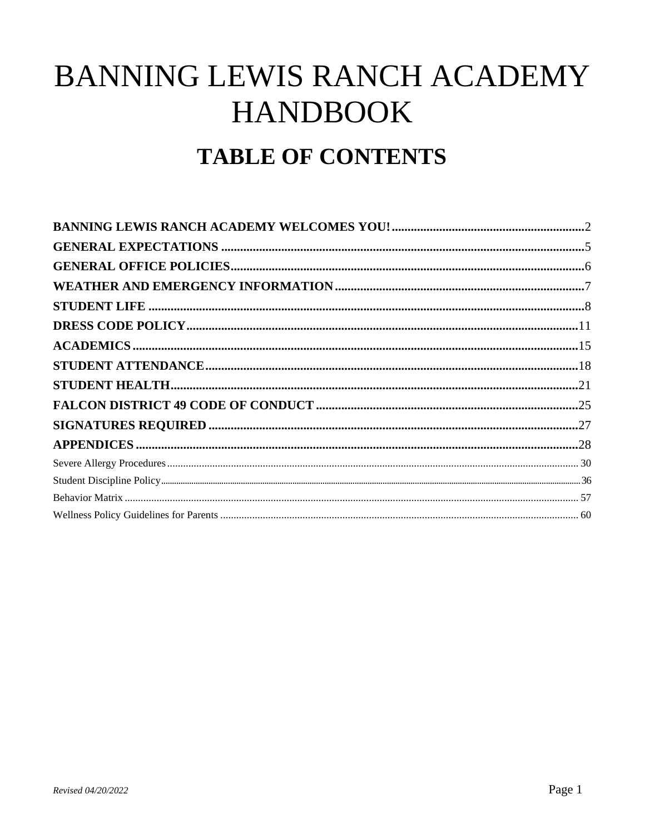# BANNING LEWIS RANCH ACADEMY **HANDBOOK TABLE OF CONTENTS**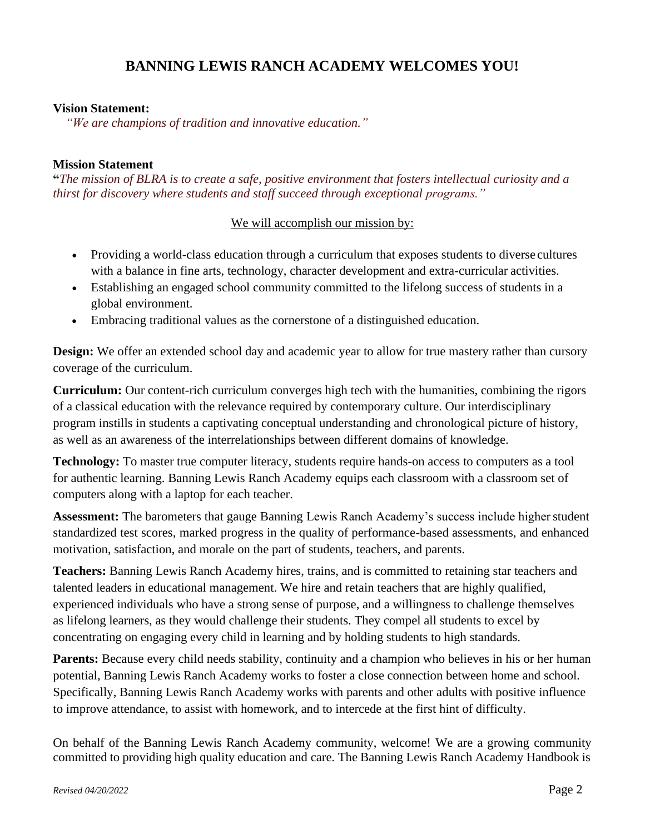### **BANNING LEWIS RANCH ACADEMY WELCOMES YOU!**

### <span id="page-1-0"></span>**Vision Statement:**

*"We are champions of tradition and innovative education."*

### **Mission Statement**

**"***The mission of BLRA is to create a safe, positive environment that fosters intellectual curiosity and a thirst for discovery where students and staff succeed through exceptional programs."*

### We will accomplish our mission by:

- Providing a world-class education through a curriculum that exposes students to diverse cultures with a balance in fine arts, technology, character development and extra-curricular activities.
- Establishing an engaged school community committed to the lifelong success of students in a global environment.
- Embracing traditional values as the cornerstone of a distinguished education.

**Design:** We offer an extended school day and academic year to allow for true mastery rather than cursory coverage of the curriculum.

**Curriculum:** Our content-rich curriculum converges high tech with the humanities, combining the rigors of a classical education with the relevance required by contemporary culture. Our interdisciplinary program instills in students a captivating conceptual understanding and chronological picture of history, as well as an awareness of the interrelationships between different domains of knowledge.

**Technology:** To master true computer literacy, students require hands-on access to computers as a tool for authentic learning. Banning Lewis Ranch Academy equips each classroom with a classroom set of computers along with a laptop for each teacher.

Assessment: The barometers that gauge Banning Lewis Ranch Academy's success include higher student standardized test scores, marked progress in the quality of performance-based assessments, and enhanced motivation, satisfaction, and morale on the part of students, teachers, and parents.

**Teachers:** Banning Lewis Ranch Academy hires, trains, and is committed to retaining star teachers and talented leaders in educational management. We hire and retain teachers that are highly qualified, experienced individuals who have a strong sense of purpose, and a willingness to challenge themselves as lifelong learners, as they would challenge their students. They compel all students to excel by concentrating on engaging every child in learning and by holding students to high standards.

Parents: Because every child needs stability, continuity and a champion who believes in his or her human potential, Banning Lewis Ranch Academy works to foster a close connection between home and school. Specifically, Banning Lewis Ranch Academy works with parents and other adults with positive influence to improve attendance, to assist with homework, and to intercede at the first hint of difficulty.

On behalf of the Banning Lewis Ranch Academy community, welcome! We are a growing community committed to providing high quality education and care. The Banning Lewis Ranch Academy Handbook is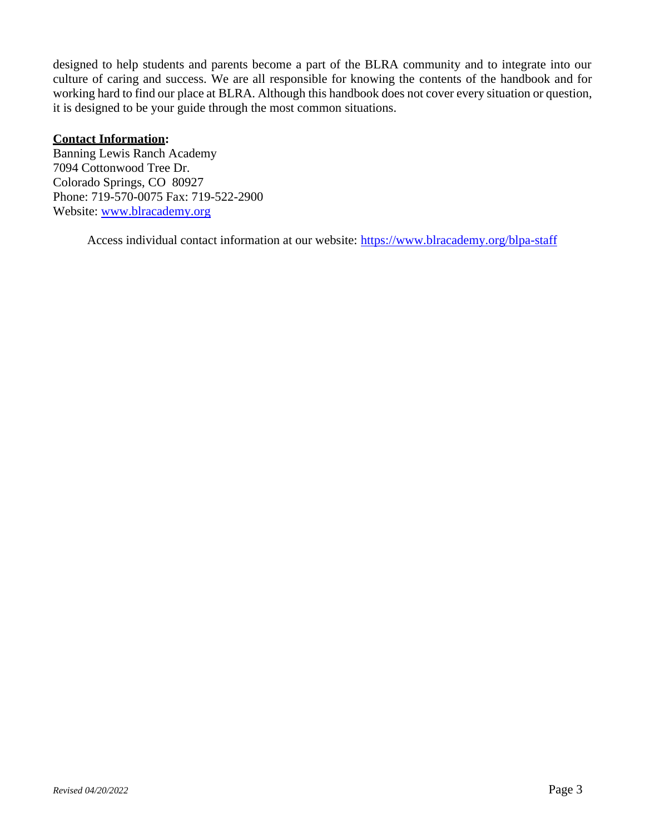designed to help students and parents become a part of the BLRA community and to integrate into our culture of caring and success. We are all responsible for knowing the contents of the handbook and for working hard to find our place at BLRA. Although this handbook does not cover every situation or question, it is designed to be your guide through the most common situations.

### **Contact Information:**

Banning Lewis Ranch Academy 7094 Cottonwood Tree Dr. Colorado Springs, CO 80927 Phone: 719-570-0075 Fax: 719-522-2900 Website: [www.blracademy.org](http://www.brlacademy.org/)

Access individual contact information at our website:<https://www.blracademy.org/blpa-staff>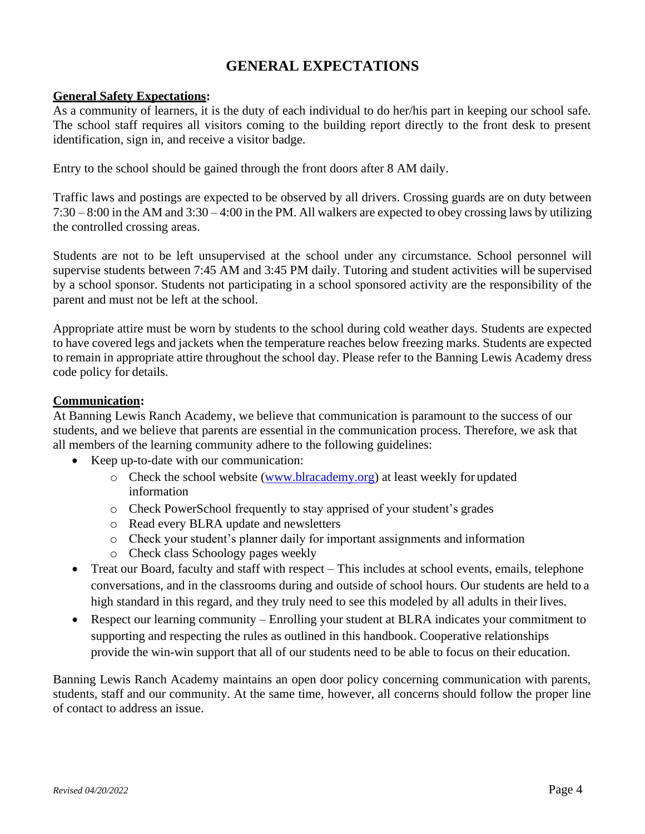### **GENERAL EXPECTATIONS**

### <span id="page-3-0"></span>**General Safety Expectations:**

As a community of learners, it is the duty of each individual to do her/his part in keeping our school safe. The school staff requires all visitors coming to the building report directly to the front desk to present identification, sign in, and receive a visitor badge.

Entry to the school should be gained through the front doors after 8 AM daily.

Traffic laws and postings are expected to be observed by all drivers. Crossing guards are on duty between 7:30 – 8:00 in the AM and 3:30 – 4:00 in the PM. All walkers are expected to obey crossing laws by utilizing the controlled crossing areas.

Students are not to be left unsupervised at the school under any circumstance. School personnel will supervise students between 7:45 AM and 3:45 PM daily. Tutoring and student activities will be supervised by a school sponsor. Students not participating in a school sponsored activity are the responsibility of the parent and must not be left at the school.

Appropriate attire must be worn by students to the school during cold weather days. Students are expected to have covered legs and jackets when the temperature reaches below freezing marks. Students are expected to remain in appropriate attire throughout the school day. Please refer to the Banning Lewis Academy dress code policy for details.

### **Communication:**

At Banning Lewis Ranch Academy, we believe that communication is paramount to the success of our students, and we believe that parents are essential in the communication process. Therefore, we ask that all members of the learning community adhere to the following guidelines:

- Keep up-to-date with our communication:
	- $\circ$  Check the school website [\(www.blracademy.org\)](http://www.blracademy.org/) at least weekly for updated information
	- o Check PowerSchool frequently to stay apprised of your student's grades
	- o Read every BLRA update and newsletters
	- o Check your student's planner daily for important assignments and information
	- o Check class Schoology pages weekly
- Treat our Board, faculty and staff with respect This includes at school events, emails, telephone conversations, and in the classrooms during and outside of school hours. Our students are held to a high standard in this regard, and they truly need to see this modeled by all adults in their lives.
- Respect our learning community Enrolling your student at BLRA indicates your commitment to supporting and respecting the rules as outlined in this handbook. Cooperative relationships provide the win-win support that all of our students need to be able to focus on their education.

Banning Lewis Ranch Academy maintains an open door policy concerning communication with parents, students, staff and our community. At the same time, however, all concerns should follow the proper line of contact to address an issue.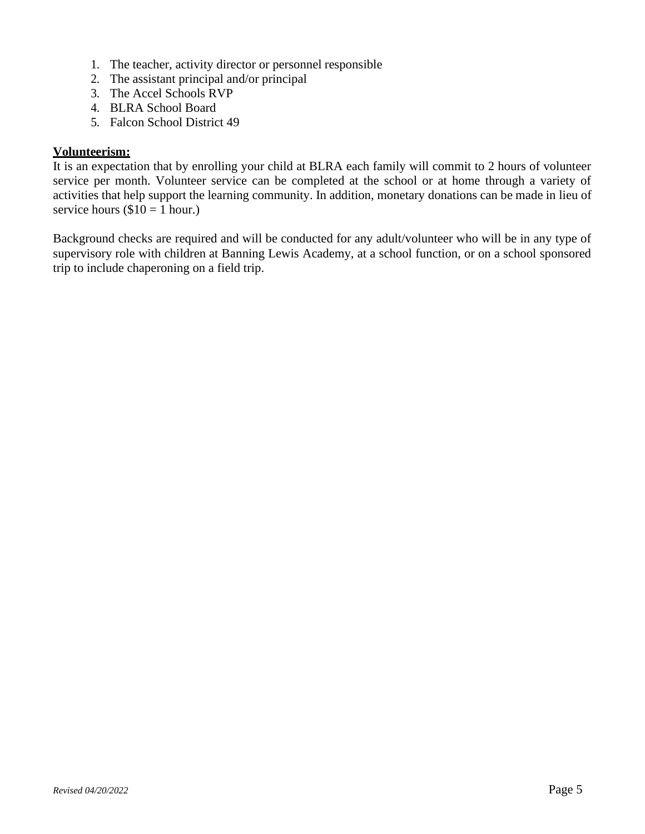- 1. The teacher, activity director or personnel responsible
- 2. The assistant principal and/or principal
- 3. The Accel Schools RVP
- 4. BLRA School Board
- 5. Falcon School District 49

### **Volunteerism:**

It is an expectation that by enrolling your child at BLRA each family will commit to 2 hours of volunteer service per month. Volunteer service can be completed at the school or at home through a variety of activities that help support the learning community. In addition, monetary donations can be made in lieu of service hours  $(\$10 = 1$  hour.)

Background checks are required and will be conducted for any adult/volunteer who will be in any type of supervisory role with children at Banning Lewis Academy, at a school function, or on a school sponsored trip to include chaperoning on a field trip.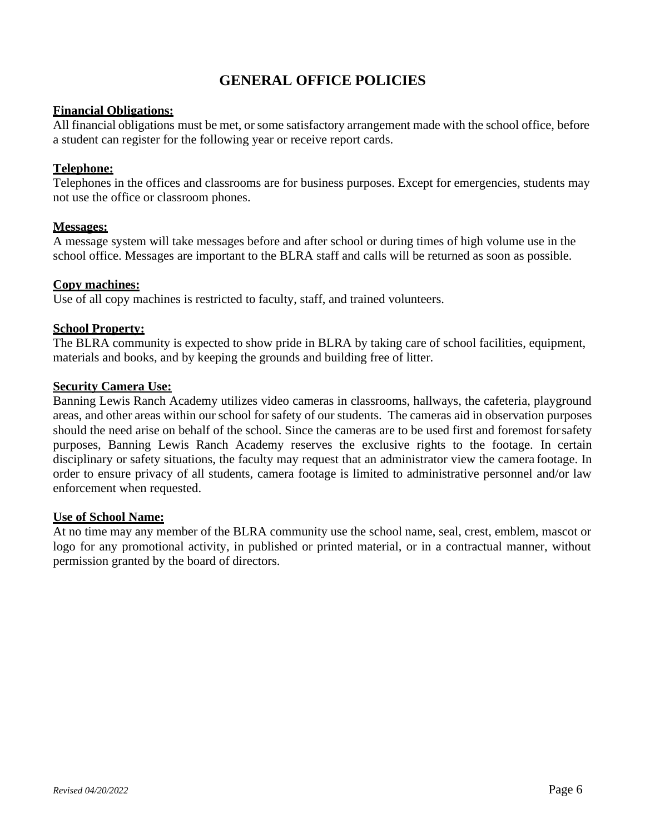### **GENERAL OFFICE POLICIES**

### <span id="page-5-0"></span>**Financial Obligations:**

All financial obligations must be met, or some satisfactory arrangement made with the school office, before a student can register for the following year or receive report cards.

### **Telephone:**

Telephones in the offices and classrooms are for business purposes. Except for emergencies, students may not use the office or classroom phones.

### **Messages:**

A message system will take messages before and after school or during times of high volume use in the school office. Messages are important to the BLRA staff and calls will be returned as soon as possible.

### **Copy machines:**

Use of all copy machines is restricted to faculty, staff, and trained volunteers.

### **School Property:**

The BLRA community is expected to show pride in BLRA by taking care of school facilities, equipment, materials and books, and by keeping the grounds and building free of litter.

### **Security Camera Use:**

Banning Lewis Ranch Academy utilizes video cameras in classrooms, hallways, the cafeteria, playground areas, and other areas within our school for safety of our students. The cameras aid in observation purposes should the need arise on behalf of the school. Since the cameras are to be used first and foremost forsafety purposes, Banning Lewis Ranch Academy reserves the exclusive rights to the footage. In certain disciplinary or safety situations, the faculty may request that an administrator view the camera footage. In order to ensure privacy of all students, camera footage is limited to administrative personnel and/or law enforcement when requested.

### **Use of School Name:**

At no time may any member of the BLRA community use the school name, seal, crest, emblem, mascot or logo for any promotional activity, in published or printed material, or in a contractual manner, without permission granted by the board of directors.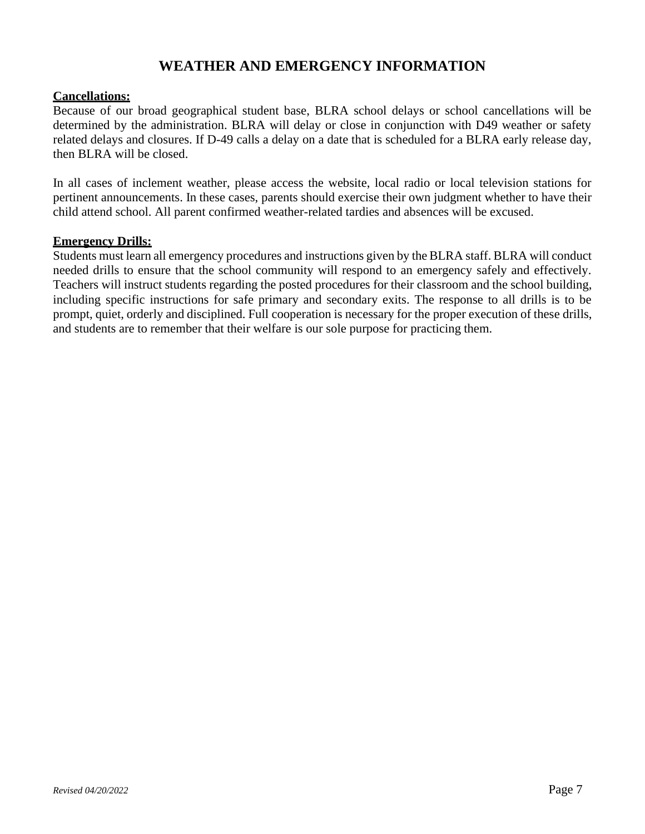### **WEATHER AND EMERGENCY INFORMATION**

### <span id="page-6-0"></span>**Cancellations:**

Because of our broad geographical student base, BLRA school delays or school cancellations will be determined by the administration. BLRA will delay or close in conjunction with D49 weather or safety related delays and closures. If D-49 calls a delay on a date that is scheduled for a BLRA early release day, then BLRA will be closed.

In all cases of inclement weather, please access the website, local radio or local television stations for pertinent announcements. In these cases, parents should exercise their own judgment whether to have their child attend school. All parent confirmed weather-related tardies and absences will be excused.

### **Emergency Drills:**

Students must learn all emergency procedures and instructions given by the BLRA staff. BLRA will conduct needed drills to ensure that the school community will respond to an emergency safely and effectively. Teachers will instruct students regarding the posted procedures for their classroom and the school building, including specific instructions for safe primary and secondary exits. The response to all drills is to be prompt, quiet, orderly and disciplined. Full cooperation is necessary for the proper execution of these drills, and students are to remember that their welfare is our sole purpose for practicing them.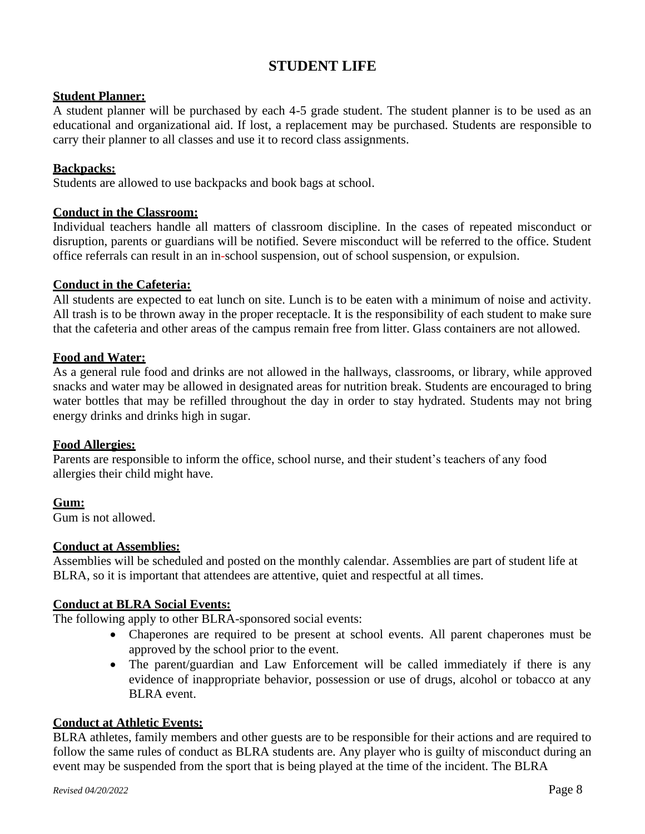### **STUDENT LIFE**

### <span id="page-7-0"></span>**Student Planner:**

A student planner will be purchased by each 4-5 grade student. The student planner is to be used as an educational and organizational aid. If lost, a replacement may be purchased. Students are responsible to carry their planner to all classes and use it to record class assignments.

### **Backpacks:**

Students are allowed to use backpacks and book bags at school.

### **Conduct in the Classroom:**

Individual teachers handle all matters of classroom discipline. In the cases of repeated misconduct or disruption, parents or guardians will be notified. Severe misconduct will be referred to the office. Student office referrals can result in an in-school suspension, out of school suspension, or expulsion.

### **Conduct in the Cafeteria:**

All students are expected to eat lunch on site. Lunch is to be eaten with a minimum of noise and activity. All trash is to be thrown away in the proper receptacle. It is the responsibility of each student to make sure that the cafeteria and other areas of the campus remain free from litter. Glass containers are not allowed.

### **Food and Water:**

As a general rule food and drinks are not allowed in the hallways, classrooms, or library, while approved snacks and water may be allowed in designated areas for nutrition break. Students are encouraged to bring water bottles that may be refilled throughout the day in order to stay hydrated. Students may not bring energy drinks and drinks high in sugar.

### **Food Allergies:**

Parents are responsible to inform the office, school nurse, and their student's teachers of any food allergies their child might have.

### **Gum:**

Gum is not allowed.

### **Conduct at Assemblies:**

Assemblies will be scheduled and posted on the monthly calendar. Assemblies are part of student life at BLRA, so it is important that attendees are attentive, quiet and respectful at all times.

### **Conduct at BLRA Social Events:**

The following apply to other BLRA-sponsored social events:

- Chaperones are required to be present at school events. All parent chaperones must be approved by the school prior to the event.
- The parent/guardian and Law Enforcement will be called immediately if there is any evidence of inappropriate behavior, possession or use of drugs, alcohol or tobacco at any BLRA event.

### **Conduct at Athletic Events:**

BLRA athletes, family members and other guests are to be responsible for their actions and are required to follow the same rules of conduct as BLRA students are. Any player who is guilty of misconduct during an event may be suspended from the sport that is being played at the time of the incident. The BLRA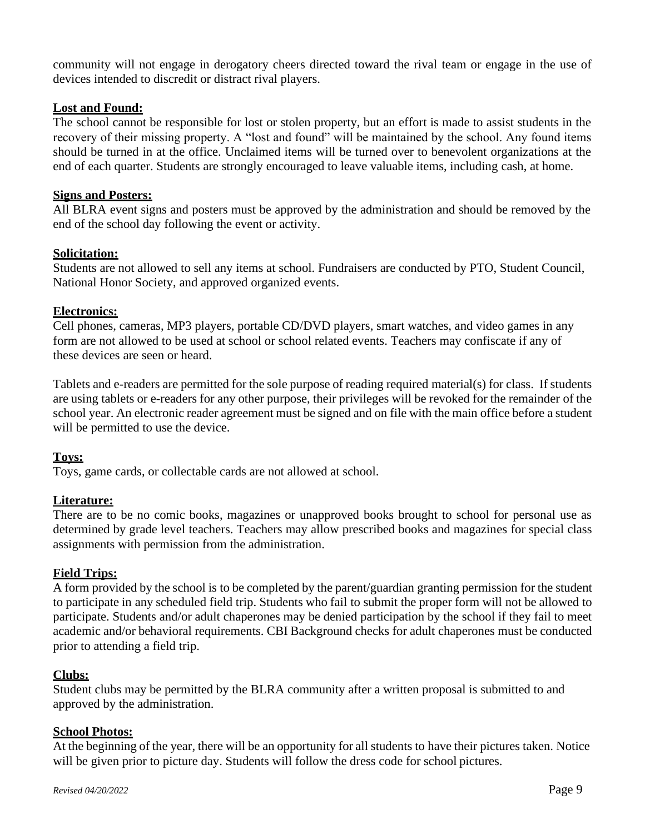community will not engage in derogatory cheers directed toward the rival team or engage in the use of devices intended to discredit or distract rival players.

### **Lost and Found:**

The school cannot be responsible for lost or stolen property, but an effort is made to assist students in the recovery of their missing property. A "lost and found" will be maintained by the school. Any found items should be turned in at the office. Unclaimed items will be turned over to benevolent organizations at the end of each quarter. Students are strongly encouraged to leave valuable items, including cash, at home.

### **Signs and Posters:**

All BLRA event signs and posters must be approved by the administration and should be removed by the end of the school day following the event or activity.

### **Solicitation:**

Students are not allowed to sell any items at school. Fundraisers are conducted by PTO, Student Council, National Honor Society, and approved organized events.

#### **Electronics:**

Cell phones, cameras, MP3 players, portable CD/DVD players, smart watches, and video games in any form are not allowed to be used at school or school related events. Teachers may confiscate if any of these devices are seen or heard.

Tablets and e-readers are permitted for the sole purpose of reading required material(s) for class. If students are using tablets or e-readers for any other purpose, their privileges will be revoked for the remainder of the school year. An electronic reader agreement must be signed and on file with the main office before a student will be permitted to use the device.

### **Toys:**

Toys, game cards, or collectable cards are not allowed at school.

### **Literature:**

There are to be no comic books, magazines or unapproved books brought to school for personal use as determined by grade level teachers. Teachers may allow prescribed books and magazines for special class assignments with permission from the administration.

### **Field Trips:**

A form provided by the school is to be completed by the parent/guardian granting permission for the student to participate in any scheduled field trip. Students who fail to submit the proper form will not be allowed to participate. Students and/or adult chaperones may be denied participation by the school if they fail to meet academic and/or behavioral requirements. CBI Background checks for adult chaperones must be conducted prior to attending a field trip.

### **Clubs:**

Student clubs may be permitted by the BLRA community after a written proposal is submitted to and approved by the administration.

### **School Photos:**

At the beginning of the year, there will be an opportunity for all students to have their pictures taken. Notice will be given prior to picture day. Students will follow the dress code for school pictures.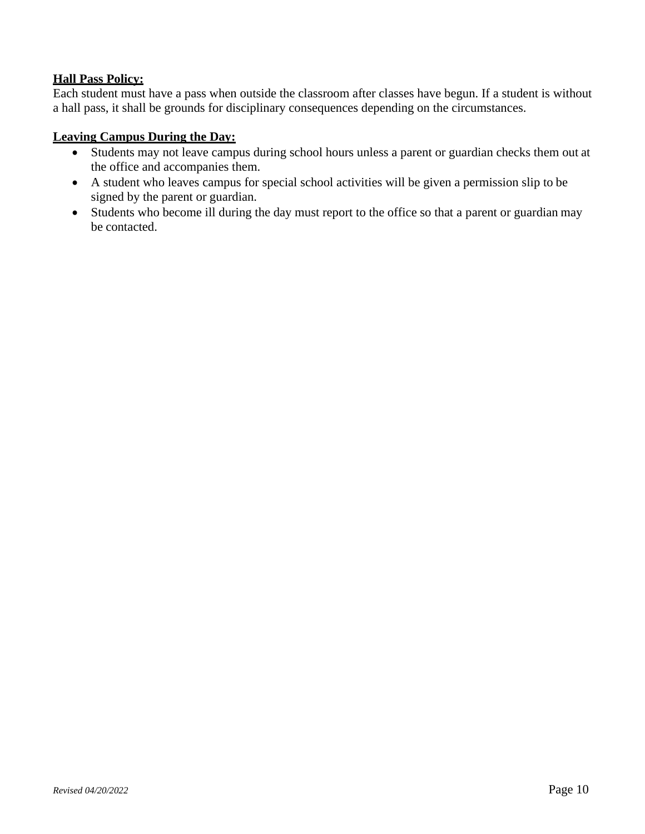### **Hall Pass Policy:**

Each student must have a pass when outside the classroom after classes have begun. If a student is without a hall pass, it shall be grounds for disciplinary consequences depending on the circumstances.

### **Leaving Campus During the Day:**

- Students may not leave campus during school hours unless a parent or guardian checks them out at the office and accompanies them.
- A student who leaves campus for special school activities will be given a permission slip to be signed by the parent or guardian.
- Students who become ill during the day must report to the office so that a parent or guardian may be contacted.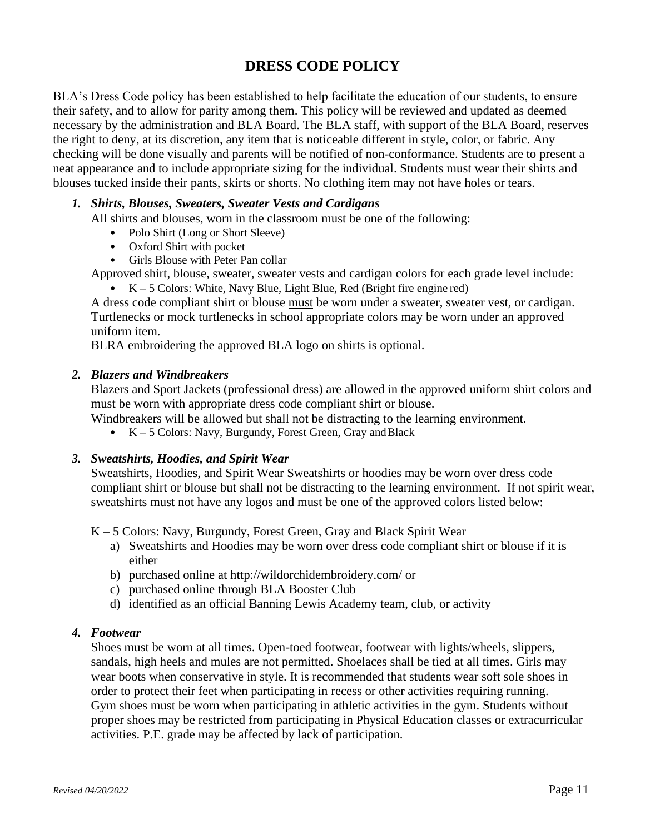### **DRESS CODE POLICY**

<span id="page-10-0"></span>BLA's Dress Code policy has been established to help facilitate the education of our students, to ensure their safety, and to allow for parity among them. This policy will be reviewed and updated as deemed necessary by the administration and BLA Board. The BLA staff, with support of the BLA Board, reserves the right to deny, at its discretion, any item that is noticeable different in style, color, or fabric. Any checking will be done visually and parents will be notified of non-conformance. Students are to present a neat appearance and to include appropriate sizing for the individual. Students must wear their shirts and blouses tucked inside their pants, skirts or shorts. No clothing item may not have holes or tears.

### *1. Shirts, Blouses, Sweaters, Sweater Vests and Cardigans*

All shirts and blouses, worn in the classroom must be one of the following:

- Polo Shirt (Long or Short Sleeve)
- Oxford Shirt with pocket
- Girls Blouse with Peter Pan collar
- Approved shirt, blouse, sweater, sweater vests and cardigan colors for each grade level include:
	- $K 5$  Colors: White, Navy Blue, Light Blue, Red (Bright fire engine red)

A dress code compliant shirt or blouse must be worn under a sweater, sweater vest, or cardigan. Turtlenecks or mock turtlenecks in school appropriate colors may be worn under an approved uniform item.

BLRA embroidering the approved BLA logo on shirts is optional.

#### *2. Blazers and Windbreakers*

Blazers and Sport Jackets (professional dress) are allowed in the approved uniform shirt colors and must be worn with appropriate dress code compliant shirt or blouse.

Windbreakers will be allowed but shall not be distracting to the learning environment.

•  $K - 5$  Colors: Navy, Burgundy, Forest Green, Gray and Black

### *3. Sweatshirts, Hoodies, and Spirit Wear*

Sweatshirts, Hoodies, and Spirit Wear Sweatshirts or hoodies may be worn over dress code compliant shirt or blouse but shall not be distracting to the learning environment. If not spirit wear, sweatshirts must not have any logos and must be one of the approved colors listed below:

K – 5 Colors: Navy, Burgundy, Forest Green, Gray and Black Spirit Wear

- a) Sweatshirts and Hoodies may be worn over dress code compliant shirt or blouse if it is either
- b) purchased online at [http://wildorchidembroidery.com/](https://nam02.safelinks.protection.outlook.com/?url=http%3A%2F%2Fwildorchidembroidery.com%2F&data=04%7C01%7Ccprosch%40blracademy.org%7C93eb5f58c72846a00fe008da1e6e624c%7C4f48161dd9724dbb83740fd5b53a0be7%7C0%7C0%7C637855756697898156%7CUnknown%7CTWFpbGZsb3d8eyJWIjoiMC4wLjAwMDAiLCJQIjoiV2luMzIiLCJBTiI6Ik1haWwiLCJXVCI6Mn0%3D%7C3000&sdata=dYUJprHea0CqBRyIT5zzllAPmWw58oOiGHIDT0Em5tY%3D&reserved=0) or
- c) purchased online through BLA Booster Club
- d) identified as an official Banning Lewis Academy team, club, or activity

### *4. Footwear*

Shoes must be worn at all times. Open-toed footwear, footwear with lights/wheels, slippers, sandals, high heels and mules are not permitted. Shoelaces shall be tied at all times. Girls may wear boots when conservative in style. It is recommended that students wear soft sole shoes in order to protect their feet when participating in recess or other activities requiring running. Gym shoes must be worn when participating in athletic activities in the gym. Students without proper shoes may be restricted from participating in Physical Education classes or extracurricular activities. P.E. grade may be affected by lack of participation.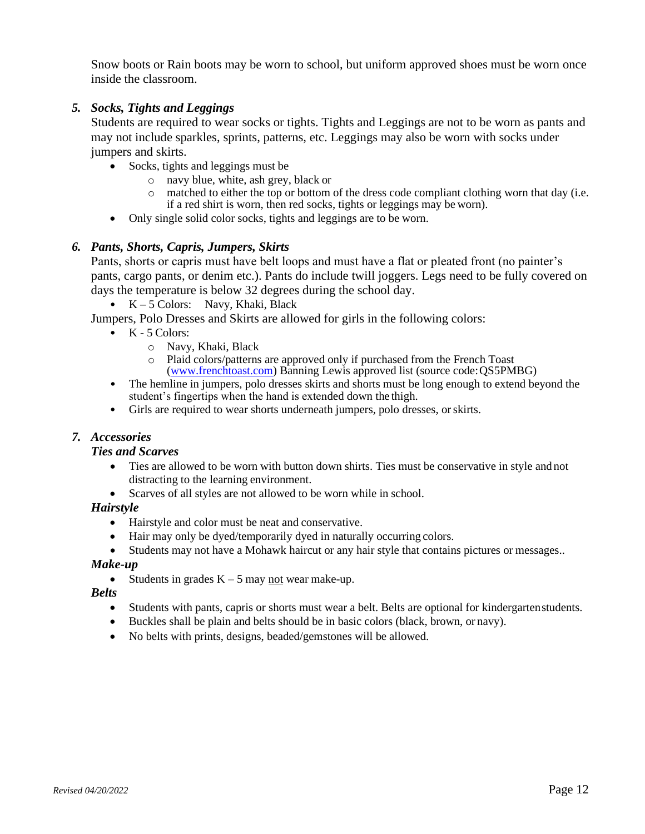Snow boots or Rain boots may be worn to school, but uniform approved shoes must be worn once inside the classroom.

### *5. Socks, Tights and Leggings*

Students are required to wear socks or tights. Tights and Leggings are not to be worn as pants and may not include sparkles, sprints, patterns, etc. Leggings may also be worn with socks under jumpers and skirts.

- Socks, tights and leggings must be
	- o navy blue, white, ash grey, black or
	- $\circ$  matched to either the top or bottom of the dress code compliant clothing worn that day (i.e. if a red shirt is worn, then red socks, tights or leggings may be worn).
- Only single solid color socks, tights and leggings are to be worn.

### *6. Pants, Shorts, Capris, Jumpers, Skirts*

Pants, shorts or capris must have belt loops and must have a flat or pleated front (no painter's pants, cargo pants, or denim etc.). Pants do include twill joggers. Legs need to be fully covered on days the temperature is below 32 degrees during the school day.

 $K - 5$  Colors: Navy, Khaki, Black

Jumpers, Polo Dresses and Skirts are allowed for girls in the following colors:

- $\bullet$  K 5 Colors:
	- o Navy, Khaki, Black
	- o Plaid colors/patterns are approved only if purchased from the French Toast [\(www.frenchtoast.com\)](http://www.frenchtoast.com/) Banning Lewis approved list (source code:QS5PMBG)
- The hemline in jumpers, polo dresses skirts and shorts must be long enough to extend beyond the student's fingertips when the hand is extended down the thigh.
- Girls are required to wear shorts underneath jumpers, polo dresses, orskirts.

### *7. Accessories*

### *Ties and Scarves*

- Ties are allowed to be worn with button down shirts. Ties must be conservative in style and not distracting to the learning environment.
- Scarves of all styles are not allowed to be worn while in school.

### *Hairstyle*

- Hairstyle and color must be neat and conservative.
- Hair may only be dyed/temporarily dyed in naturally occurring colors.
- Students may not have a Mohawk haircut or any hair style that contains pictures or messages..

### *Make-up*

• Students in grades  $K - 5$  may not wear make-up.

### *Belts*

- Students with pants, capris or shorts must wear a belt. Belts are optional for kindergartenstudents.
- Buckles shall be plain and belts should be in basic colors (black, brown, or navy).
- No belts with prints, designs, beaded/gemstones will be allowed.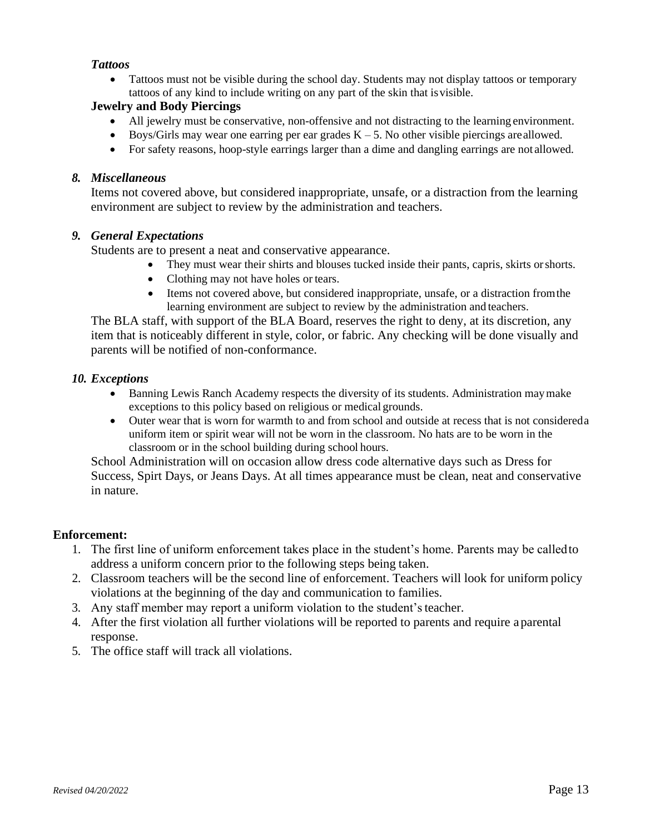### *Tattoos*

• Tattoos must not be visible during the school day. Students may not display tattoos or temporary tattoos of any kind to include writing on any part of the skin that isvisible.

### **Jewelry and Body Piercings**

- All jewelry must be conservative, non-offensive and not distracting to the learning environment.
- Boys/Girls may wear one earring per ear grades  $K 5$ . No other visible piercings are allowed.
- For safety reasons, hoop-style earrings larger than a dime and dangling earrings are not allowed.

### *8. Miscellaneous*

Items not covered above, but considered inappropriate, unsafe, or a distraction from the learning environment are subject to review by the administration and teachers.

### *9. General Expectations*

Students are to present a neat and conservative appearance.

- They must wear their shirts and blouses tucked inside their pants, capris, skirts orshorts.
- Clothing may not have holes or tears.
- Items not covered above, but considered inappropriate, unsafe, or a distraction fromthe learning environment are subject to review by the administration and teachers.

The BLA staff, with support of the BLA Board, reserves the right to deny, at its discretion, any item that is noticeably different in style, color, or fabric. Any checking will be done visually and parents will be notified of non-conformance.

### *10. Exceptions*

- Banning Lewis Ranch Academy respects the diversity of its students. Administration maymake exceptions to this policy based on religious or medical grounds.
- Outer wear that is worn for warmth to and from school and outside at recess that is not considereda uniform item or spirit wear will not be worn in the classroom. No hats are to be worn in the classroom or in the school building during school hours.

School Administration will on occasion allow dress code alternative days such as Dress for Success, Spirt Days, or Jeans Days. At all times appearance must be clean, neat and conservative in nature.

### **Enforcement:**

- 1. The first line of uniform enforcement takes place in the student's home. Parents may be calledto address a uniform concern prior to the following steps being taken.
- 2. Classroom teachers will be the second line of enforcement. Teachers will look for uniform policy violations at the beginning of the day and communication to families.
- 3. Any staff member may report a uniform violation to the student'steacher.
- 4. After the first violation all further violations will be reported to parents and require aparental response.
- 5. The office staff will track all violations.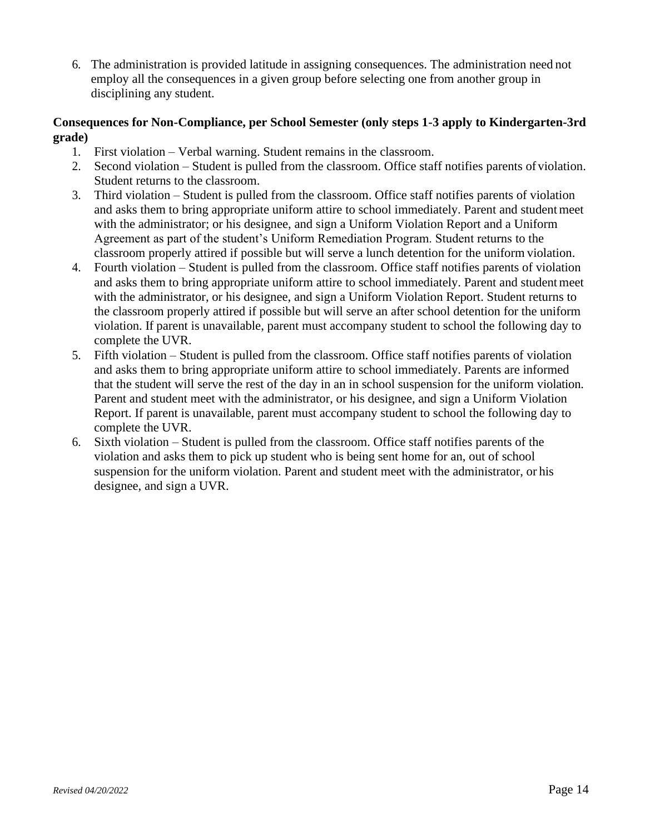6. The administration is provided latitude in assigning consequences. The administration need not employ all the consequences in a given group before selecting one from another group in disciplining any student.

### **Consequences for Non-Compliance, per School Semester (only steps 1-3 apply to Kindergarten-3rd grade)**

- 1. First violation Verbal warning. Student remains in the classroom.
- 2. Second violation Student is pulled from the classroom. Office staff notifies parents of violation. Student returns to the classroom.
- 3. Third violation Student is pulled from the classroom. Office staff notifies parents of violation and asks them to bring appropriate uniform attire to school immediately. Parent and student meet with the administrator; or his designee, and sign a Uniform Violation Report and a Uniform Agreement as part of the student's Uniform Remediation Program. Student returns to the classroom properly attired if possible but will serve a lunch detention for the uniform violation.
- 4. Fourth violation Student is pulled from the classroom. Office staff notifies parents of violation and asks them to bring appropriate uniform attire to school immediately. Parent and studentmeet with the administrator, or his designee, and sign a Uniform Violation Report. Student returns to the classroom properly attired if possible but will serve an after school detention for the uniform violation. If parent is unavailable, parent must accompany student to school the following day to complete the UVR.
- 5. Fifth violation Student is pulled from the classroom. Office staff notifies parents of violation and asks them to bring appropriate uniform attire to school immediately. Parents are informed that the student will serve the rest of the day in an in school suspension for the uniform violation. Parent and student meet with the administrator, or his designee, and sign a Uniform Violation Report. If parent is unavailable, parent must accompany student to school the following day to complete the UVR.
- 6. Sixth violation Student is pulled from the classroom. Office staff notifies parents of the violation and asks them to pick up student who is being sent home for an, out of school suspension for the uniform violation. Parent and student meet with the administrator, or his designee, and sign a UVR.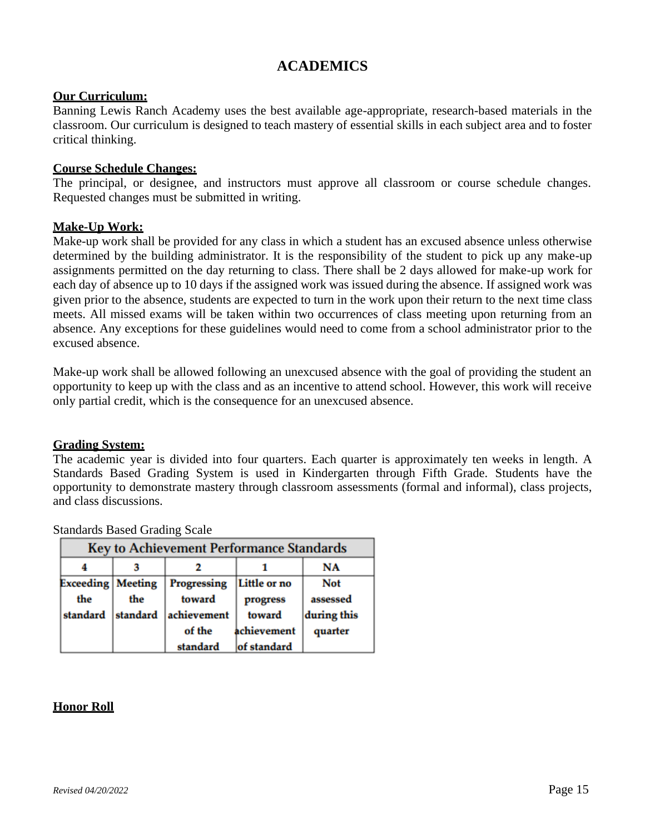### **ACADEMICS**

### <span id="page-14-0"></span>**Our Curriculum:**

Banning Lewis Ranch Academy uses the best available age-appropriate, research-based materials in the classroom. Our curriculum is designed to teach mastery of essential skills in each subject area and to foster critical thinking.

### **Course Schedule Changes:**

The principal, or designee, and instructors must approve all classroom or course schedule changes. Requested changes must be submitted in writing.

#### **Make-Up Work:**

Make-up work shall be provided for any class in which a student has an excused absence unless otherwise determined by the building administrator. It is the responsibility of the student to pick up any make-up assignments permitted on the day returning to class. There shall be 2 days allowed for make-up work for each day of absence up to 10 days if the assigned work was issued during the absence. If assigned work was given prior to the absence, students are expected to turn in the work upon their return to the next time class meets. All missed exams will be taken within two occurrences of class meeting upon returning from an absence. Any exceptions for these guidelines would need to come from a school administrator prior to the excused absence.

Make-up work shall be allowed following an unexcused absence with the goal of providing the student an opportunity to keep up with the class and as an incentive to attend school. However, this work will receive only partial credit, which is the consequence for an unexcused absence.

#### **Grading System:**

The academic year is divided into four quarters. Each quarter is approximately ten weeks in length. A Standards Based Grading System is used in Kindergarten through Fifth Grade. Students have the opportunity to demonstrate mastery through classroom assessments (formal and informal), class projects, and class discussions.

|                            | <b>Key to Achievement Performance Standards</b> |             |              |             |  |  |
|----------------------------|-------------------------------------------------|-------------|--------------|-------------|--|--|
|                            | NA                                              |             |              |             |  |  |
| <b>Exceeding   Meeting</b> |                                                 | Progressing | Little or no | <b>Not</b>  |  |  |
| the                        | the                                             | toward      | progress     | assessed    |  |  |
| standard                   | standard                                        | achievement | toward       | during this |  |  |
|                            |                                                 | of the      | achievement  | quarter     |  |  |
|                            |                                                 | standard    | of standard  |             |  |  |

Standards Based Grading Scale

### **Honor Roll**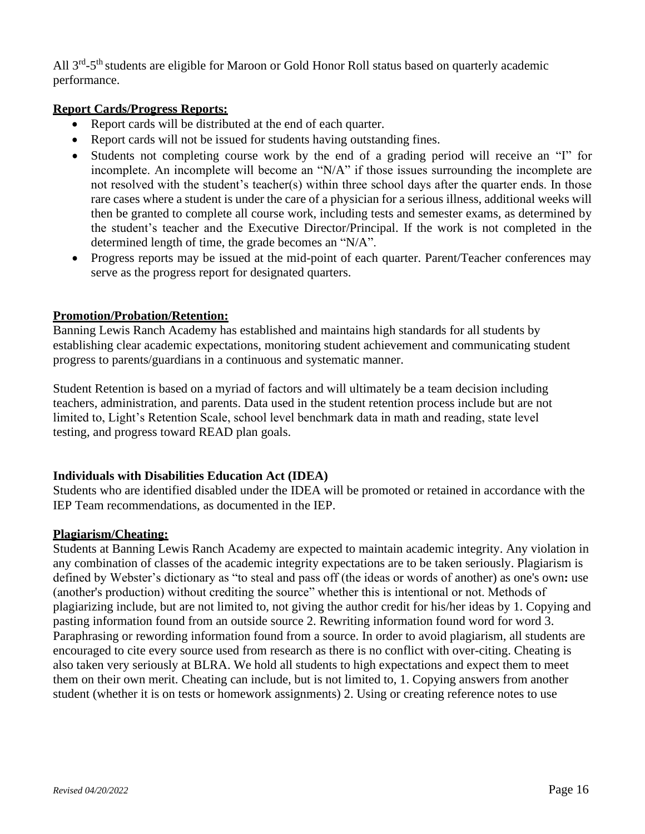All 3<sup>rd</sup>-5<sup>th</sup> students are eligible for Maroon or Gold Honor Roll status based on quarterly academic performance.

### **Report Cards/Progress Reports:**

- Report cards will be distributed at the end of each quarter.
- Report cards will not be issued for students having outstanding fines.
- Students not completing course work by the end of a grading period will receive an "I" for incomplete. An incomplete will become an "N/A" if those issues surrounding the incomplete are not resolved with the student's teacher(s) within three school days after the quarter ends. In those rare cases where a student is under the care of a physician for a serious illness, additional weeks will then be granted to complete all course work, including tests and semester exams, as determined by the student's teacher and the Executive Director/Principal. If the work is not completed in the determined length of time, the grade becomes an "N/A".
- Progress reports may be issued at the mid-point of each quarter. Parent/Teacher conferences may serve as the progress report for designated quarters.

### **Promotion/Probation/Retention:**

Banning Lewis Ranch Academy has established and maintains high standards for all students by establishing clear academic expectations, monitoring student achievement and communicating student progress to parents/guardians in a continuous and systematic manner.

Student Retention is based on a myriad of factors and will ultimately be a team decision including teachers, administration, and parents. Data used in the student retention process include but are not limited to, Light's Retention Scale, school level benchmark data in math and reading, state level testing, and progress toward READ plan goals.

### **Individuals with Disabilities Education Act (IDEA)**

Students who are identified disabled under the IDEA will be promoted or retained in accordance with the IEP Team recommendations, as documented in the IEP.

### **Plagiarism/Cheating:**

Students at Banning Lewis Ranch Academy are expected to maintain academic integrity. Any violation in any combination of classes of the academic integrity expectations are to be taken seriously. Plagiarism is defined by Webster's dictionary as "to steal and pass off (the ideas or words of another) as one's own**:** use (another's production) without crediting the source" whether this is intentional or not. Methods of plagiarizing include, but are not limited to, not giving the author credit for his/her ideas by 1. Copying and pasting information found from an outside source 2. Rewriting information found word for word 3. Paraphrasing or rewording information found from a source. In order to avoid plagiarism, all students are encouraged to cite every source used from research as there is no conflict with over-citing. Cheating is also taken very seriously at BLRA. We hold all students to high expectations and expect them to meet them on their own merit. Cheating can include, but is not limited to, 1. Copying answers from another student (whether it is on tests or homework assignments) 2. Using or creating reference notes to use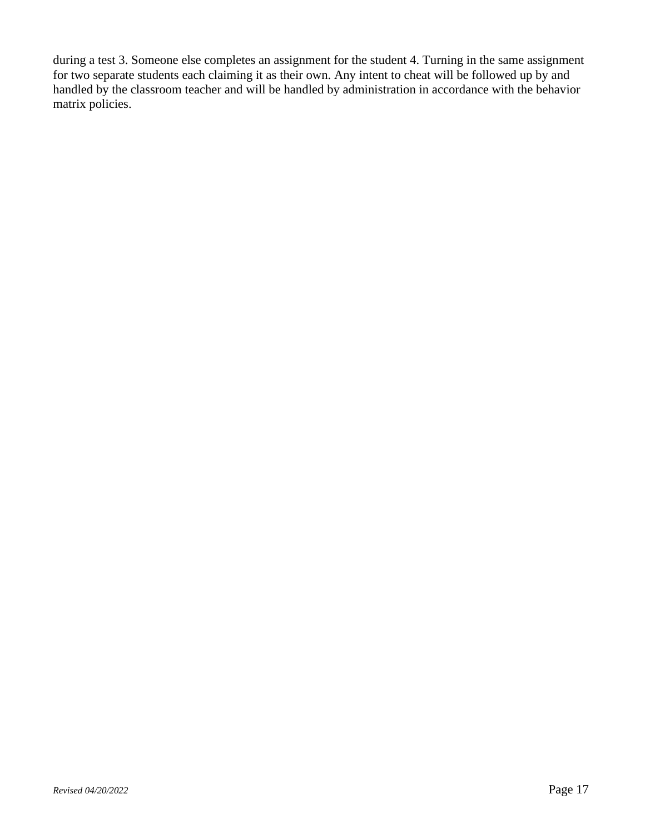during a test 3. Someone else completes an assignment for the student 4. Turning in the same assignment for two separate students each claiming it as their own. Any intent to cheat will be followed up by and handled by the classroom teacher and will be handled by administration in accordance with the behavior matrix policies.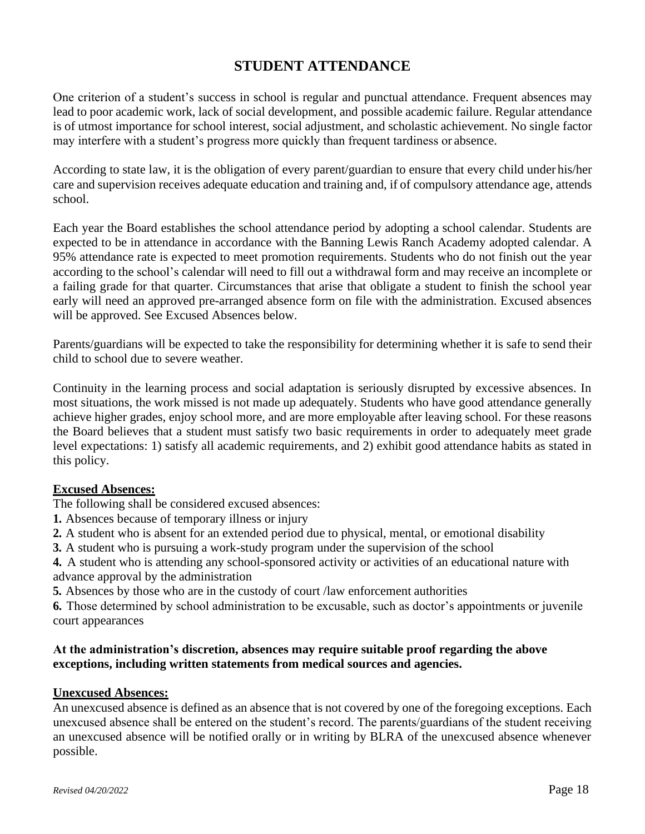### **STUDENT ATTENDANCE**

<span id="page-17-0"></span>One criterion of a student's success in school is regular and punctual attendance. Frequent absences may lead to poor academic work, lack of social development, and possible academic failure. Regular attendance is of utmost importance for school interest, social adjustment, and scholastic achievement. No single factor may interfere with a student's progress more quickly than frequent tardiness or absence.

According to state law, it is the obligation of every parent/guardian to ensure that every child under his/her care and supervision receives adequate education and training and, if of compulsory attendance age, attends school.

Each year the Board establishes the school attendance period by adopting a school calendar. Students are expected to be in attendance in accordance with the Banning Lewis Ranch Academy adopted calendar. A 95% attendance rate is expected to meet promotion requirements. Students who do not finish out the year according to the school's calendar will need to fill out a withdrawal form and may receive an incomplete or a failing grade for that quarter. Circumstances that arise that obligate a student to finish the school year early will need an approved pre-arranged absence form on file with the administration. Excused absences will be approved. See Excused Absences below.

Parents/guardians will be expected to take the responsibility for determining whether it is safe to send their child to school due to severe weather.

Continuity in the learning process and social adaptation is seriously disrupted by excessive absences. In most situations, the work missed is not made up adequately. Students who have good attendance generally achieve higher grades, enjoy school more, and are more employable after leaving school. For these reasons the Board believes that a student must satisfy two basic requirements in order to adequately meet grade level expectations: 1) satisfy all academic requirements, and 2) exhibit good attendance habits as stated in this policy.

### **Excused Absences:**

The following shall be considered excused absences:

- **1.** Absences because of temporary illness or injury
- **2.** A student who is absent for an extended period due to physical, mental, or emotional disability
- **3.** A student who is pursuing a work-study program under the supervision of the school

**4.** A student who is attending any school-sponsored activity or activities of an educational nature with advance approval by the administration

**5.** Absences by those who are in the custody of court /law enforcement authorities

**6.** Those determined by school administration to be excusable, such as doctor's appointments or juvenile court appearances

### **At the administration's discretion, absences may require suitable proof regarding the above exceptions, including written statements from medical sources and agencies.**

### **Unexcused Absences:**

An unexcused absence is defined as an absence that is not covered by one of the foregoing exceptions. Each unexcused absence shall be entered on the student's record. The parents/guardians of the student receiving an unexcused absence will be notified orally or in writing by BLRA of the unexcused absence whenever possible.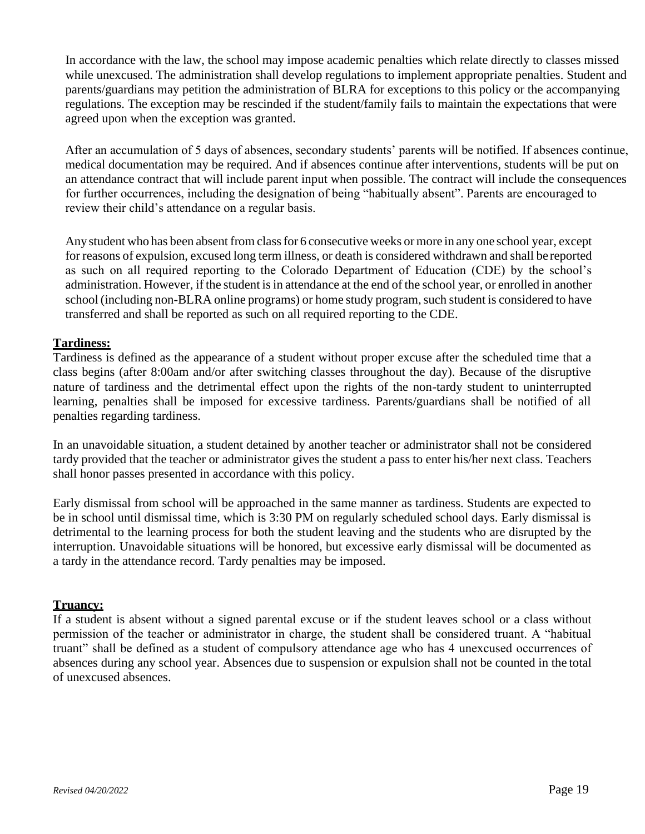In accordance with the law, the school may impose academic penalties which relate directly to classes missed while unexcused. The administration shall develop regulations to implement appropriate penalties. Student and parents/guardians may petition the administration of BLRA for exceptions to this policy or the accompanying regulations. The exception may be rescinded if the student/family fails to maintain the expectations that were agreed upon when the exception was granted.

After an accumulation of 5 days of absences, secondary students' parents will be notified. If absences continue, medical documentation may be required. And if absences continue after interventions, students will be put on an attendance contract that will include parent input when possible. The contract will include the consequences for further occurrences, including the designation of being "habitually absent". Parents are encouraged to review their child's attendance on a regular basis.

Any student who has been absent from class for 6 consecutive weeks or more in any one school year, except for reasons of expulsion, excused long term illness, or death is considered withdrawn and shall be reported as such on all required reporting to the Colorado Department of Education (CDE) by the school's administration. However, if the student isin attendance at the end of the school year, or enrolled in another school (including non-BLRA online programs) or home study program, such student is considered to have transferred and shall be reported as such on all required reporting to the CDE.

### **Tardiness:**

Tardiness is defined as the appearance of a student without proper excuse after the scheduled time that a class begins (after 8:00am and/or after switching classes throughout the day). Because of the disruptive nature of tardiness and the detrimental effect upon the rights of the non-tardy student to uninterrupted learning, penalties shall be imposed for excessive tardiness. Parents/guardians shall be notified of all penalties regarding tardiness.

In an unavoidable situation, a student detained by another teacher or administrator shall not be considered tardy provided that the teacher or administrator gives the student a pass to enter his/her next class. Teachers shall honor passes presented in accordance with this policy.

Early dismissal from school will be approached in the same manner as tardiness. Students are expected to be in school until dismissal time, which is 3:30 PM on regularly scheduled school days. Early dismissal is detrimental to the learning process for both the student leaving and the students who are disrupted by the interruption. Unavoidable situations will be honored, but excessive early dismissal will be documented as a tardy in the attendance record. Tardy penalties may be imposed.

### **Truancy:**

If a student is absent without a signed parental excuse or if the student leaves school or a class without permission of the teacher or administrator in charge, the student shall be considered truant. A "habitual truant" shall be defined as a student of compulsory attendance age who has 4 unexcused occurrences of absences during any school year. Absences due to suspension or expulsion shall not be counted in the total of unexcused absences.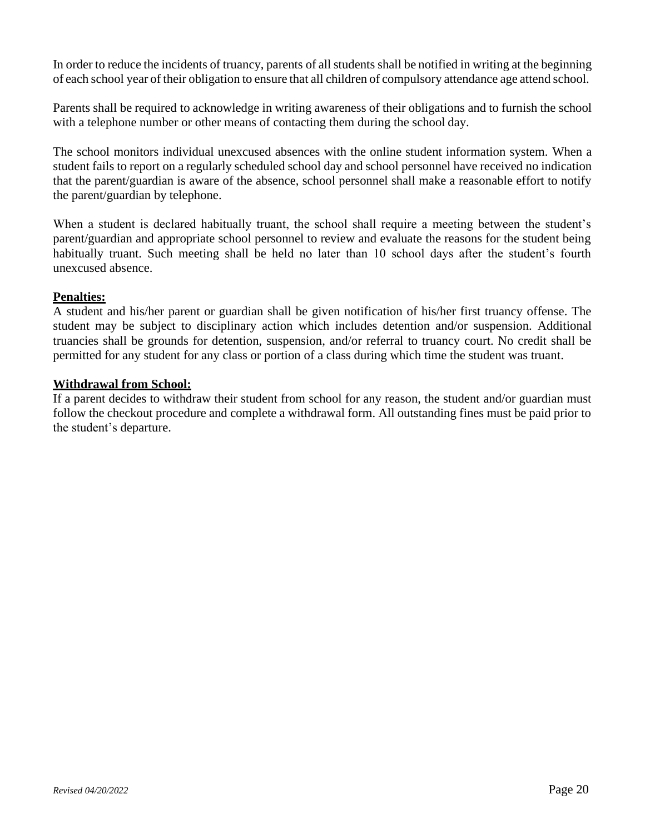In order to reduce the incidents of truancy, parents of all students shall be notified in writing at the beginning of each school year of their obligation to ensure that all children of compulsory attendance age attend school.

Parents shall be required to acknowledge in writing awareness of their obligations and to furnish the school with a telephone number or other means of contacting them during the school day.

The school monitors individual unexcused absences with the online student information system. When a student fails to report on a regularly scheduled school day and school personnel have received no indication that the parent/guardian is aware of the absence, school personnel shall make a reasonable effort to notify the parent/guardian by telephone.

When a student is declared habitually truant, the school shall require a meeting between the student's parent/guardian and appropriate school personnel to review and evaluate the reasons for the student being habitually truant. Such meeting shall be held no later than 10 school days after the student's fourth unexcused absence.

### **Penalties:**

A student and his/her parent or guardian shall be given notification of his/her first truancy offense. The student may be subject to disciplinary action which includes detention and/or suspension. Additional truancies shall be grounds for detention, suspension, and/or referral to truancy court. No credit shall be permitted for any student for any class or portion of a class during which time the student was truant.

### **Withdrawal from School:**

If a parent decides to withdraw their student from school for any reason, the student and/or guardian must follow the checkout procedure and complete a withdrawal form. All outstanding fines must be paid prior to the student's departure.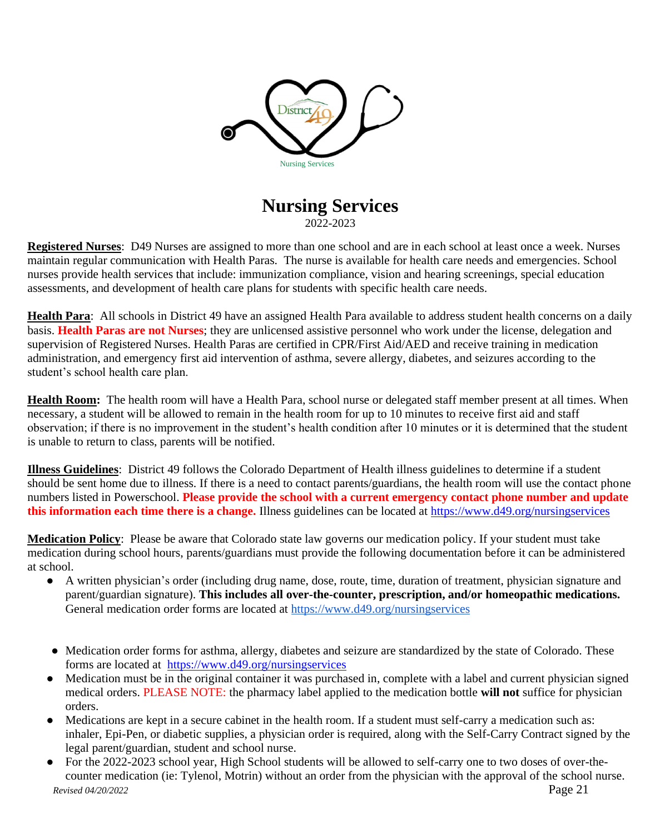

### **Nursing Services** 2022-2023

<span id="page-20-0"></span>**Registered Nurses**: D49 Nurses are assigned to more than one school and are in each school at least once a week. Nurses maintain regular communication with Health Paras. The nurse is available for health care needs and emergencies. School nurses provide health services that include: immunization compliance, vision and hearing screenings, special education assessments, and development of health care plans for students with specific health care needs.

**Health Para**: All schools in District 49 have an assigned Health Para available to address student health concerns on a daily basis. **Health Paras are not Nurses**; they are unlicensed assistive personnel who work under the license, delegation and supervision of Registered Nurses. Health Paras are certified in CPR/First Aid/AED and receive training in medication administration, and emergency first aid intervention of asthma, severe allergy, diabetes, and seizures according to the student's school health care plan.

**Health Room:** The health room will have a Health Para, school nurse or delegated staff member present at all times. When necessary, a student will be allowed to remain in the health room for up to 10 minutes to receive first aid and staff observation; if there is no improvement in the student's health condition after 10 minutes or it is determined that the student is unable to return to class, parents will be notified.

**Illness Guidelines**: District 49 follows the Colorado Department of Health illness guidelines to determine if a student should be sent home due to illness. If there is a need to contact parents/guardians, the health room will use the contact phone numbers listed in Powerschool. **Please provide the school with a current emergency contact phone number and update this information each time there is a change.** Illness guidelines can be located at https://www.d49.org/nursingservices

**Medication Policy**: Please be aware that Colorado state law governs our medication policy. If your student must take medication during school hours, parents/guardians must provide the following documentation before it can be administered at school.

- A written physician's order (including drug name, dose, route, time, duration of treatment, physician signature and parent/guardian signature). **This includes all over-the-counter, prescription, and/or homeopathic medications.**  General medication order forms are located at <https://www.d49.org/nursingservices>
- Medication order forms for asthma, allergy, diabetes and seizure are standardized by the state of Colorado. These forms are located at https://www.d49.org/nursingservices
- Medication must be in the original container it was purchased in, complete with a label and current physician signed medical orders. PLEASE NOTE: the pharmacy label applied to the medication bottle **will not** suffice for physician orders.
- Medications are kept in a secure cabinet in the health room. If a student must self-carry a medication such as: inhaler, Epi-Pen, or diabetic supplies, a physician order is required, along with the Self-Carry Contract signed by the legal parent/guardian, student and school nurse.
- *Revised 04/20/2022* Page 21 ● For the 2022-2023 school year, High School students will be allowed to self-carry one to two doses of over-thecounter medication (ie: Tylenol, Motrin) without an order from the physician with the approval of the school nurse.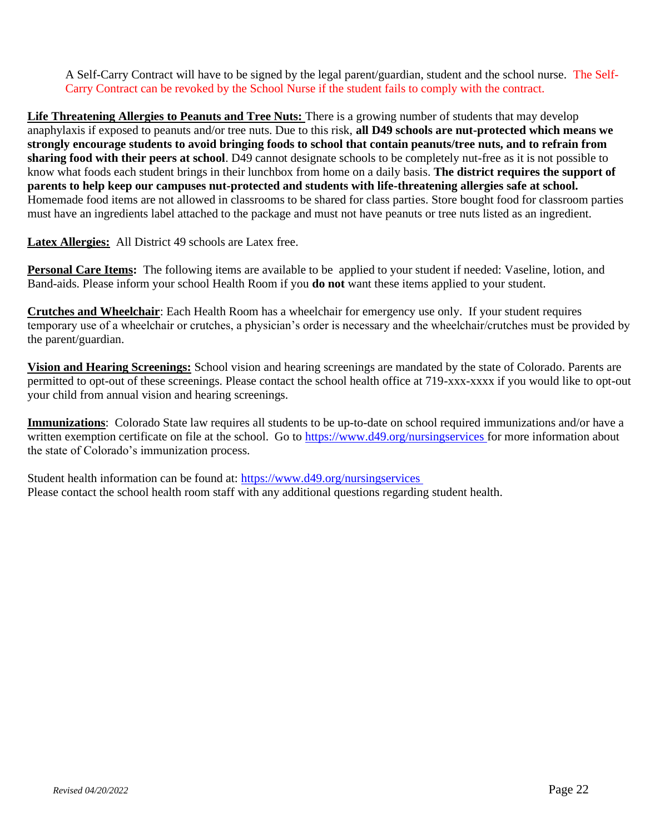A Self-Carry Contract will have to be signed by the legal parent/guardian, student and the school nurse. The Self-Carry Contract can be revoked by the School Nurse if the student fails to comply with the contract.

**Life Threatening Allergies to Peanuts and Tree Nuts:** There is a growing number of students that may develop anaphylaxis if exposed to peanuts and/or tree nuts. Due to this risk, **all D49 schools are nut-protected which means we strongly encourage students to avoid bringing foods to school that contain peanuts/tree nuts, and to refrain from sharing food with their peers at school**. D49 cannot designate schools to be completely nut-free as it is not possible to know what foods each student brings in their lunchbox from home on a daily basis. **The district requires the support of parents to help keep our campuses nut-protected and students with life-threatening allergies safe at school.** Homemade food items are not allowed in classrooms to be shared for class parties. Store bought food for classroom parties must have an ingredients label attached to the package and must not have peanuts or tree nuts listed as an ingredient.

**Latex Allergies:** All District 49 schools are Latex free.

**Personal Care Items:** The following items are available to be applied to your student if needed: Vaseline, lotion, and Band-aids. Please inform your school Health Room if you **do not** want these items applied to your student.

**Crutches and Wheelchair**: Each Health Room has a wheelchair for emergency use only. If your student requires temporary use of a wheelchair or crutches, a physician's order is necessary and the wheelchair/crutches must be provided by the parent/guardian.

**Vision and Hearing Screenings:** School vision and hearing screenings are mandated by the state of Colorado. Parents are permitted to opt-out of these screenings. Please contact the school health office at 719-xxx-xxxx if you would like to opt-out your child from annual vision and hearing screenings.

**Immunizations**: Colorado State law requires all students to be up-to-date on school required immunizations and/or have a written exemption certificate on file at the school. Go to https://www.d49.org/nursingservices for more information about the state of Colorado's immunization process.

Student health information can be found at: https://www.d49.org/nursingservices Please contact the school health room staff with any additional questions regarding student health.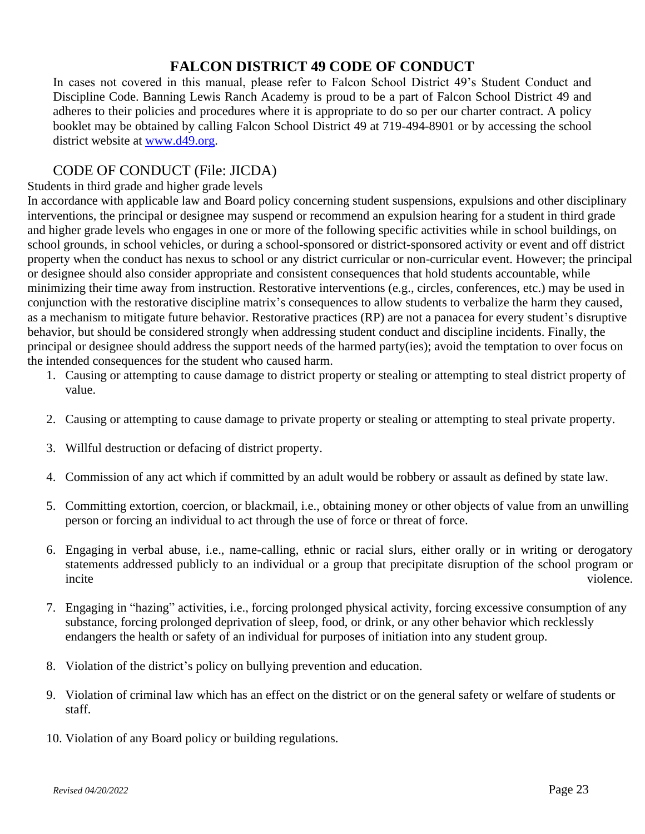### **FALCON DISTRICT 49 CODE OF CONDUCT**

<span id="page-22-0"></span>In cases not covered in this manual, please refer to Falcon School District 49's Student Conduct and Discipline Code. Banning Lewis Ranch Academy is proud to be a part of Falcon School District 49 and adheres to their policies and procedures where it is appropriate to do so per our charter contract. A policy booklet may be obtained by calling Falcon School District 49 at 719-494-8901 or by accessing the school district website at [www.d49.org.](http://www.d49.org/)

### CODE OF CONDUCT (File: JICDA)

Students in third grade and higher grade levels

In accordance with applicable law and Board policy concerning student suspensions, expulsions and other disciplinary interventions, the principal or designee may suspend or recommend an expulsion hearing for a student in third grade and higher grade levels who engages in one or more of the following specific activities while in school buildings, on school grounds, in school vehicles, or during a school-sponsored or district-sponsored activity or event and off district property when the conduct has nexus to school or any district curricular or non-curricular event. However; the principal or designee should also consider appropriate and consistent consequences that hold students accountable, while minimizing their time away from instruction. Restorative interventions (e.g., circles, conferences, etc.) may be used in conjunction with the restorative discipline matrix's consequences to allow students to verbalize the harm they caused, as a mechanism to mitigate future behavior. Restorative practices (RP) are not a panacea for every student's disruptive behavior, but should be considered strongly when addressing student conduct and discipline incidents. Finally, the principal or designee should address the support needs of the harmed party(ies); avoid the temptation to over focus on the intended consequences for the student who caused harm.

- 1. Causing or attempting to cause damage to district property or stealing or attempting to steal district property of value.
- 2. Causing or attempting to cause damage to private property or stealing or attempting to steal private property.
- 3. Willful destruction or defacing of district property.
- 4. Commission of any act which if committed by an adult would be robbery or assault as defined by state law.
- 5. Committing extortion, coercion, or blackmail, i.e., obtaining money or other objects of value from an unwilling person or forcing an individual to act through the use of force or threat of force.
- 6. Engaging in verbal abuse, i.e., name-calling, ethnic or racial slurs, either orally or in writing or derogatory statements addressed publicly to an individual or a group that precipitate disruption of the school program or incite violence.
- 7. Engaging in "hazing" activities, i.e., forcing prolonged physical activity, forcing excessive consumption of any substance, forcing prolonged deprivation of sleep, food, or drink, or any other behavior which recklessly endangers the health or safety of an individual for purposes of initiation into any student group.
- 8. Violation of the district's policy on bullying prevention and education.
- 9. Violation of criminal law which has an effect on the district or on the general safety or welfare of students or staff.
- 10. Violation of any Board policy or building regulations.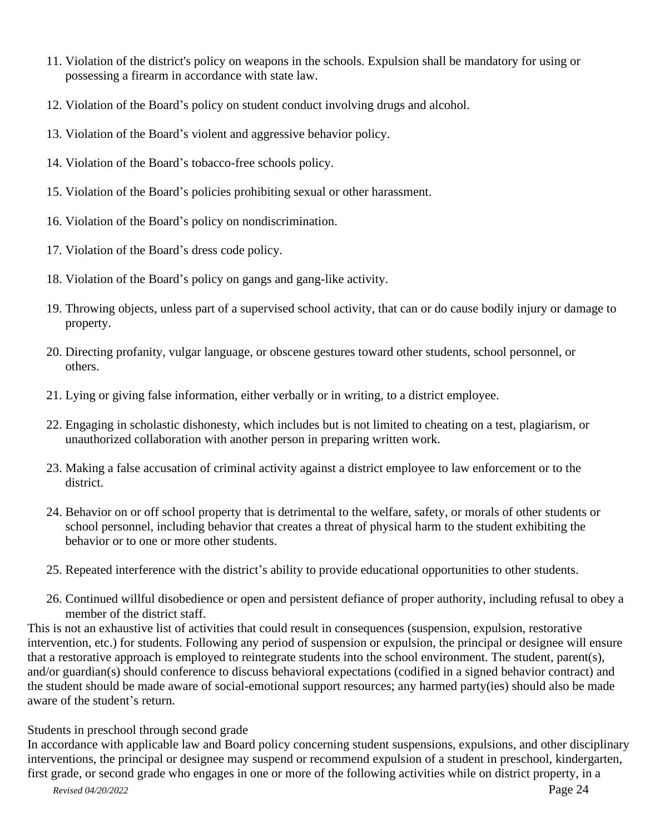- 11. Violation of the district's policy on weapons in the schools. Expulsion shall be mandatory for using or possessing a firearm in accordance with state law.
- 12. Violation of the Board's policy on student conduct involving drugs and alcohol.
- 13. Violation of the Board's violent and aggressive behavior policy.
- 14. Violation of the Board's tobacco-free schools policy.
- 15. Violation of the Board's policies prohibiting sexual or other harassment.
- 16. Violation of the Board's policy on nondiscrimination.
- 17. Violation of the Board's dress code policy.
- 18. Violation of the Board's policy on gangs and gang-like activity.
- 19. Throwing objects, unless part of a supervised school activity, that can or do cause bodily injury or damage to property.
- 20. Directing profanity, vulgar language, or obscene gestures toward other students, school personnel, or others.
- 21. Lying or giving false information, either verbally or in writing, to a district employee.
- 22. Engaging in scholastic dishonesty, which includes but is not limited to cheating on a test, plagiarism, or unauthorized collaboration with another person in preparing written work.
- 23. Making a false accusation of criminal activity against a district employee to law enforcement or to the district.
- 24. Behavior on or off school property that is detrimental to the welfare, safety, or morals of other students or school personnel, including behavior that creates a threat of physical harm to the student exhibiting the behavior or to one or more other students.
- 25. Repeated interference with the district's ability to provide educational opportunities to other students.
- 26. Continued willful disobedience or open and persistent defiance of proper authority, including refusal to obey a member of the district staff.

This is not an exhaustive list of activities that could result in consequences (suspension, expulsion, restorative intervention, etc.) for students. Following any period of suspension or expulsion, the principal or designee will ensure that a restorative approach is employed to reintegrate students into the school environment. The student, parent(s), and/or guardian(s) should conference to discuss behavioral expectations (codified in a signed behavior contract) and the student should be made aware of social-emotional support resources; any harmed party(ies) should also be made aware of the student's return.

### Students in preschool through second grade

In accordance with applicable law and Board policy concerning student suspensions, expulsions, and other disciplinary interventions, the principal or designee may suspend or recommend expulsion of a student in preschool, kindergarten, first grade, or second grade who engages in one or more of the following activities while on district property, in a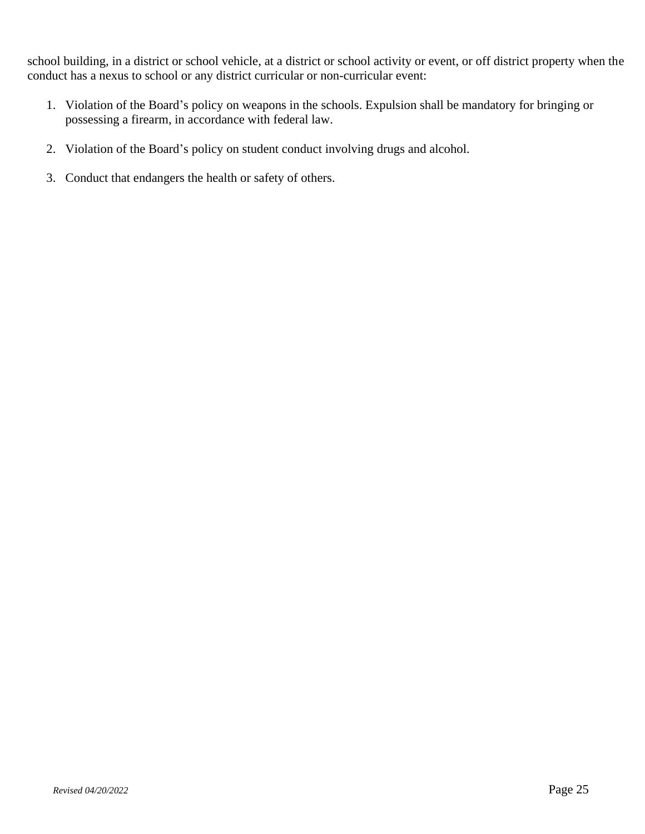school building, in a district or school vehicle, at a district or school activity or event, or off district property when the conduct has a nexus to school or any district curricular or non-curricular event:

- 1. Violation of the Board's policy on weapons in the schools. Expulsion shall be mandatory for bringing or possessing a firearm, in accordance with federal law.
- 2. Violation of the Board's policy on student conduct involving drugs and alcohol.
- 3. Conduct that endangers the health or safety of others.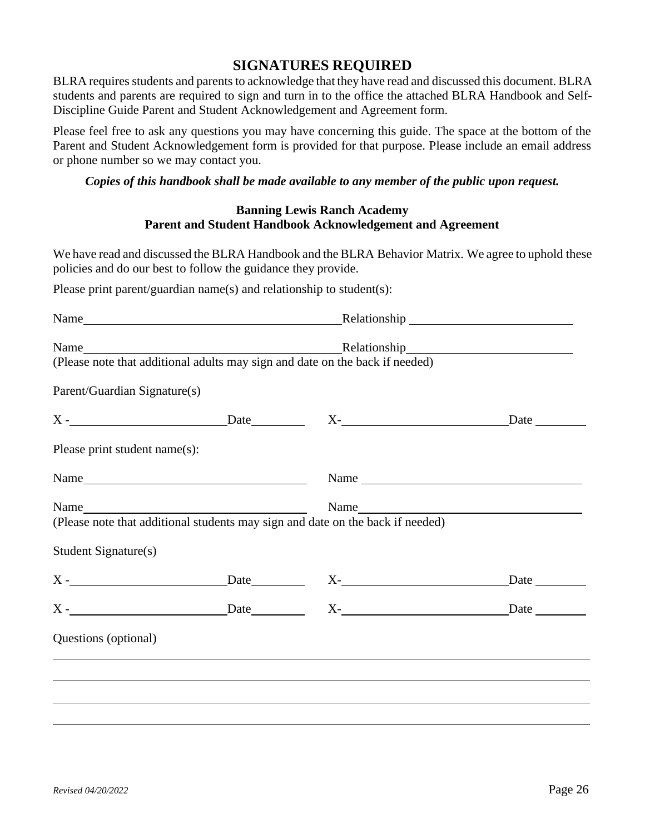### **SIGNATURES REQUIRED**

<span id="page-25-0"></span>BLRA requires students and parents to acknowledge that they have read and discussed this document. BLRA students and parents are required to sign and turn in to the office the attached BLRA Handbook and Self-Discipline Guide Parent and Student Acknowledgement and Agreement form.

Please feel free to ask any questions you may have concerning this guide. The space at the bottom of the Parent and Student Acknowledgement form is provided for that purpose. Please include an email address or phone number so we may contact you.

#### *Copies of this handbook shall be made available to any member of the public upon request.*

### **Banning Lewis Ranch Academy Parent and Student Handbook Acknowledgement and Agreement**

We have read and discussed the BLRA Handbook and the BLRA Behavior Matrix. We agree to uphold these policies and do our best to follow the guidance they provide.

Please print parent/guardian name(s) and relationship to student(s):

|                               |            | (Please note that additional adults may sign and date on the back if needed)     |                                                                           |  |  |  |
|-------------------------------|------------|----------------------------------------------------------------------------------|---------------------------------------------------------------------------|--|--|--|
| Parent/Guardian Signature(s)  |            |                                                                                  |                                                                           |  |  |  |
|                               | $X$ - Date |                                                                                  | X-<br>Date                                                                |  |  |  |
| Please print student name(s): |            |                                                                                  |                                                                           |  |  |  |
|                               | Name       |                                                                                  | Name $\frac{1}{\sqrt{1-\frac{1}{2}}\left(\frac{1}{2}-\frac{1}{2}\right)}$ |  |  |  |
|                               |            |                                                                                  |                                                                           |  |  |  |
|                               |            |                                                                                  |                                                                           |  |  |  |
| <b>Student Signature(s)</b>   |            |                                                                                  |                                                                           |  |  |  |
| $X -$                         |            | Date X-                                                                          | Date                                                                      |  |  |  |
|                               |            |                                                                                  |                                                                           |  |  |  |
| Questions (optional)          |            |                                                                                  |                                                                           |  |  |  |
|                               |            | ,我们也不会有什么。""我们的人,我们也不会有什么?""我们的人,我们也不会有什么?""我们的人,我们也不会有什么?""我们的人,我们也不会有什么?""我们的人 |                                                                           |  |  |  |
|                               |            |                                                                                  |                                                                           |  |  |  |
|                               |            |                                                                                  |                                                                           |  |  |  |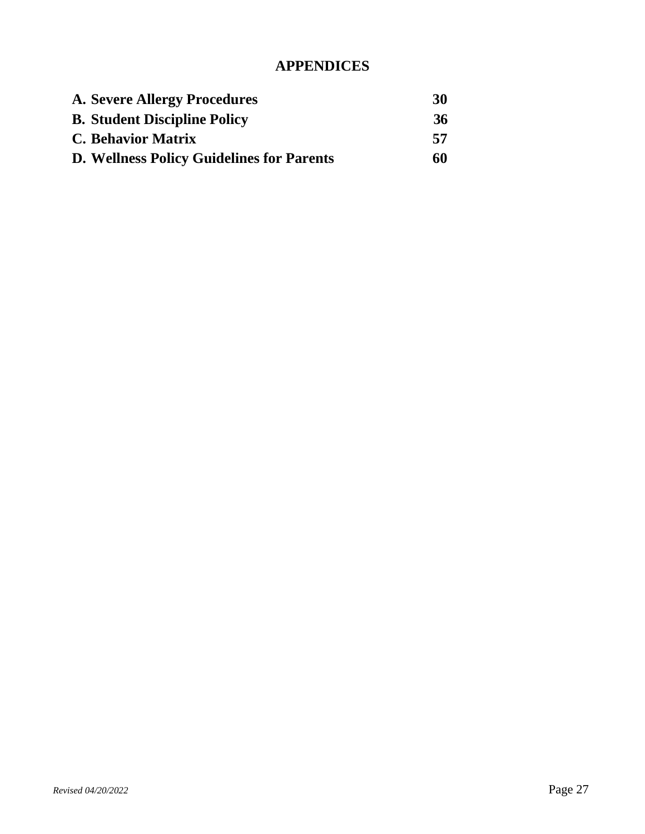### **APPENDICES**

<span id="page-26-0"></span>

| A. Severe Allergy Procedures                     | 30 |
|--------------------------------------------------|----|
| <b>B.</b> Student Discipline Policy              | 36 |
| <b>C. Behavior Matrix</b>                        | 57 |
| <b>D. Wellness Policy Guidelines for Parents</b> | 60 |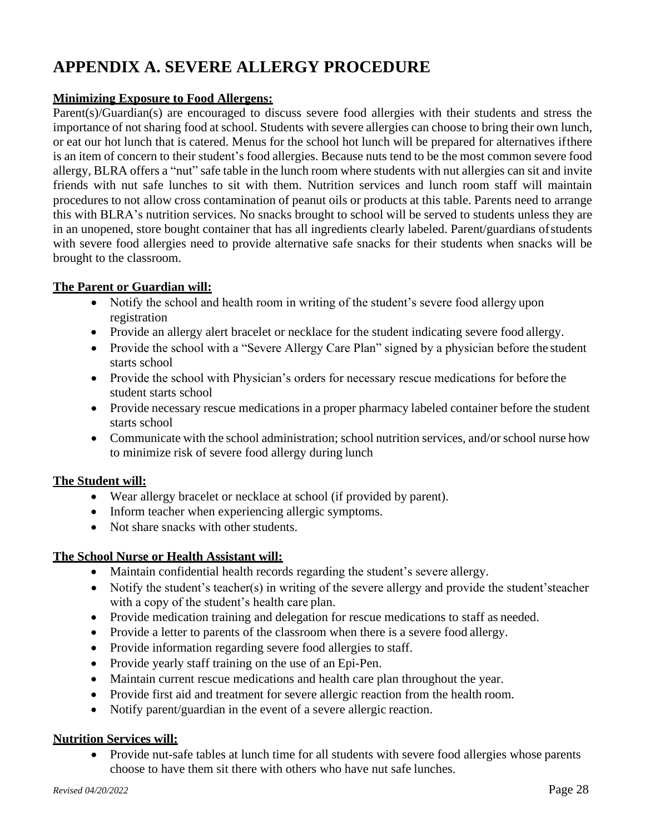### **APPENDIX A. SEVERE ALLERGY PROCEDURE**

### **Minimizing Exposure to Food Allergens:**

Parent(s)/Guardian(s) are encouraged to discuss severe food allergies with their students and stress the importance of not sharing food at school. Students with severe allergies can choose to bring their own lunch, or eat our hot lunch that is catered. Menus for the school hot lunch will be prepared for alternatives ifthere is an item of concern to their student's food allergies. Because nuts tend to be the most common severe food allergy, BLRA offers a "nut" safe table in the lunch room where students with nut allergies can sit and invite friends with nut safe lunches to sit with them. Nutrition services and lunch room staff will maintain procedures to not allow cross contamination of peanut oils or products at this table. Parents need to arrange this with BLRA's nutrition services. No snacks brought to school will be served to students unless they are in an unopened, store bought container that has all ingredients clearly labeled. Parent/guardians ofstudents with severe food allergies need to provide alternative safe snacks for their students when snacks will be brought to the classroom.

### **The Parent or Guardian will:**

- Notify the school and health room in writing of the student's severe food allergy upon registration
- Provide an allergy alert bracelet or necklace for the student indicating severe food allergy.
- Provide the school with a "Severe Allergy Care Plan" signed by a physician before the student starts school
- Provide the school with Physician's orders for necessary rescue medications for before the student starts school
- Provide necessary rescue medications in a proper pharmacy labeled container before the student starts school
- Communicate with the school administration; school nutrition services, and/or school nurse how to minimize risk of severe food allergy during lunch

### **The Student will:**

- Wear allergy bracelet or necklace at school (if provided by parent).
- Inform teacher when experiencing allergic symptoms.
- Not share snacks with other students.

### **The School Nurse or Health Assistant will:**

- Maintain confidential health records regarding the student's severe allergy.
- Notify the student's teacher(s) in writing of the severe allergy and provide the student's teacher with a copy of the student's health care plan.
- Provide medication training and delegation for rescue medications to staff as needed.
- Provide a letter to parents of the classroom when there is a severe food allergy.
- Provide information regarding severe food allergies to staff.
- Provide yearly staff training on the use of an Epi-Pen.
- Maintain current rescue medications and health care plan throughout the year.
- Provide first aid and treatment for severe allergic reaction from the health room.
- Notify parent/guardian in the event of a severe allergic reaction.

### **Nutrition Services will:**

• Provide nut-safe tables at lunch time for all students with severe food allergies whose parents choose to have them sit there with others who have nut safe lunches.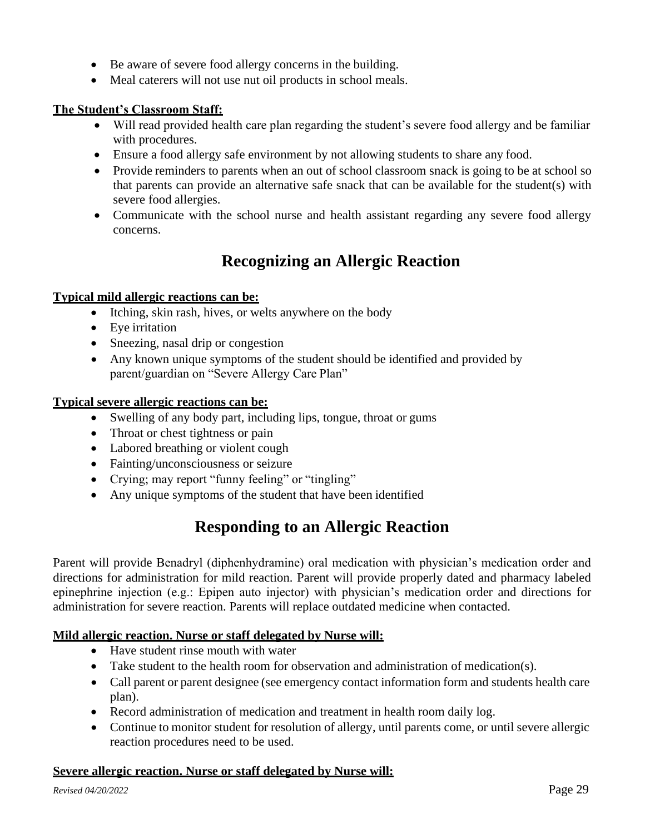- Be aware of severe food allergy concerns in the building.
- Meal caterers will not use nut oil products in school meals.

### **The Student's Classroom Staff:**

- Will read provided health care plan regarding the student's severe food allergy and be familiar with procedures.
- Ensure a food allergy safe environment by not allowing students to share any food.
- Provide reminders to parents when an out of school classroom snack is going to be at school so that parents can provide an alternative safe snack that can be available for the student(s) with severe food allergies.
- Communicate with the school nurse and health assistant regarding any severe food allergy concerns.

### **Recognizing an Allergic Reaction**

### **Typical mild allergic reactions can be:**

- Itching, skin rash, hives, or welts anywhere on the body
- Eye irritation
- Sneezing, nasal drip or congestion
- Any known unique symptoms of the student should be identified and provided by parent/guardian on "Severe Allergy Care Plan"

### **Typical severe allergic reactions can be:**

- Swelling of any body part, including lips, tongue, throat or gums
- Throat or chest tightness or pain
- Labored breathing or violent cough
- Fainting/unconsciousness or seizure
- Crying; may report "funny feeling" or "tingling"
- Any unique symptoms of the student that have been identified

### **Responding to an Allergic Reaction**

Parent will provide Benadryl (diphenhydramine) oral medication with physician's medication order and directions for administration for mild reaction. Parent will provide properly dated and pharmacy labeled epinephrine injection (e.g.: Epipen auto injector) with physician's medication order and directions for administration for severe reaction. Parents will replace outdated medicine when contacted.

### **Mild allergic reaction. Nurse or staff delegated by Nurse will:**

- Have student rinse mouth with water
- Take student to the health room for observation and administration of medication(s).
- Call parent or parent designee (see emergency contact information form and students health care plan).
- Record administration of medication and treatment in health room daily log.
- Continue to monitor student for resolution of allergy, until parents come, or until severe allergic reaction procedures need to be used.

### **Severe allergic reaction. Nurse or staff delegated by Nurse will:**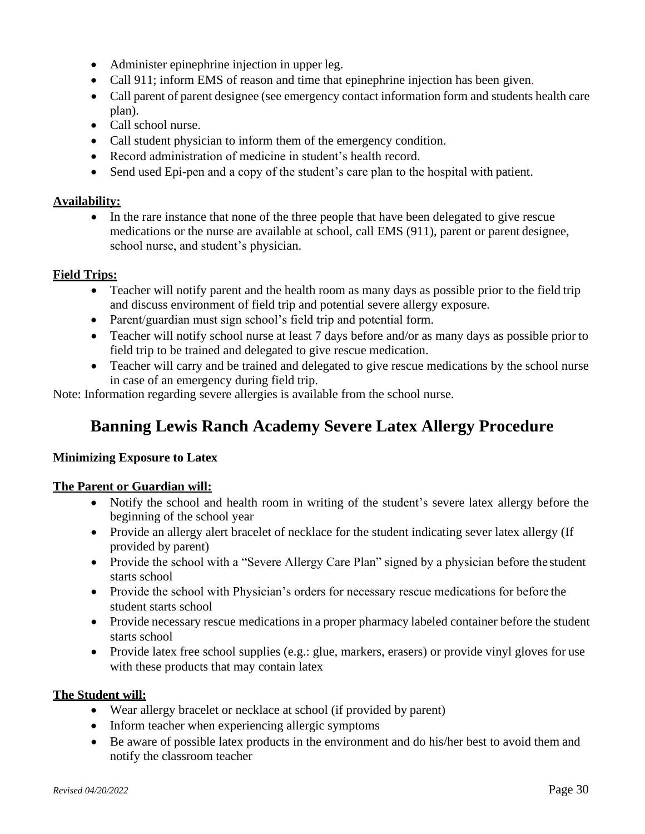- Administer epinephrine injection in upper leg.
- Call 911; inform EMS of reason and time that epinephrine injection has been given.
- Call parent of parent designee (see emergency contact information form and students health care plan).
- Call school nurse.
- Call student physician to inform them of the emergency condition.
- Record administration of medicine in student's health record.
- Send used Epi-pen and a copy of the student's care plan to the hospital with patient.

### **Availability:**

• In the rare instance that none of the three people that have been delegated to give rescue medications or the nurse are available at school, call EMS (911), parent or parent designee, school nurse, and student's physician.

### **Field Trips:**

- Teacher will notify parent and the health room as many days as possible prior to the field trip and discuss environment of field trip and potential severe allergy exposure.
- Parent/guardian must sign school's field trip and potential form.
- Teacher will notify school nurse at least 7 days before and/or as many days as possible prior to field trip to be trained and delegated to give rescue medication.
- Teacher will carry and be trained and delegated to give rescue medications by the school nurse in case of an emergency during field trip.

Note: Information regarding severe allergies is available from the school nurse.

### **Banning Lewis Ranch Academy Severe Latex Allergy Procedure**

### **Minimizing Exposure to Latex**

### **The Parent or Guardian will:**

- Notify the school and health room in writing of the student's severe latex allergy before the beginning of the school year
- Provide an allergy alert bracelet of necklace for the student indicating sever latex allergy (If provided by parent)
- Provide the school with a "Severe Allergy Care Plan" signed by a physician before the student starts school
- Provide the school with Physician's orders for necessary rescue medications for before the student starts school
- Provide necessary rescue medications in a proper pharmacy labeled container before the student starts school
- Provide latex free school supplies (e.g.: glue, markers, erasers) or provide vinyl gloves for use with these products that may contain latex

### **The Student will:**

- Wear allergy bracelet or necklace at school (if provided by parent)
- Inform teacher when experiencing allergic symptoms
- Be aware of possible latex products in the environment and do his/her best to avoid them and notify the classroom teacher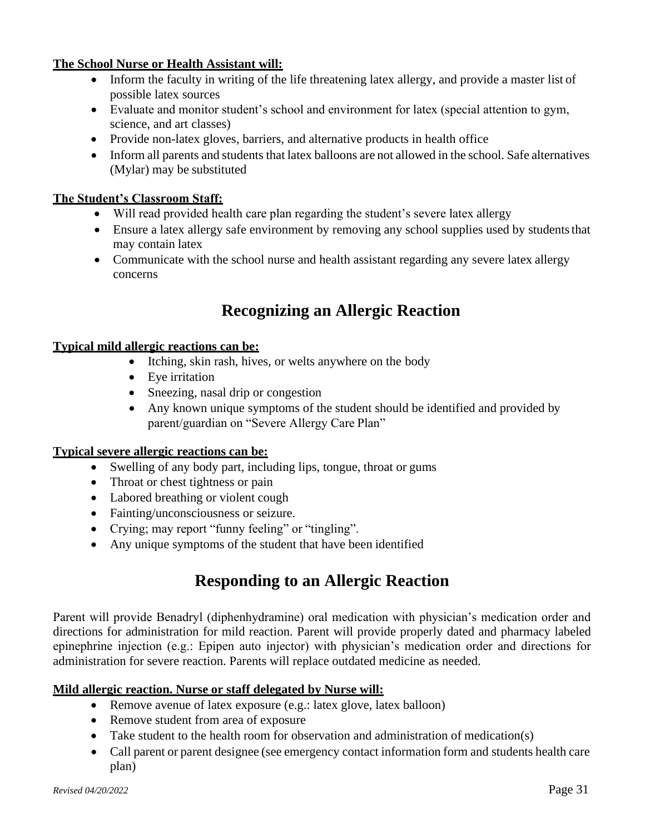### **The School Nurse or Health Assistant will:**

- Inform the faculty in writing of the life threatening latex allergy, and provide a master list of possible latex sources
- Evaluate and monitor student's school and environment for latex (special attention to gym, science, and art classes)
- Provide non-latex gloves, barriers, and alternative products in health office
- Inform all parents and students that latex balloons are not allowed in the school. Safe alternatives (Mylar) may be substituted

### **The Student's Classroom Staff:**

- Will read provided health care plan regarding the student's severe latex allergy
- Ensure a latex allergy safe environment by removing any school supplies used by students that may contain latex
- Communicate with the school nurse and health assistant regarding any severe latex allergy concerns

### **Recognizing an Allergic Reaction**

### **Typical mild allergic reactions can be:**

- Itching, skin rash, hives, or welts anywhere on the body
- Eye irritation
- Sneezing, nasal drip or congestion
- Any known unique symptoms of the student should be identified and provided by parent/guardian on "Severe Allergy Care Plan"

### **Typical severe allergic reactions can be:**

- Swelling of any body part, including lips, tongue, throat or gums
- Throat or chest tightness or pain
- Labored breathing or violent cough
- Fainting/unconsciousness or seizure.
- Crying; may report "funny feeling" or "tingling".
- Any unique symptoms of the student that have been identified

### **Responding to an Allergic Reaction**

Parent will provide Benadryl (diphenhydramine) oral medication with physician's medication order and directions for administration for mild reaction. Parent will provide properly dated and pharmacy labeled epinephrine injection (e.g.: Epipen auto injector) with physician's medication order and directions for administration for severe reaction. Parents will replace outdated medicine as needed.

### **Mild allergic reaction. Nurse or staff delegated by Nurse will:**

- Remove avenue of latex exposure (e.g.: latex glove, latex balloon)
- Remove student from area of exposure
- Take student to the health room for observation and administration of medication(s)
- Call parent or parent designee (see emergency contact information form and students health care plan)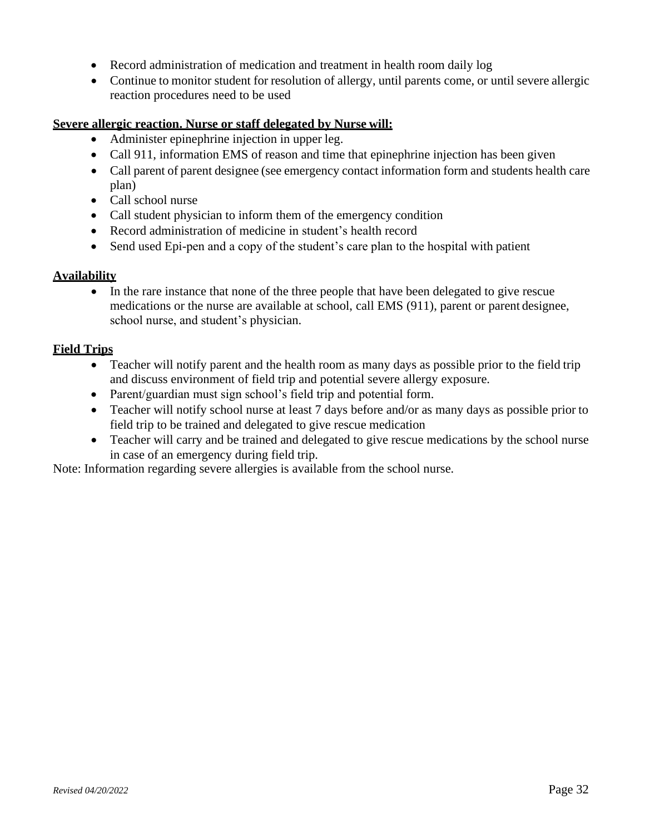- Record administration of medication and treatment in health room daily log
- Continue to monitor student for resolution of allergy, until parents come, or until severe allergic reaction procedures need to be used

### **Severe allergic reaction. Nurse or staff delegated by Nurse will:**

- Administer epinephrine injection in upper leg.
- Call 911, information EMS of reason and time that epinephrine injection has been given
- Call parent of parent designee (see emergency contact information form and students health care plan)
- Call school nurse
- Call student physician to inform them of the emergency condition
- Record administration of medicine in student's health record
- Send used Epi-pen and a copy of the student's care plan to the hospital with patient

### **Availability**

• In the rare instance that none of the three people that have been delegated to give rescue medications or the nurse are available at school, call EMS (911), parent or parent designee, school nurse, and student's physician.

### **Field Trips**

- Teacher will notify parent and the health room as many days as possible prior to the field trip and discuss environment of field trip and potential severe allergy exposure.
- Parent/guardian must sign school's field trip and potential form.
- Teacher will notify school nurse at least 7 days before and/or as many days as possible prior to field trip to be trained and delegated to give rescue medication
- Teacher will carry and be trained and delegated to give rescue medications by the school nurse in case of an emergency during field trip.

Note: Information regarding severe allergies is available from the school nurse.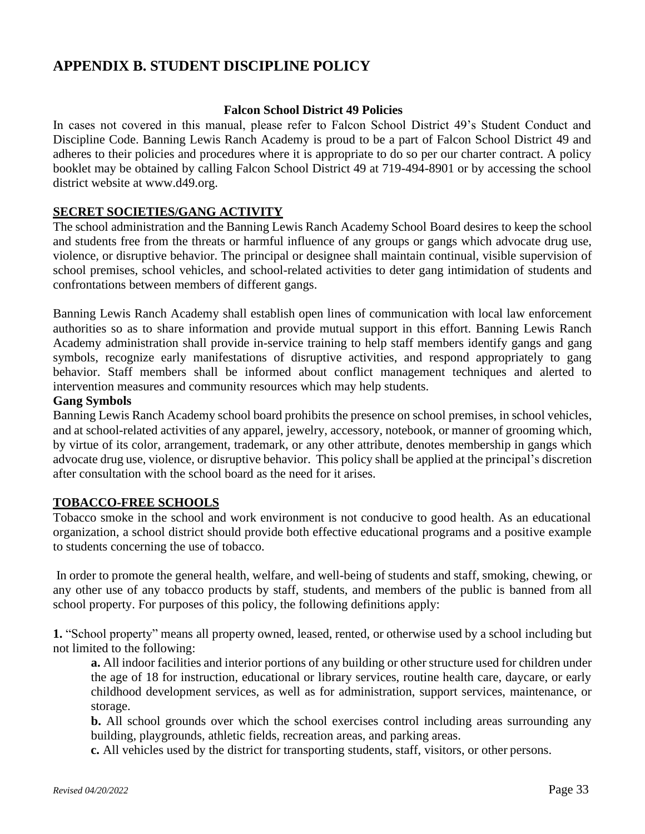### **APPENDIX B. STUDENT DISCIPLINE POLICY**

### **Falcon School District 49 Policies**

In cases not covered in this manual, please refer to Falcon School District 49's Student Conduct and Discipline Code. Banning Lewis Ranch Academy is proud to be a part of Falcon School District 49 and adheres to their policies and procedures where it is appropriate to do so per our charter contract. A policy booklet may be obtained by calling Falcon School District 49 at 719-494-8901 or by accessing the school district website at [www.d49.org.](http://www.d49.org/)

### **SECRET SOCIETIES/GANG ACTIVITY**

The school administration and the Banning Lewis Ranch Academy School Board desires to keep the school and students free from the threats or harmful influence of any groups or gangs which advocate drug use, violence, or disruptive behavior. The principal or designee shall maintain continual, visible supervision of school premises, school vehicles, and school-related activities to deter gang intimidation of students and confrontations between members of different gangs.

Banning Lewis Ranch Academy shall establish open lines of communication with local law enforcement authorities so as to share information and provide mutual support in this effort. Banning Lewis Ranch Academy administration shall provide in-service training to help staff members identify gangs and gang symbols, recognize early manifestations of disruptive activities, and respond appropriately to gang behavior. Staff members shall be informed about conflict management techniques and alerted to intervention measures and community resources which may help students.

#### **Gang Symbols**

Banning Lewis Ranch Academy school board prohibits the presence on school premises, in school vehicles, and at school-related activities of any apparel, jewelry, accessory, notebook, or manner of grooming which, by virtue of its color, arrangement, trademark, or any other attribute, denotes membership in gangs which advocate drug use, violence, or disruptive behavior. This policy shall be applied at the principal's discretion after consultation with the school board as the need for it arises.

### **TOBACCO-FREE SCHOOLS**

Tobacco smoke in the school and work environment is not conducive to good health. As an educational organization, a school district should provide both effective educational programs and a positive example to students concerning the use of tobacco.

In order to promote the general health, welfare, and well-being of students and staff, smoking, chewing, or any other use of any tobacco products by staff, students, and members of the public is banned from all school property. For purposes of this policy, the following definitions apply:

**1.** "School property" means all property owned, leased, rented, or otherwise used by a school including but not limited to the following:

**a.** All indoor facilities and interior portions of any building or other structure used for children under the age of 18 for instruction, educational or library services, routine health care, daycare, or early childhood development services, as well as for administration, support services, maintenance, or storage.

**b.** All school grounds over which the school exercises control including areas surrounding any building, playgrounds, athletic fields, recreation areas, and parking areas.

**c.** All vehicles used by the district for transporting students, staff, visitors, or other persons.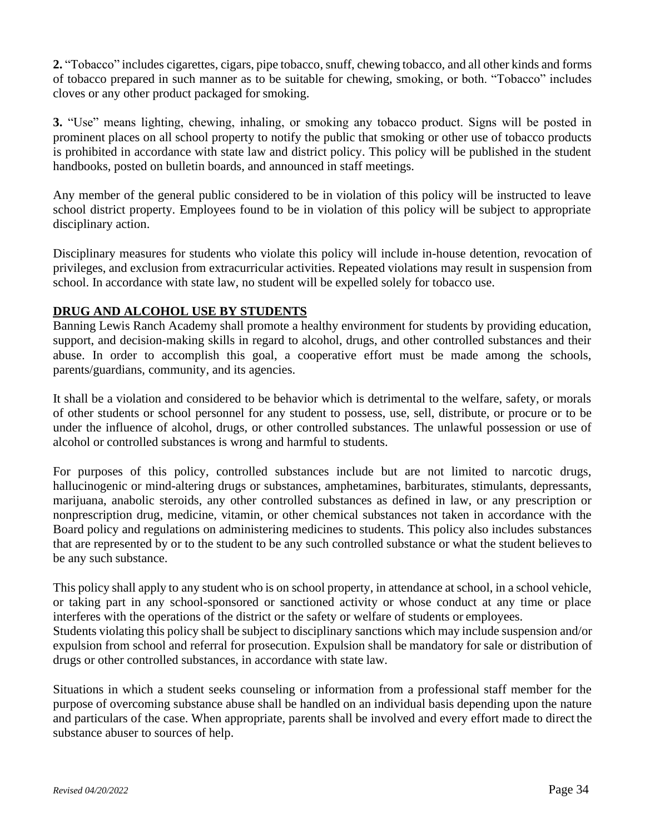**2.** "Tobacco" includes cigarettes, cigars, pipe tobacco,snuff, chewing tobacco, and all other kinds and forms of tobacco prepared in such manner as to be suitable for chewing, smoking, or both. "Tobacco" includes cloves or any other product packaged for smoking.

**3.** "Use" means lighting, chewing, inhaling, or smoking any tobacco product. Signs will be posted in prominent places on all school property to notify the public that smoking or other use of tobacco products is prohibited in accordance with state law and district policy. This policy will be published in the student handbooks, posted on bulletin boards, and announced in staff meetings.

Any member of the general public considered to be in violation of this policy will be instructed to leave school district property. Employees found to be in violation of this policy will be subject to appropriate disciplinary action.

Disciplinary measures for students who violate this policy will include in-house detention, revocation of privileges, and exclusion from extracurricular activities. Repeated violations may result in suspension from school. In accordance with state law, no student will be expelled solely for tobacco use.

### **DRUG AND ALCOHOL USE BY STUDENTS**

Banning Lewis Ranch Academy shall promote a healthy environment for students by providing education, support, and decision-making skills in regard to alcohol, drugs, and other controlled substances and their abuse. In order to accomplish this goal, a cooperative effort must be made among the schools, parents/guardians, community, and its agencies.

It shall be a violation and considered to be behavior which is detrimental to the welfare, safety, or morals of other students or school personnel for any student to possess, use, sell, distribute, or procure or to be under the influence of alcohol, drugs, or other controlled substances. The unlawful possession or use of alcohol or controlled substances is wrong and harmful to students.

For purposes of this policy, controlled substances include but are not limited to narcotic drugs, hallucinogenic or mind-altering drugs or substances, amphetamines, barbiturates, stimulants, depressants, marijuana, anabolic steroids, any other controlled substances as defined in law, or any prescription or nonprescription drug, medicine, vitamin, or other chemical substances not taken in accordance with the Board policy and regulations on administering medicines to students. This policy also includes substances that are represented by or to the student to be any such controlled substance or what the student believesto be any such substance.

This policy shall apply to any student who is on school property, in attendance at school, in a school vehicle, or taking part in any school-sponsored or sanctioned activity or whose conduct at any time or place interferes with the operations of the district or the safety or welfare of students or employees. Students violating this policy shall be subject to disciplinary sanctions which may include suspension and/or expulsion from school and referral for prosecution. Expulsion shall be mandatory for sale or distribution of drugs or other controlled substances, in accordance with state law.

Situations in which a student seeks counseling or information from a professional staff member for the purpose of overcoming substance abuse shall be handled on an individual basis depending upon the nature and particulars of the case. When appropriate, parents shall be involved and every effort made to direct the substance abuser to sources of help.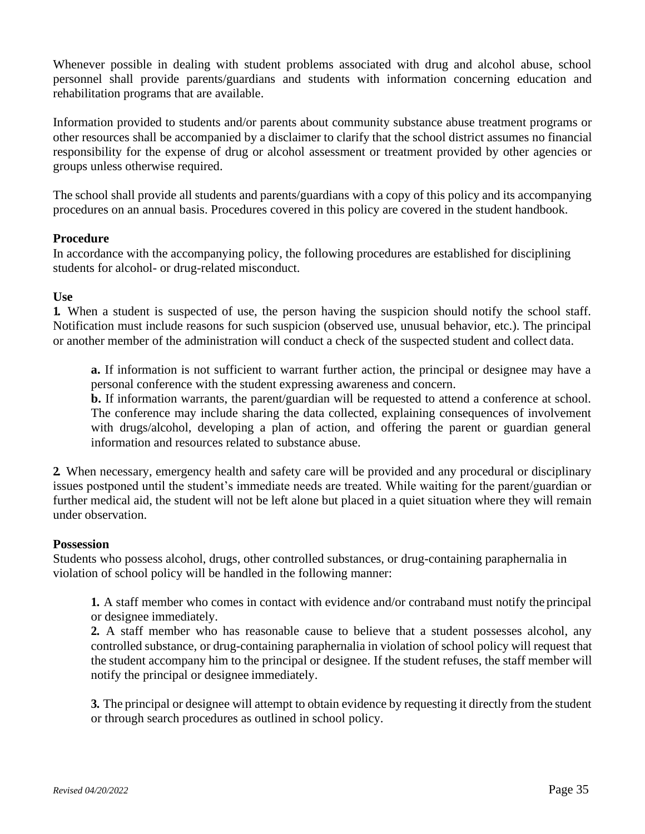Whenever possible in dealing with student problems associated with drug and alcohol abuse, school personnel shall provide parents/guardians and students with information concerning education and rehabilitation programs that are available.

Information provided to students and/or parents about community substance abuse treatment programs or other resources shall be accompanied by a disclaimer to clarify that the school district assumes no financial responsibility for the expense of drug or alcohol assessment or treatment provided by other agencies or groups unless otherwise required.

The school shall provide all students and parents/guardians with a copy of this policy and its accompanying procedures on an annual basis. Procedures covered in this policy are covered in the student handbook.

### **Procedure**

In accordance with the accompanying policy, the following procedures are established for disciplining students for alcohol- or drug-related misconduct.

### **Use**

**1.** When a student is suspected of use, the person having the suspicion should notify the school staff. Notification must include reasons for such suspicion (observed use, unusual behavior, etc.). The principal or another member of the administration will conduct a check of the suspected student and collect data.

**a.** If information is not sufficient to warrant further action, the principal or designee may have a personal conference with the student expressing awareness and concern.

**b.** If information warrants, the parent/guardian will be requested to attend a conference at school. The conference may include sharing the data collected, explaining consequences of involvement with drugs/alcohol, developing a plan of action, and offering the parent or guardian general information and resources related to substance abuse.

**2.** When necessary, emergency health and safety care will be provided and any procedural or disciplinary issues postponed until the student's immediate needs are treated. While waiting for the parent/guardian or further medical aid, the student will not be left alone but placed in a quiet situation where they will remain under observation.

### **Possession**

Students who possess alcohol, drugs, other controlled substances, or drug-containing paraphernalia in violation of school policy will be handled in the following manner:

**1.** A staff member who comes in contact with evidence and/or contraband must notify the principal or designee immediately.

**2.** A staff member who has reasonable cause to believe that a student possesses alcohol, any controlled substance, or drug-containing paraphernalia in violation of school policy will request that the student accompany him to the principal or designee. If the student refuses, the staff member will notify the principal or designee immediately.

**3.** The principal or designee will attempt to obtain evidence by requesting it directly from the student or through search procedures as outlined in school policy.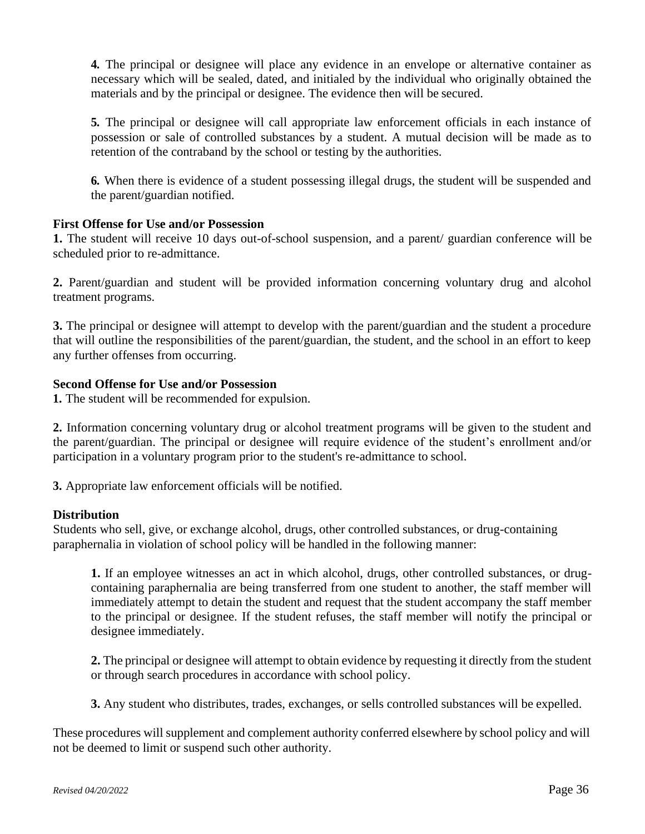**4.** The principal or designee will place any evidence in an envelope or alternative container as necessary which will be sealed, dated, and initialed by the individual who originally obtained the materials and by the principal or designee. The evidence then will be secured.

**5.** The principal or designee will call appropriate law enforcement officials in each instance of possession or sale of controlled substances by a student. A mutual decision will be made as to retention of the contraband by the school or testing by the authorities.

**6.** When there is evidence of a student possessing illegal drugs, the student will be suspended and the parent/guardian notified.

### **First Offense for Use and/or Possession**

**1.** The student will receive 10 days out-of-school suspension, and a parent/ guardian conference will be scheduled prior to re-admittance.

**2.** Parent/guardian and student will be provided information concerning voluntary drug and alcohol treatment programs.

**3.** The principal or designee will attempt to develop with the parent/guardian and the student a procedure that will outline the responsibilities of the parent/guardian, the student, and the school in an effort to keep any further offenses from occurring.

### **Second Offense for Use and/or Possession**

**1.** The student will be recommended for expulsion.

**2.** Information concerning voluntary drug or alcohol treatment programs will be given to the student and the parent/guardian. The principal or designee will require evidence of the student's enrollment and/or participation in a voluntary program prior to the student's re-admittance to school.

**3.** Appropriate law enforcement officials will be notified.

### **Distribution**

Students who sell, give, or exchange alcohol, drugs, other controlled substances, or drug-containing paraphernalia in violation of school policy will be handled in the following manner:

**1.** If an employee witnesses an act in which alcohol, drugs, other controlled substances, or drugcontaining paraphernalia are being transferred from one student to another, the staff member will immediately attempt to detain the student and request that the student accompany the staff member to the principal or designee. If the student refuses, the staff member will notify the principal or designee immediately.

**2.** The principal or designee will attempt to obtain evidence by requesting it directly from the student or through search procedures in accordance with school policy.

**3.** Any student who distributes, trades, exchanges, or sells controlled substances will be expelled.

These procedures will supplement and complement authority conferred elsewhere by school policy and will not be deemed to limit or suspend such other authority.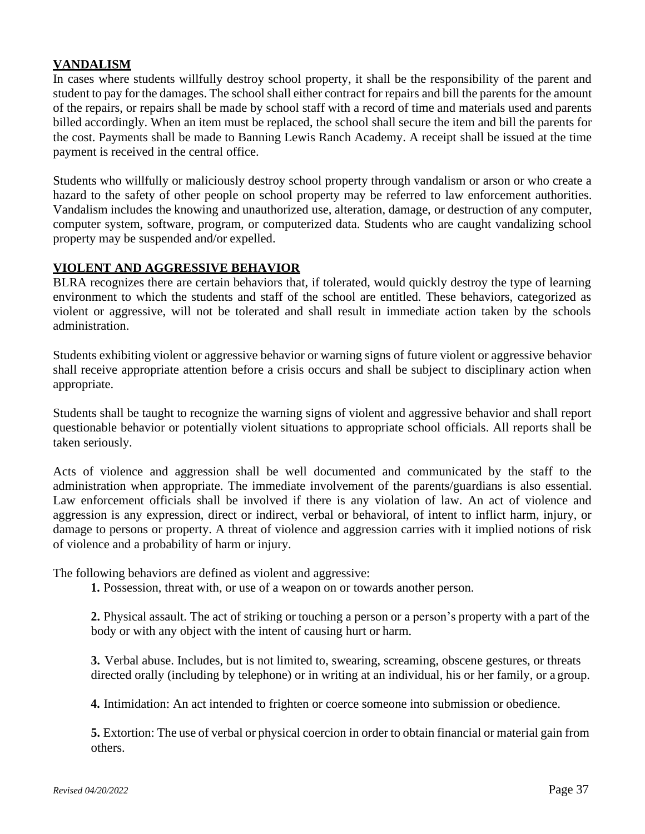### **VANDALISM**

In cases where students willfully destroy school property, it shall be the responsibility of the parent and student to pay for the damages. The schoolshall either contract for repairs and bill the parents for the amount of the repairs, or repairs shall be made by school staff with a record of time and materials used and parents billed accordingly. When an item must be replaced, the school shall secure the item and bill the parents for the cost. Payments shall be made to Banning Lewis Ranch Academy. A receipt shall be issued at the time payment is received in the central office.

Students who willfully or maliciously destroy school property through vandalism or arson or who create a hazard to the safety of other people on school property may be referred to law enforcement authorities. Vandalism includes the knowing and unauthorized use, alteration, damage, or destruction of any computer, computer system, software, program, or computerized data. Students who are caught vandalizing school property may be suspended and/or expelled.

### **VIOLENT AND AGGRESSIVE BEHAVIOR**

BLRA recognizes there are certain behaviors that, if tolerated, would quickly destroy the type of learning environment to which the students and staff of the school are entitled. These behaviors, categorized as violent or aggressive, will not be tolerated and shall result in immediate action taken by the schools administration.

Students exhibiting violent or aggressive behavior or warning signs of future violent or aggressive behavior shall receive appropriate attention before a crisis occurs and shall be subject to disciplinary action when appropriate.

Students shall be taught to recognize the warning signs of violent and aggressive behavior and shall report questionable behavior or potentially violent situations to appropriate school officials. All reports shall be taken seriously.

Acts of violence and aggression shall be well documented and communicated by the staff to the administration when appropriate. The immediate involvement of the parents/guardians is also essential. Law enforcement officials shall be involved if there is any violation of law. An act of violence and aggression is any expression, direct or indirect, verbal or behavioral, of intent to inflict harm, injury, or damage to persons or property. A threat of violence and aggression carries with it implied notions of risk of violence and a probability of harm or injury.

The following behaviors are defined as violent and aggressive:

**1.** Possession, threat with, or use of a weapon on or towards another person.

**2.** Physical assault. The act of striking or touching a person or a person's property with a part of the body or with any object with the intent of causing hurt or harm.

**3.** Verbal abuse. Includes, but is not limited to, swearing, screaming, obscene gestures, or threats directed orally (including by telephone) or in writing at an individual, his or her family, or a group.

**4.** Intimidation: An act intended to frighten or coerce someone into submission or obedience.

**5.** Extortion: The use of verbal or physical coercion in order to obtain financial or material gain from others.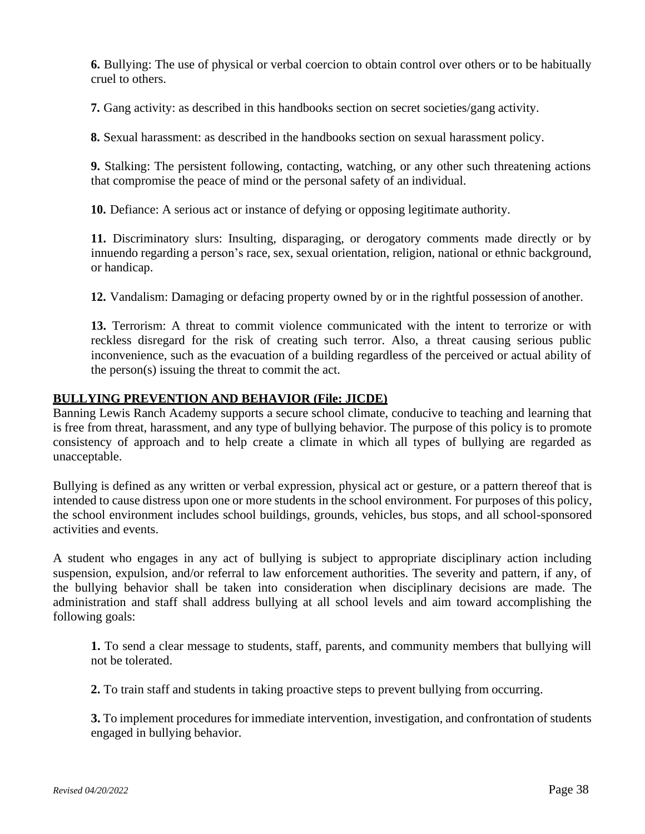**6.** Bullying: The use of physical or verbal coercion to obtain control over others or to be habitually cruel to others.

**7.** Gang activity: as described in this handbooks section on secret societies/gang activity.

**8.** Sexual harassment: as described in the handbooks section on sexual harassment policy.

**9.** Stalking: The persistent following, contacting, watching, or any other such threatening actions that compromise the peace of mind or the personal safety of an individual.

**10.** Defiance: A serious act or instance of defying or opposing legitimate authority.

**11.** Discriminatory slurs: Insulting, disparaging, or derogatory comments made directly or by innuendo regarding a person's race, sex, sexual orientation, religion, national or ethnic background, or handicap.

**12.** Vandalism: Damaging or defacing property owned by or in the rightful possession of another.

**13.** Terrorism: A threat to commit violence communicated with the intent to terrorize or with reckless disregard for the risk of creating such terror. Also, a threat causing serious public inconvenience, such as the evacuation of a building regardless of the perceived or actual ability of the person(s) issuing the threat to commit the act.

### **BULLYING PREVENTION AND BEHAVIOR (File: JICDE)**

Banning Lewis Ranch Academy supports a secure school climate, conducive to teaching and learning that is free from threat, harassment, and any type of bullying behavior. The purpose of this policy is to promote consistency of approach and to help create a climate in which all types of bullying are regarded as unacceptable.

Bullying is defined as any written or verbal expression, physical act or gesture, or a pattern thereof that is intended to cause distress upon one or more students in the school environment. For purposes of this policy, the school environment includes school buildings, grounds, vehicles, bus stops, and all school-sponsored activities and events.

A student who engages in any act of bullying is subject to appropriate disciplinary action including suspension, expulsion, and/or referral to law enforcement authorities. The severity and pattern, if any, of the bullying behavior shall be taken into consideration when disciplinary decisions are made. The administration and staff shall address bullying at all school levels and aim toward accomplishing the following goals:

**1.** To send a clear message to students, staff, parents, and community members that bullying will not be tolerated.

**2.** To train staff and students in taking proactive steps to prevent bullying from occurring.

**3.** To implement procedures for immediate intervention, investigation, and confrontation of students engaged in bullying behavior.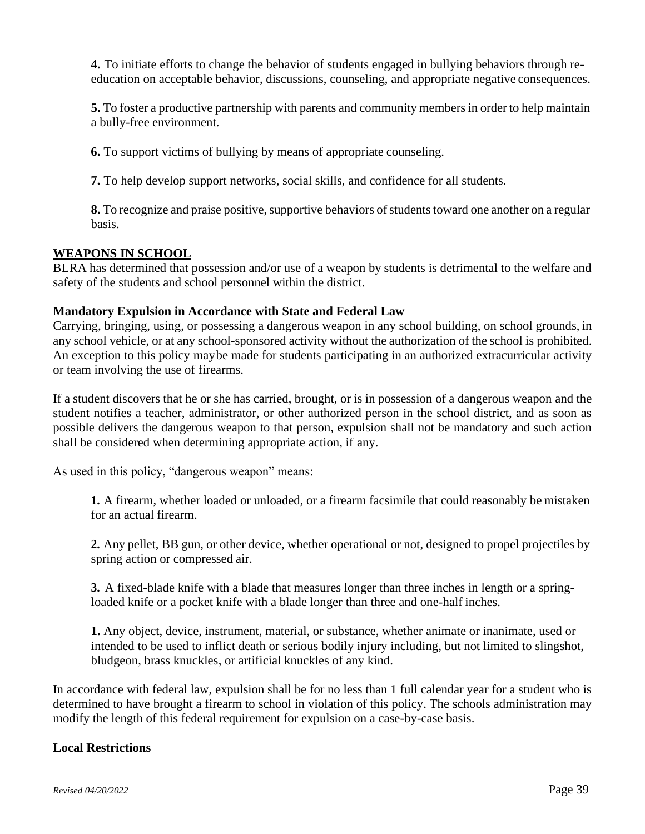**4.** To initiate efforts to change the behavior of students engaged in bullying behaviors through reeducation on acceptable behavior, discussions, counseling, and appropriate negative consequences.

**5.** To foster a productive partnership with parents and community membersin order to help maintain a bully-free environment.

**6.** To support victims of bullying by means of appropriate counseling.

**7.** To help develop support networks, social skills, and confidence for all students.

**8.** To recognize and praise positive, supportive behaviors of students toward one another on a regular basis.

### **WEAPONS IN SCHOOL**

BLRA has determined that possession and/or use of a weapon by students is detrimental to the welfare and safety of the students and school personnel within the district.

### **Mandatory Expulsion in Accordance with State and Federal Law**

Carrying, bringing, using, or possessing a dangerous weapon in any school building, on school grounds, in any school vehicle, or at any school-sponsored activity without the authorization of the school is prohibited. An exception to this policy maybe made for students participating in an authorized extracurricular activity or team involving the use of firearms.

If a student discovers that he or she has carried, brought, or is in possession of a dangerous weapon and the student notifies a teacher, administrator, or other authorized person in the school district, and as soon as possible delivers the dangerous weapon to that person, expulsion shall not be mandatory and such action shall be considered when determining appropriate action, if any.

As used in this policy, "dangerous weapon" means:

**1.** A firearm, whether loaded or unloaded, or a firearm facsimile that could reasonably be mistaken for an actual firearm.

**2.** Any pellet, BB gun, or other device, whether operational or not, designed to propel projectiles by spring action or compressed air.

**3.** A fixed-blade knife with a blade that measures longer than three inches in length or a springloaded knife or a pocket knife with a blade longer than three and one-half inches.

**1.** Any object, device, instrument, material, or substance, whether animate or inanimate, used or intended to be used to inflict death or serious bodily injury including, but not limited to slingshot, bludgeon, brass knuckles, or artificial knuckles of any kind.

In accordance with federal law, expulsion shall be for no less than 1 full calendar year for a student who is determined to have brought a firearm to school in violation of this policy. The schools administration may modify the length of this federal requirement for expulsion on a case-by-case basis.

### **Local Restrictions**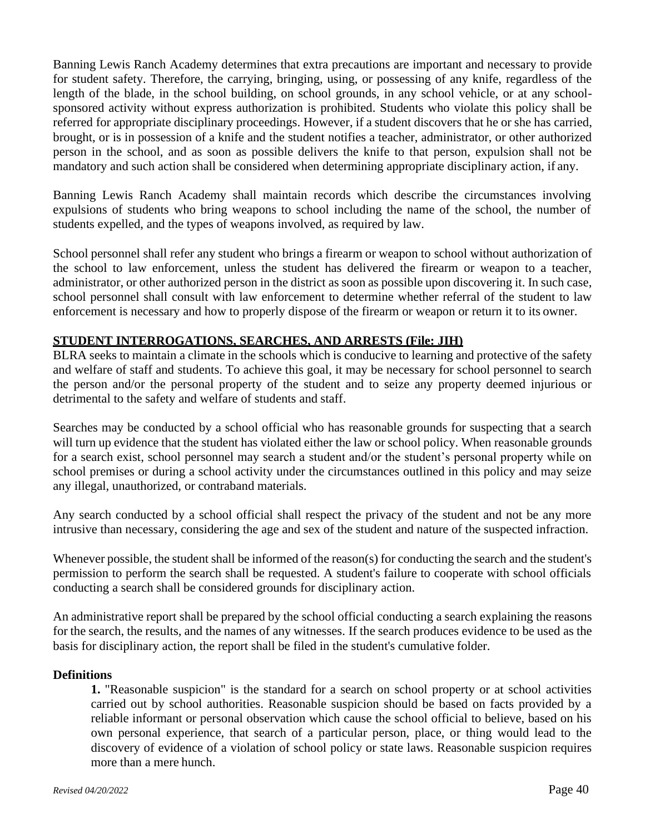Banning Lewis Ranch Academy determines that extra precautions are important and necessary to provide for student safety. Therefore, the carrying, bringing, using, or possessing of any knife, regardless of the length of the blade, in the school building, on school grounds, in any school vehicle, or at any schoolsponsored activity without express authorization is prohibited. Students who violate this policy shall be referred for appropriate disciplinary proceedings. However, if a student discovers that he or she has carried, brought, or is in possession of a knife and the student notifies a teacher, administrator, or other authorized person in the school, and as soon as possible delivers the knife to that person, expulsion shall not be mandatory and such action shall be considered when determining appropriate disciplinary action, if any.

Banning Lewis Ranch Academy shall maintain records which describe the circumstances involving expulsions of students who bring weapons to school including the name of the school, the number of students expelled, and the types of weapons involved, as required by law.

School personnel shall refer any student who brings a firearm or weapon to school without authorization of the school to law enforcement, unless the student has delivered the firearm or weapon to a teacher, administrator, or other authorized person in the district as soon as possible upon discovering it. In such case, school personnel shall consult with law enforcement to determine whether referral of the student to law enforcement is necessary and how to properly dispose of the firearm or weapon or return it to its owner.

### **STUDENT INTERROGATIONS, SEARCHES, AND ARRESTS (File: JIH)**

BLRA seeks to maintain a climate in the schools which is conducive to learning and protective of the safety and welfare of staff and students. To achieve this goal, it may be necessary for school personnel to search the person and/or the personal property of the student and to seize any property deemed injurious or detrimental to the safety and welfare of students and staff.

Searches may be conducted by a school official who has reasonable grounds for suspecting that a search will turn up evidence that the student has violated either the law or school policy. When reasonable grounds for a search exist, school personnel may search a student and/or the student's personal property while on school premises or during a school activity under the circumstances outlined in this policy and may seize any illegal, unauthorized, or contraband materials.

Any search conducted by a school official shall respect the privacy of the student and not be any more intrusive than necessary, considering the age and sex of the student and nature of the suspected infraction.

Whenever possible, the student shall be informed of the reason(s) for conducting the search and the student's permission to perform the search shall be requested. A student's failure to cooperate with school officials conducting a search shall be considered grounds for disciplinary action.

An administrative report shall be prepared by the school official conducting a search explaining the reasons for the search, the results, and the names of any witnesses. If the search produces evidence to be used as the basis for disciplinary action, the report shall be filed in the student's cumulative folder.

### **Definitions**

**1.** "Reasonable suspicion" is the standard for a search on school property or at school activities carried out by school authorities. Reasonable suspicion should be based on facts provided by a reliable informant or personal observation which cause the school official to believe, based on his own personal experience, that search of a particular person, place, or thing would lead to the discovery of evidence of a violation of school policy or state laws. Reasonable suspicion requires more than a mere hunch.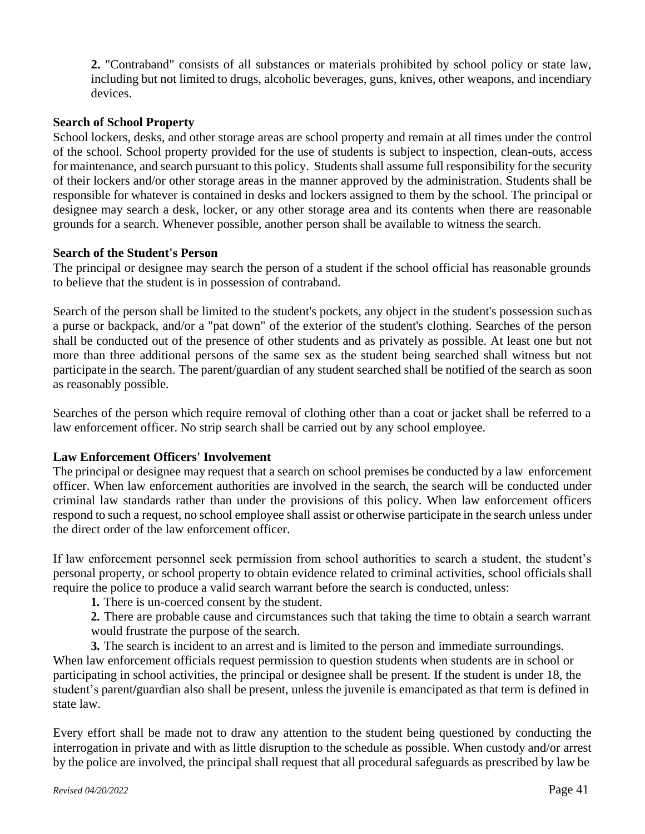**2.** "Contraband" consists of all substances or materials prohibited by school policy or state law, including but not limited to drugs, alcoholic beverages, guns, knives, other weapons, and incendiary devices.

### **Search of School Property**

School lockers, desks, and other storage areas are school property and remain at all times under the control of the school. School property provided for the use of students is subject to inspection, clean-outs, access for maintenance, and search pursuant to this policy. Students shall assume full responsibility for the security of their lockers and/or other storage areas in the manner approved by the administration. Students shall be responsible for whatever is contained in desks and lockers assigned to them by the school. The principal or designee may search a desk, locker, or any other storage area and its contents when there are reasonable grounds for a search. Whenever possible, another person shall be available to witness the search.

### **Search of the Student's Person**

The principal or designee may search the person of a student if the school official has reasonable grounds to believe that the student is in possession of contraband.

Search of the person shall be limited to the student's pockets, any object in the student's possession suchas a purse or backpack, and/or a "pat down" of the exterior of the student's clothing. Searches of the person shall be conducted out of the presence of other students and as privately as possible. At least one but not more than three additional persons of the same sex as the student being searched shall witness but not participate in the search. The parent/guardian of any student searched shall be notified of the search as soon as reasonably possible.

Searches of the person which require removal of clothing other than a coat or jacket shall be referred to a law enforcement officer. No strip search shall be carried out by any school employee.

### **Law Enforcement Officers' Involvement**

The principal or designee may request that a search on school premises be conducted by a law enforcement officer. When law enforcement authorities are involved in the search, the search will be conducted under criminal law standards rather than under the provisions of this policy. When law enforcement officers respond to such a request, no school employee shall assist or otherwise participate in the search unless under the direct order of the law enforcement officer.

If law enforcement personnel seek permission from school authorities to search a student, the student's personal property, or school property to obtain evidence related to criminal activities, school officials shall require the police to produce a valid search warrant before the search is conducted, unless:

**1.** There is un-coerced consent by the student.

**2.** There are probable cause and circumstances such that taking the time to obtain a search warrant would frustrate the purpose of the search.

**3.** The search is incident to an arrest and is limited to the person and immediate surroundings. When law enforcement officials request permission to question students when students are in school or participating in school activities, the principal or designee shall be present. If the student is under 18, the student's parent**/**guardian also shall be present, unless the juvenile is emancipated as that term is defined in state law.

Every effort shall be made not to draw any attention to the student being questioned by conducting the interrogation in private and with as little disruption to the schedule as possible. When custody and/or arrest by the police are involved, the principal shall request that all procedural safeguards as prescribed by law be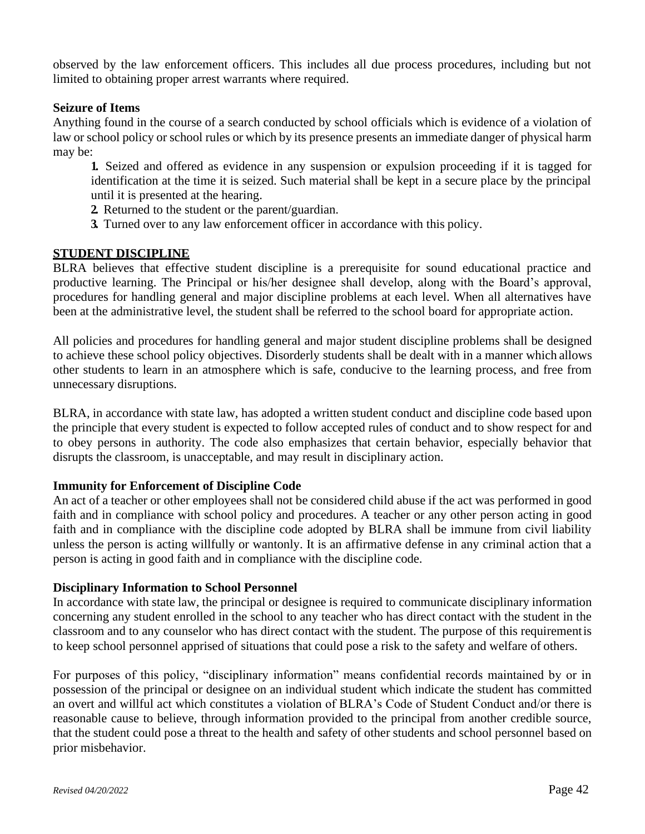observed by the law enforcement officers. This includes all due process procedures, including but not limited to obtaining proper arrest warrants where required.

### **Seizure of Items**

Anything found in the course of a search conducted by school officials which is evidence of a violation of law or school policy or school rules or which by its presence presents an immediate danger of physical harm may be:

**1.** Seized and offered as evidence in any suspension or expulsion proceeding if it is tagged for identification at the time it is seized. Such material shall be kept in a secure place by the principal until it is presented at the hearing.

- **2.** Returned to the student or the parent/guardian.
- **3.** Turned over to any law enforcement officer in accordance with this policy.

### **STUDENT DISCIPLINE**

BLRA believes that effective student discipline is a prerequisite for sound educational practice and productive learning. The Principal or his/her designee shall develop, along with the Board's approval, procedures for handling general and major discipline problems at each level. When all alternatives have been at the administrative level, the student shall be referred to the school board for appropriate action.

All policies and procedures for handling general and major student discipline problems shall be designed to achieve these school policy objectives. Disorderly students shall be dealt with in a manner which allows other students to learn in an atmosphere which is safe, conducive to the learning process, and free from unnecessary disruptions.

BLRA, in accordance with state law, has adopted a written student conduct and discipline code based upon the principle that every student is expected to follow accepted rules of conduct and to show respect for and to obey persons in authority. The code also emphasizes that certain behavior, especially behavior that disrupts the classroom, is unacceptable, and may result in disciplinary action.

### **Immunity for Enforcement of Discipline Code**

An act of a teacher or other employees shall not be considered child abuse if the act was performed in good faith and in compliance with school policy and procedures. A teacher or any other person acting in good faith and in compliance with the discipline code adopted by BLRA shall be immune from civil liability unless the person is acting willfully or wantonly. It is an affirmative defense in any criminal action that a person is acting in good faith and in compliance with the discipline code.

### **Disciplinary Information to School Personnel**

In accordance with state law, the principal or designee is required to communicate disciplinary information concerning any student enrolled in the school to any teacher who has direct contact with the student in the classroom and to any counselor who has direct contact with the student. The purpose of this requirementis to keep school personnel apprised of situations that could pose a risk to the safety and welfare of others.

For purposes of this policy, "disciplinary information" means confidential records maintained by or in possession of the principal or designee on an individual student which indicate the student has committed an overt and willful act which constitutes a violation of BLRA's Code of Student Conduct and/or there is reasonable cause to believe, through information provided to the principal from another credible source, that the student could pose a threat to the health and safety of other students and school personnel based on prior misbehavior.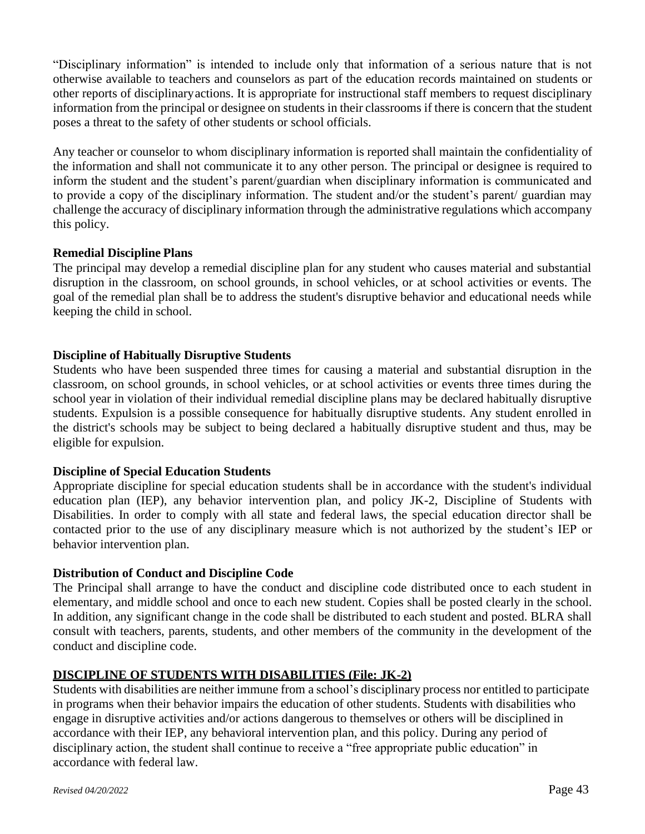"Disciplinary information" is intended to include only that information of a serious nature that is not otherwise available to teachers and counselors as part of the education records maintained on students or other reports of disciplinaryactions. It is appropriate for instructional staff members to request disciplinary information from the principal or designee on students in their classrooms if there is concern that the student poses a threat to the safety of other students or school officials.

Any teacher or counselor to whom disciplinary information is reported shall maintain the confidentiality of the information and shall not communicate it to any other person. The principal or designee is required to inform the student and the student's parent/guardian when disciplinary information is communicated and to provide a copy of the disciplinary information. The student and/or the student's parent/ guardian may challenge the accuracy of disciplinary information through the administrative regulations which accompany this policy.

### **Remedial Discipline Plans**

The principal may develop a remedial discipline plan for any student who causes material and substantial disruption in the classroom, on school grounds, in school vehicles, or at school activities or events. The goal of the remedial plan shall be to address the student's disruptive behavior and educational needs while keeping the child in school.

### **Discipline of Habitually Disruptive Students**

Students who have been suspended three times for causing a material and substantial disruption in the classroom, on school grounds, in school vehicles, or at school activities or events three times during the school year in violation of their individual remedial discipline plans may be declared habitually disruptive students. Expulsion is a possible consequence for habitually disruptive students. Any student enrolled in the district's schools may be subject to being declared a habitually disruptive student and thus, may be eligible for expulsion.

### **Discipline of Special Education Students**

Appropriate discipline for special education students shall be in accordance with the student's individual education plan (IEP), any behavior intervention plan, and policy JK-2, Discipline of Students with Disabilities. In order to comply with all state and federal laws, the special education director shall be contacted prior to the use of any disciplinary measure which is not authorized by the student's IEP or behavior intervention plan.

### **Distribution of Conduct and Discipline Code**

The Principal shall arrange to have the conduct and discipline code distributed once to each student in elementary, and middle school and once to each new student. Copies shall be posted clearly in the school. In addition, any significant change in the code shall be distributed to each student and posted. BLRA shall consult with teachers, parents, students, and other members of the community in the development of the conduct and discipline code.

### **DISCIPLINE OF STUDENTS WITH DISABILITIES (File: JK-2)**

Students with disabilities are neither immune from a school's disciplinary process nor entitled to participate in programs when their behavior impairs the education of other students. Students with disabilities who engage in disruptive activities and/or actions dangerous to themselves or others will be disciplined in accordance with their IEP, any behavioral intervention plan, and this policy. During any period of disciplinary action, the student shall continue to receive a "free appropriate public education" in accordance with federal law.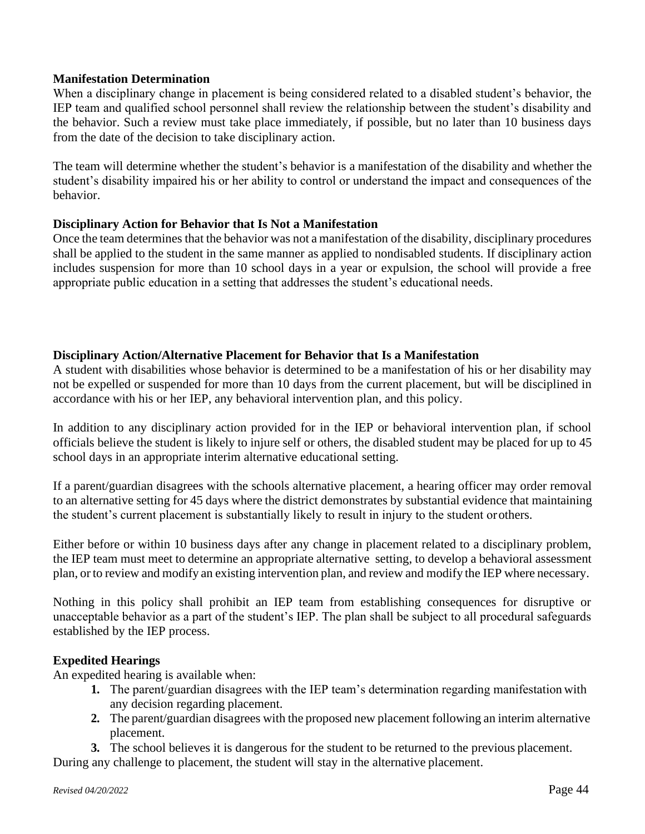### **Manifestation Determination**

When a disciplinary change in placement is being considered related to a disabled student's behavior, the IEP team and qualified school personnel shall review the relationship between the student's disability and the behavior. Such a review must take place immediately, if possible, but no later than 10 business days from the date of the decision to take disciplinary action.

The team will determine whether the student's behavior is a manifestation of the disability and whether the student's disability impaired his or her ability to control or understand the impact and consequences of the behavior.

### **Disciplinary Action for Behavior that Is Not a Manifestation**

Once the team determines that the behavior was not a manifestation of the disability, disciplinary procedures shall be applied to the student in the same manner as applied to nondisabled students. If disciplinary action includes suspension for more than 10 school days in a year or expulsion, the school will provide a free appropriate public education in a setting that addresses the student's educational needs.

### **Disciplinary Action/Alternative Placement for Behavior that Is a Manifestation**

A student with disabilities whose behavior is determined to be a manifestation of his or her disability may not be expelled or suspended for more than 10 days from the current placement, but will be disciplined in accordance with his or her IEP, any behavioral intervention plan, and this policy.

In addition to any disciplinary action provided for in the IEP or behavioral intervention plan, if school officials believe the student is likely to injure self or others, the disabled student may be placed for up to 45 school days in an appropriate interim alternative educational setting.

If a parent/guardian disagrees with the schools alternative placement, a hearing officer may order removal to an alternative setting for 45 days where the district demonstrates by substantial evidence that maintaining the student's current placement is substantially likely to result in injury to the student orothers.

Either before or within 10 business days after any change in placement related to a disciplinary problem, the IEP team must meet to determine an appropriate alternative setting, to develop a behavioral assessment plan, or to review and modify an existing intervention plan, and review and modify the IEP where necessary.

Nothing in this policy shall prohibit an IEP team from establishing consequences for disruptive or unacceptable behavior as a part of the student's IEP. The plan shall be subject to all procedural safeguards established by the IEP process.

### **Expedited Hearings**

An expedited hearing is available when:

- **1.** The parent/guardian disagrees with the IEP team's determination regarding manifestation with any decision regarding placement.
- **2.** The parent/guardian disagrees with the proposed new placement following an interim alternative placement.
- **3.** The school believes it is dangerous for the student to be returned to the previous placement.

During any challenge to placement, the student will stay in the alternative placement.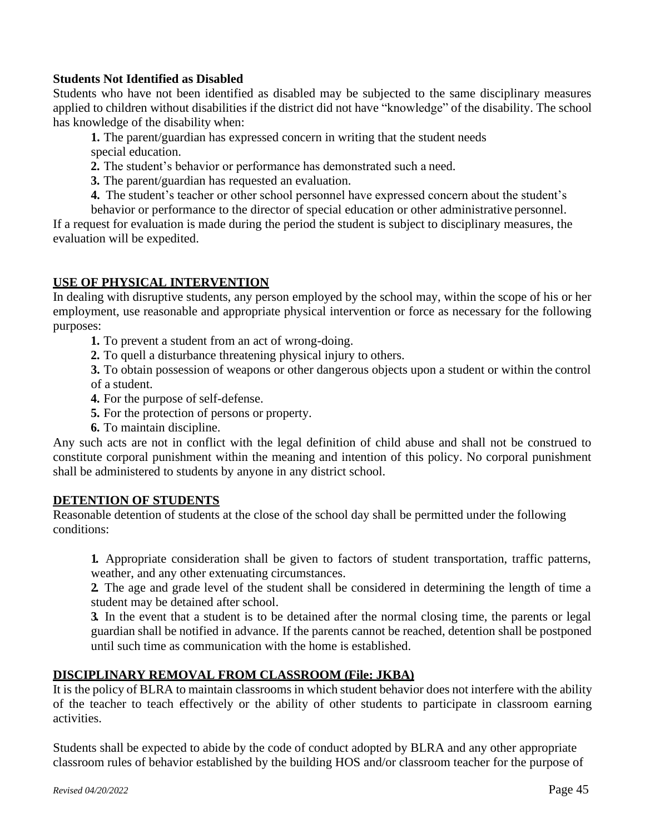### **Students Not Identified as Disabled**

Students who have not been identified as disabled may be subjected to the same disciplinary measures applied to children without disabilities if the district did not have "knowledge" of the disability. The school has knowledge of the disability when:

**1.** The parent/guardian has expressed concern in writing that the student needs special education.

- **2.** The student's behavior or performance has demonstrated such a need.
- **3.** The parent/guardian has requested an evaluation.
- **4.** The student's teacher or other school personnel have expressed concern about the student's

behavior or performance to the director of special education or other administrative personnel. If a request for evaluation is made during the period the student is subject to disciplinary measures, the evaluation will be expedited.

### **USE OF PHYSICAL INTERVENTION**

In dealing with disruptive students, any person employed by the school may, within the scope of his or her employment, use reasonable and appropriate physical intervention or force as necessary for the following purposes:

**1.** To prevent a student from an act of wrong-doing.

**2.** To quell a disturbance threatening physical injury to others.

**3.** To obtain possession of weapons or other dangerous objects upon a student or within the control of a student.

- **4.** For the purpose of self-defense.
- **5.** For the protection of persons or property.
- **6.** To maintain discipline.

Any such acts are not in conflict with the legal definition of child abuse and shall not be construed to constitute corporal punishment within the meaning and intention of this policy. No corporal punishment shall be administered to students by anyone in any district school.

### **DETENTION OF STUDENTS**

Reasonable detention of students at the close of the school day shall be permitted under the following conditions:

**1.** Appropriate consideration shall be given to factors of student transportation, traffic patterns, weather, and any other extenuating circumstances.

**2.** The age and grade level of the student shall be considered in determining the length of time a student may be detained after school.

**3.** In the event that a student is to be detained after the normal closing time, the parents or legal guardian shall be notified in advance. If the parents cannot be reached, detention shall be postponed until such time as communication with the home is established.

### **DISCIPLINARY REMOVAL FROM CLASSROOM (File: JKBA)**

It is the policy of BLRA to maintain classrooms in which student behavior does not interfere with the ability of the teacher to teach effectively or the ability of other students to participate in classroom earning activities.

Students shall be expected to abide by the code of conduct adopted by BLRA and any other appropriate classroom rules of behavior established by the building HOS and/or classroom teacher for the purpose of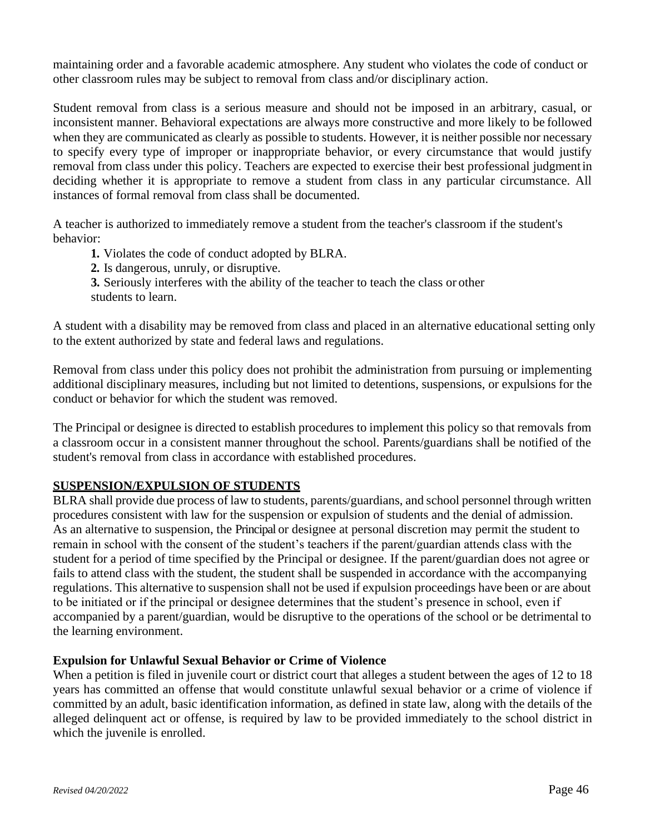maintaining order and a favorable academic atmosphere. Any student who violates the code of conduct or other classroom rules may be subject to removal from class and/or disciplinary action.

Student removal from class is a serious measure and should not be imposed in an arbitrary, casual, or inconsistent manner. Behavioral expectations are always more constructive and more likely to be followed when they are communicated as clearly as possible to students. However, it is neither possible nor necessary to specify every type of improper or inappropriate behavior, or every circumstance that would justify removal from class under this policy. Teachers are expected to exercise their best professional judgmentin deciding whether it is appropriate to remove a student from class in any particular circumstance. All instances of formal removal from class shall be documented.

A teacher is authorized to immediately remove a student from the teacher's classroom if the student's behavior:

- **1.** Violates the code of conduct adopted by BLRA.
- **2.** Is dangerous, unruly, or disruptive.
- **3.** Seriously interferes with the ability of the teacher to teach the class or other students to learn.

A student with a disability may be removed from class and placed in an alternative educational setting only to the extent authorized by state and federal laws and regulations.

Removal from class under this policy does not prohibit the administration from pursuing or implementing additional disciplinary measures, including but not limited to detentions, suspensions, or expulsions for the conduct or behavior for which the student was removed.

The Principal or designee is directed to establish procedures to implement this policy so that removals from a classroom occur in a consistent manner throughout the school. Parents/guardians shall be notified of the student's removal from class in accordance with established procedures.

### **SUSPENSION/EXPULSION OF STUDENTS**

BLRA shall provide due process of law to students, parents/guardians, and school personnel through written procedures consistent with law for the suspension or expulsion of students and the denial of admission. As an alternative to suspension, the Principal or designee at personal discretion may permit the student to remain in school with the consent of the student's teachers if the parent/guardian attends class with the student for a period of time specified by the Principal or designee. If the parent/guardian does not agree or fails to attend class with the student, the student shall be suspended in accordance with the accompanying regulations. This alternative to suspension shall not be used if expulsion proceedings have been or are about to be initiated or if the principal or designee determines that the student's presence in school, even if accompanied by a parent/guardian, would be disruptive to the operations of the school or be detrimental to the learning environment.

### **Expulsion for Unlawful Sexual Behavior or Crime of Violence**

When a petition is filed in juvenile court or district court that alleges a student between the ages of 12 to 18 years has committed an offense that would constitute unlawful sexual behavior or a crime of violence if committed by an adult, basic identification information, as defined in state law, along with the details of the alleged delinquent act or offense, is required by law to be provided immediately to the school district in which the juvenile is enrolled.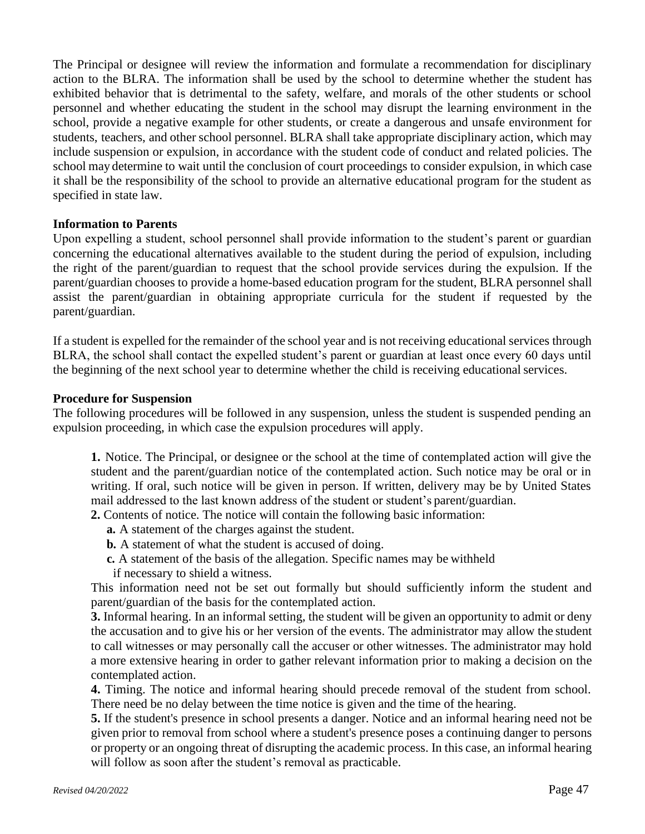The Principal or designee will review the information and formulate a recommendation for disciplinary action to the BLRA. The information shall be used by the school to determine whether the student has exhibited behavior that is detrimental to the safety, welfare, and morals of the other students or school personnel and whether educating the student in the school may disrupt the learning environment in the school, provide a negative example for other students, or create a dangerous and unsafe environment for students, teachers, and other school personnel. BLRA shall take appropriate disciplinary action, which may include suspension or expulsion, in accordance with the student code of conduct and related policies. The school may determine to wait until the conclusion of court proceedings to consider expulsion, in which case it shall be the responsibility of the school to provide an alternative educational program for the student as specified in state law.

### **Information to Parents**

Upon expelling a student, school personnel shall provide information to the student's parent or guardian concerning the educational alternatives available to the student during the period of expulsion, including the right of the parent/guardian to request that the school provide services during the expulsion. If the parent/guardian chooses to provide a home-based education program for the student, BLRA personnel shall assist the parent/guardian in obtaining appropriate curricula for the student if requested by the parent/guardian.

If a student is expelled for the remainder of the school year and is not receiving educational services through BLRA, the school shall contact the expelled student's parent or guardian at least once every 60 days until the beginning of the next school year to determine whether the child is receiving educationalservices.

#### **Procedure for Suspension**

The following procedures will be followed in any suspension, unless the student is suspended pending an expulsion proceeding, in which case the expulsion procedures will apply.

**1.** Notice. The Principal, or designee or the school at the time of contemplated action will give the student and the parent/guardian notice of the contemplated action. Such notice may be oral or in writing. If oral, such notice will be given in person. If written, delivery may be by United States mail addressed to the last known address of the student or student's parent/guardian.

**2.** Contents of notice. The notice will contain the following basic information:

- **a.** A statement of the charges against the student.
- **b.** A statement of what the student is accused of doing.
- **c.** A statement of the basis of the allegation. Specific names may be withheld
- if necessary to shield a witness.

This information need not be set out formally but should sufficiently inform the student and parent/guardian of the basis for the contemplated action.

**3.** Informal hearing. In an informal setting, the student will be given an opportunity to admit or deny the accusation and to give his or her version of the events. The administrator may allow the student to call witnesses or may personally call the accuser or other witnesses. The administrator may hold a more extensive hearing in order to gather relevant information prior to making a decision on the contemplated action.

**4.** Timing. The notice and informal hearing should precede removal of the student from school. There need be no delay between the time notice is given and the time of the hearing.

**5.** If the student's presence in school presents a danger. Notice and an informal hearing need not be given prior to removal from school where a student's presence poses a continuing danger to persons or property or an ongoing threat of disrupting the academic process. In this case, an informal hearing will follow as soon after the student's removal as practicable.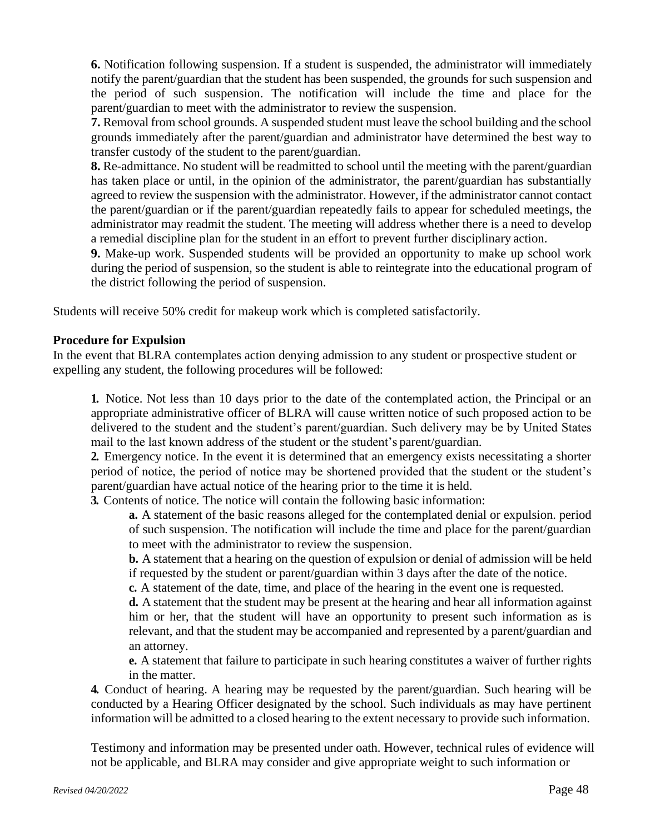**6.** Notification following suspension. If a student is suspended, the administrator will immediately notify the parent/guardian that the student has been suspended, the grounds for such suspension and the period of such suspension. The notification will include the time and place for the parent/guardian to meet with the administrator to review the suspension.

**7.** Removal from school grounds. A suspended student must leave the school building and the school grounds immediately after the parent/guardian and administrator have determined the best way to transfer custody of the student to the parent/guardian.

**8.** Re-admittance. No student will be readmitted to school until the meeting with the parent/guardian has taken place or until, in the opinion of the administrator, the parent/guardian has substantially agreed to review the suspension with the administrator. However, if the administrator cannot contact the parent/guardian or if the parent/guardian repeatedly fails to appear for scheduled meetings, the administrator may readmit the student. The meeting will address whether there is a need to develop a remedial discipline plan for the student in an effort to prevent further disciplinary action.

**9.** Make-up work. Suspended students will be provided an opportunity to make up school work during the period of suspension, so the student is able to reintegrate into the educational program of the district following the period of suspension.

Students will receive 50% credit for makeup work which is completed satisfactorily.

### **Procedure for Expulsion**

In the event that BLRA contemplates action denying admission to any student or prospective student or expelling any student, the following procedures will be followed:

**1.** Notice. Not less than 10 days prior to the date of the contemplated action, the Principal or an appropriate administrative officer of BLRA will cause written notice of such proposed action to be delivered to the student and the student's parent/guardian. Such delivery may be by United States mail to the last known address of the student or the student's parent/guardian.

**2.** Emergency notice. In the event it is determined that an emergency exists necessitating a shorter period of notice, the period of notice may be shortened provided that the student or the student's parent/guardian have actual notice of the hearing prior to the time it is held.

**3.** Contents of notice. The notice will contain the following basic information:

**a.** A statement of the basic reasons alleged for the contemplated denial or expulsion. period of such suspension. The notification will include the time and place for the parent/guardian to meet with the administrator to review the suspension.

**b.** A statement that a hearing on the question of expulsion or denial of admission will be held if requested by the student or parent/guardian within 3 days after the date of the notice.

**c.** A statement of the date, time, and place of the hearing in the event one is requested.

**d.** A statement that the student may be present at the hearing and hear all information against him or her, that the student will have an opportunity to present such information as is relevant, and that the student may be accompanied and represented by a parent/guardian and an attorney.

**e.** A statement that failure to participate in such hearing constitutes a waiver of further rights in the matter.

**4.** Conduct of hearing. A hearing may be requested by the parent/guardian. Such hearing will be conducted by a Hearing Officer designated by the school. Such individuals as may have pertinent information will be admitted to a closed hearing to the extent necessary to provide such information.

Testimony and information may be presented under oath. However, technical rules of evidence will not be applicable, and BLRA may consider and give appropriate weight to such information or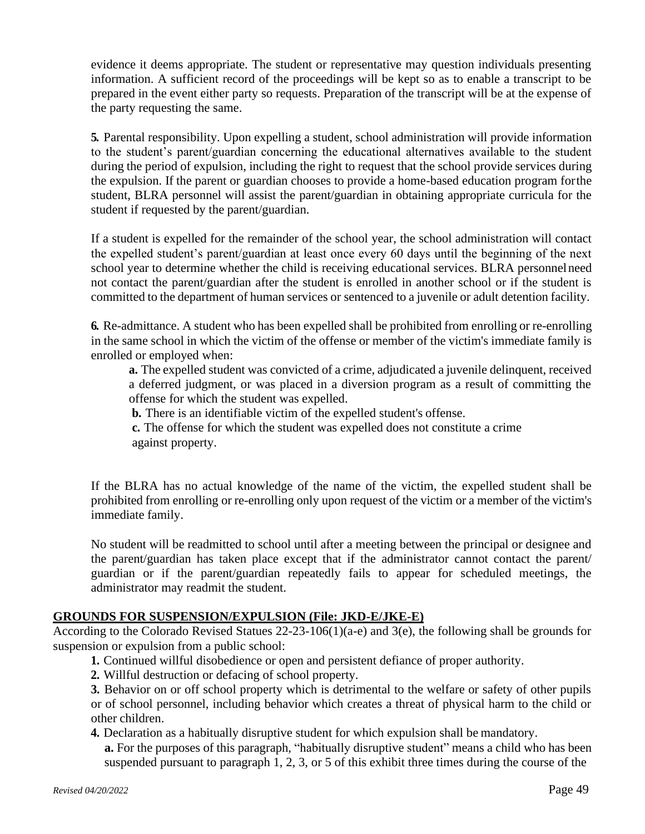evidence it deems appropriate. The student or representative may question individuals presenting information. A sufficient record of the proceedings will be kept so as to enable a transcript to be prepared in the event either party so requests. Preparation of the transcript will be at the expense of the party requesting the same.

**5.** Parental responsibility. Upon expelling a student, school administration will provide information to the student's parent/guardian concerning the educational alternatives available to the student during the period of expulsion, including the right to request that the school provide services during the expulsion. If the parent or guardian chooses to provide a home-based education program forthe student, BLRA personnel will assist the parent/guardian in obtaining appropriate curricula for the student if requested by the parent/guardian.

If a student is expelled for the remainder of the school year, the school administration will contact the expelled student's parent/guardian at least once every 60 days until the beginning of the next school year to determine whether the child is receiving educational services. BLRA personnelneed not contact the parent/guardian after the student is enrolled in another school or if the student is committed to the department of human services or sentenced to a juvenile or adult detention facility.

**6.** Re-admittance. A student who has been expelled shall be prohibited from enrolling or re-enrolling in the same school in which the victim of the offense or member of the victim's immediate family is enrolled or employed when:

**a.** The expelled student was convicted of a crime, adjudicated a juvenile delinquent, received a deferred judgment, or was placed in a diversion program as a result of committing the offense for which the student was expelled.

**b.** There is an identifiable victim of the expelled student's offense.

**c.** The offense for which the student was expelled does not constitute a crime against property.

If the BLRA has no actual knowledge of the name of the victim, the expelled student shall be prohibited from enrolling or re-enrolling only upon request of the victim or a member of the victim's immediate family.

No student will be readmitted to school until after a meeting between the principal or designee and the parent/guardian has taken place except that if the administrator cannot contact the parent/ guardian or if the parent/guardian repeatedly fails to appear for scheduled meetings, the administrator may readmit the student.

### **GROUNDS FOR SUSPENSION/EXPULSION (File: JKD-E/JKE-E)**

According to the Colorado Revised Statues 22-23-106(1)(a-e) and 3(e), the following shall be grounds for suspension or expulsion from a public school:

**1.** Continued willful disobedience or open and persistent defiance of proper authority.

**2.** Willful destruction or defacing of school property.

**3.** Behavior on or off school property which is detrimental to the welfare or safety of other pupils or of school personnel, including behavior which creates a threat of physical harm to the child or other children.

**4.** Declaration as a habitually disruptive student for which expulsion shall be mandatory.

**a.** For the purposes of this paragraph, "habitually disruptive student" means a child who has been suspended pursuant to paragraph 1, 2, 3, or 5 of this exhibit three times during the course of the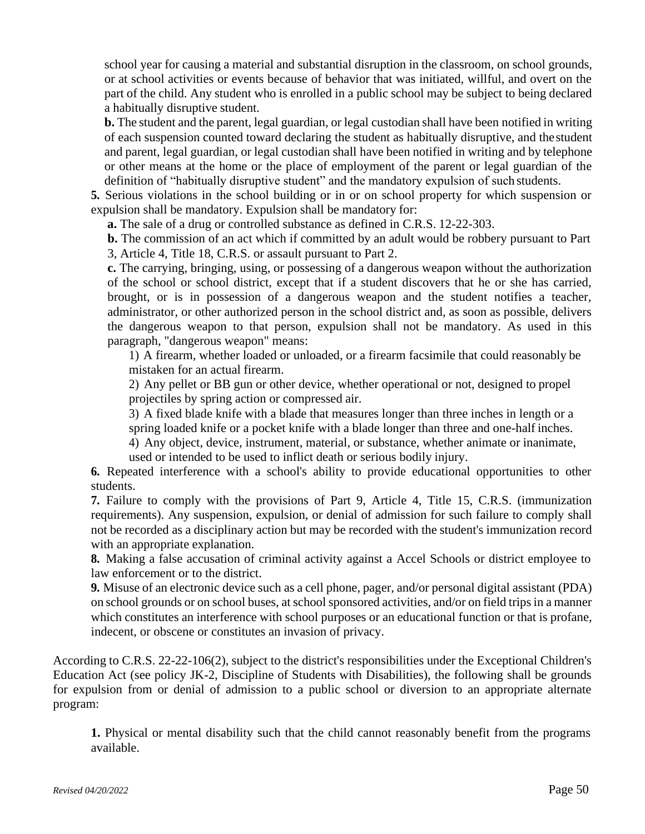school year for causing a material and substantial disruption in the classroom, on school grounds, or at school activities or events because of behavior that was initiated, willful, and overt on the part of the child. Any student who is enrolled in a public school may be subject to being declared a habitually disruptive student.

**b.** The student and the parent, legal guardian, or legal custodian shall have been notified in writing of each suspension counted toward declaring the student as habitually disruptive, and thestudent and parent, legal guardian, or legal custodian shall have been notified in writing and by telephone or other means at the home or the place of employment of the parent or legal guardian of the definition of "habitually disruptive student" and the mandatory expulsion of such students.

**5.** Serious violations in the school building or in or on school property for which suspension or expulsion shall be mandatory. Expulsion shall be mandatory for:

**a.** The sale of a drug or controlled substance as defined in C.R.S. 12-22-303.

**b.** The commission of an act which if committed by an adult would be robbery pursuant to Part 3, Article 4, Title 18, C.R.S. or assault pursuant to Part 2.

**c.** The carrying, bringing, using, or possessing of a dangerous weapon without the authorization of the school or school district, except that if a student discovers that he or she has carried, brought, or is in possession of a dangerous weapon and the student notifies a teacher, administrator, or other authorized person in the school district and, as soon as possible, delivers the dangerous weapon to that person, expulsion shall not be mandatory. As used in this paragraph, "dangerous weapon" means:

1) A firearm, whether loaded or unloaded, or a firearm facsimile that could reasonably be mistaken for an actual firearm.

2) Any pellet or BB gun or other device, whether operational or not, designed to propel projectiles by spring action or compressed air.

3) A fixed blade knife with a blade that measures longer than three inches in length or a spring loaded knife or a pocket knife with a blade longer than three and one-half inches.

4) Any object, device, instrument, material, or substance, whether animate or inanimate, used or intended to be used to inflict death or serious bodily injury.

**6.** Repeated interference with a school's ability to provide educational opportunities to other students.

**7.** Failure to comply with the provisions of Part 9, Article 4, Title 15, C.R.S. (immunization requirements). Any suspension, expulsion, or denial of admission for such failure to comply shall not be recorded as a disciplinary action but may be recorded with the student's immunization record with an appropriate explanation.

**8.** Making a false accusation of criminal activity against a Accel Schools or district employee to law enforcement or to the district.

**9.** Misuse of an electronic device such as a cell phone, pager, and/or personal digital assistant (PDA) on school grounds or on school buses, at school sponsored activities, and/or on field trips in a manner which constitutes an interference with school purposes or an educational function or that is profane, indecent, or obscene or constitutes an invasion of privacy.

According to C.R.S. 22-22-106(2), subject to the district's responsibilities under the Exceptional Children's Education Act (see policy JK-2, Discipline of Students with Disabilities), the following shall be grounds for expulsion from or denial of admission to a public school or diversion to an appropriate alternate program:

**1.** Physical or mental disability such that the child cannot reasonably benefit from the programs available.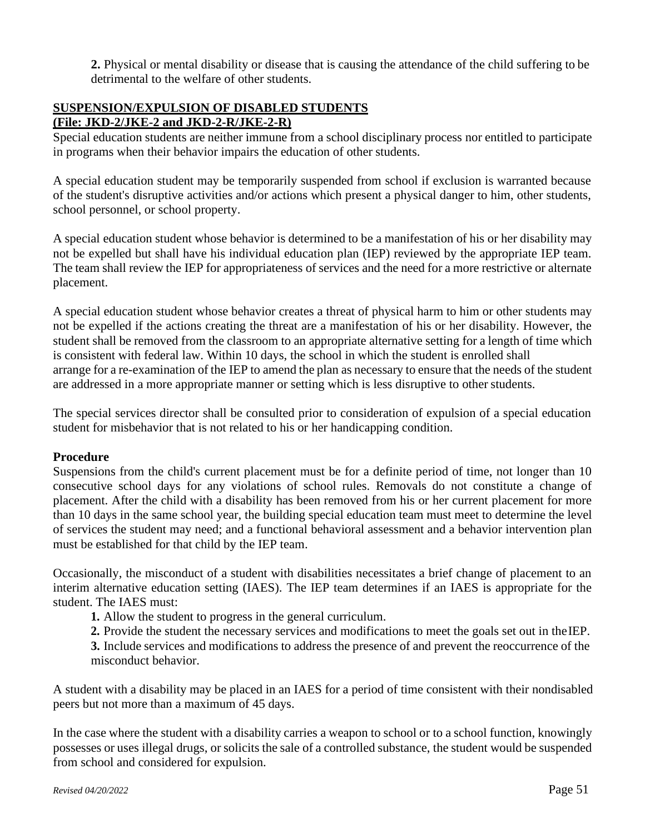**2.** Physical or mental disability or disease that is causing the attendance of the child suffering to be detrimental to the welfare of other students.

### **SUSPENSION/EXPULSION OF DISABLED STUDENTS (File: JKD-2/JKE-2 and JKD-2-R/JKE-2-R)**

Special education students are neither immune from a school disciplinary process nor entitled to participate in programs when their behavior impairs the education of other students.

A special education student may be temporarily suspended from school if exclusion is warranted because of the student's disruptive activities and/or actions which present a physical danger to him, other students, school personnel, or school property.

A special education student whose behavior is determined to be a manifestation of his or her disability may not be expelled but shall have his individual education plan (IEP) reviewed by the appropriate IEP team. The team shall review the IEP for appropriateness of services and the need for a more restrictive or alternate placement.

A special education student whose behavior creates a threat of physical harm to him or other students may not be expelled if the actions creating the threat are a manifestation of his or her disability. However, the student shall be removed from the classroom to an appropriate alternative setting for a length of time which is consistent with federal law. Within 10 days, the school in which the student is enrolled shall arrange for a re-examination of the IEP to amend the plan as necessary to ensure that the needs of the student are addressed in a more appropriate manner or setting which is less disruptive to other students.

The special services director shall be consulted prior to consideration of expulsion of a special education student for misbehavior that is not related to his or her handicapping condition.

### **Procedure**

Suspensions from the child's current placement must be for a definite period of time, not longer than 10 consecutive school days for any violations of school rules. Removals do not constitute a change of placement. After the child with a disability has been removed from his or her current placement for more than 10 days in the same school year, the building special education team must meet to determine the level of services the student may need; and a functional behavioral assessment and a behavior intervention plan must be established for that child by the IEP team.

Occasionally, the misconduct of a student with disabilities necessitates a brief change of placement to an interim alternative education setting (IAES). The IEP team determines if an IAES is appropriate for the student. The IAES must:

**1.** Allow the student to progress in the general curriculum.

**2.** Provide the student the necessary services and modifications to meet the goals set out in theIEP.

**3.** Include services and modifications to address the presence of and prevent the reoccurrence of the misconduct behavior.

A student with a disability may be placed in an IAES for a period of time consistent with their nondisabled peers but not more than a maximum of 45 days.

In the case where the student with a disability carries a weapon to school or to a school function, knowingly possesses or uses illegal drugs, or solicits the sale of a controlled substance, the student would be suspended from school and considered for expulsion.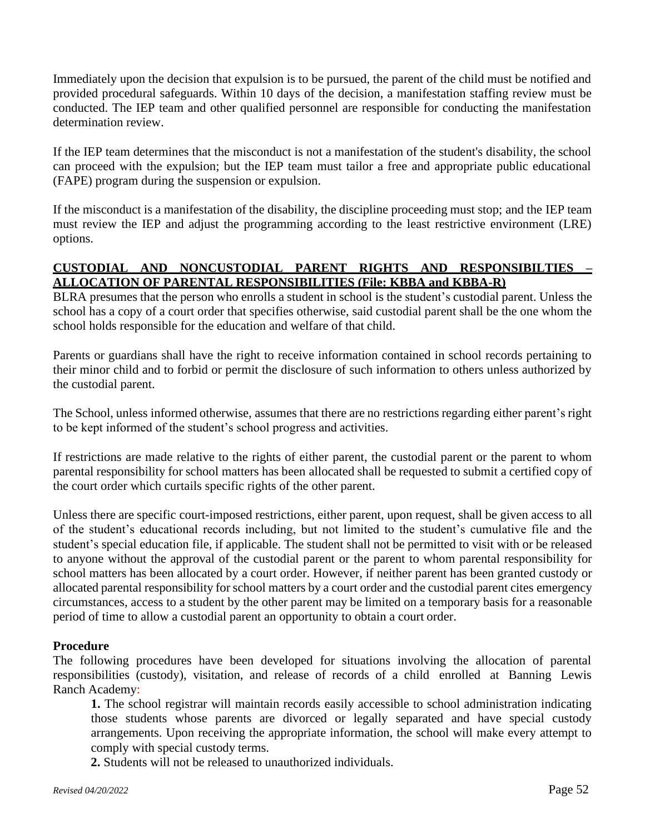Immediately upon the decision that expulsion is to be pursued, the parent of the child must be notified and provided procedural safeguards. Within 10 days of the decision, a manifestation staffing review must be conducted. The IEP team and other qualified personnel are responsible for conducting the manifestation determination review.

If the IEP team determines that the misconduct is not a manifestation of the student's disability, the school can proceed with the expulsion; but the IEP team must tailor a free and appropriate public educational (FAPE) program during the suspension or expulsion.

If the misconduct is a manifestation of the disability, the discipline proceeding must stop; and the IEP team must review the IEP and adjust the programming according to the least restrictive environment (LRE) options.

### **CUSTODIAL AND NONCUSTODIAL PARENT RIGHTS AND RESPONSIBILTIES – ALLOCATION OF PARENTAL RESPONSIBILITIES (File: KBBA and KBBA-R)**

BLRA presumes that the person who enrolls a student in school is the student's custodial parent. Unless the school has a copy of a court order that specifies otherwise, said custodial parent shall be the one whom the school holds responsible for the education and welfare of that child.

Parents or guardians shall have the right to receive information contained in school records pertaining to their minor child and to forbid or permit the disclosure of such information to others unless authorized by the custodial parent.

The School, unless informed otherwise, assumes that there are no restrictions regarding either parent's right to be kept informed of the student's school progress and activities.

If restrictions are made relative to the rights of either parent, the custodial parent or the parent to whom parental responsibility for school matters has been allocated shall be requested to submit a certified copy of the court order which curtails specific rights of the other parent.

Unless there are specific court-imposed restrictions, either parent, upon request, shall be given access to all of the student's educational records including, but not limited to the student's cumulative file and the student's special education file, if applicable. The student shall not be permitted to visit with or be released to anyone without the approval of the custodial parent or the parent to whom parental responsibility for school matters has been allocated by a court order. However, if neither parent has been granted custody or allocated parental responsibility forschool matters by a court order and the custodial parent cites emergency circumstances, access to a student by the other parent may be limited on a temporary basis for a reasonable period of time to allow a custodial parent an opportunity to obtain a court order.

### **Procedure**

The following procedures have been developed for situations involving the allocation of parental responsibilities (custody), visitation, and release of records of a child enrolled at Banning Lewis Ranch Academy:

**1.** The school registrar will maintain records easily accessible to school administration indicating those students whose parents are divorced or legally separated and have special custody arrangements. Upon receiving the appropriate information, the school will make every attempt to comply with special custody terms.

**2.** Students will not be released to unauthorized individuals.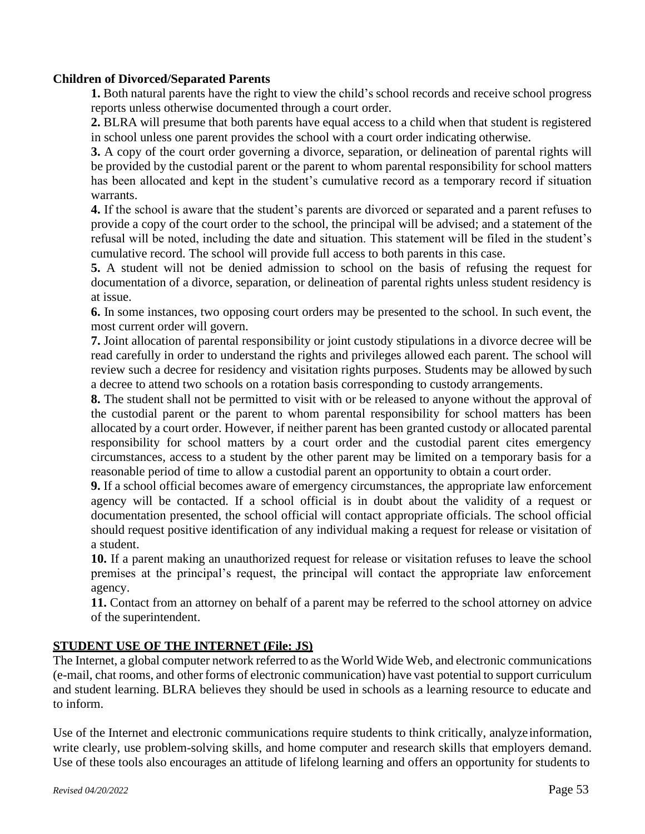### **Children of Divorced/Separated Parents**

**1.** Both natural parents have the right to view the child's school records and receive school progress reports unless otherwise documented through a court order.

**2.** BLRA will presume that both parents have equal access to a child when that student is registered in school unless one parent provides the school with a court order indicating otherwise.

**3.** A copy of the court order governing a divorce, separation, or delineation of parental rights will be provided by the custodial parent or the parent to whom parental responsibility for school matters has been allocated and kept in the student's cumulative record as a temporary record if situation warrants.

**4.** If the school is aware that the student's parents are divorced or separated and a parent refuses to provide a copy of the court order to the school, the principal will be advised; and a statement of the refusal will be noted, including the date and situation. This statement will be filed in the student's cumulative record. The school will provide full access to both parents in this case.

**5.** A student will not be denied admission to school on the basis of refusing the request for documentation of a divorce, separation, or delineation of parental rights unless student residency is at issue.

**6.** In some instances, two opposing court orders may be presented to the school. In such event, the most current order will govern.

**7.** Joint allocation of parental responsibility or joint custody stipulations in a divorce decree will be read carefully in order to understand the rights and privileges allowed each parent. The school will review such a decree for residency and visitation rights purposes. Students may be allowed bysuch a decree to attend two schools on a rotation basis corresponding to custody arrangements.

**8.** The student shall not be permitted to visit with or be released to anyone without the approval of the custodial parent or the parent to whom parental responsibility for school matters has been allocated by a court order. However, if neither parent has been granted custody or allocated parental responsibility for school matters by a court order and the custodial parent cites emergency circumstances, access to a student by the other parent may be limited on a temporary basis for a reasonable period of time to allow a custodial parent an opportunity to obtain a court order.

**9.** If a school official becomes aware of emergency circumstances, the appropriate law enforcement agency will be contacted. If a school official is in doubt about the validity of a request or documentation presented, the school official will contact appropriate officials. The school official should request positive identification of any individual making a request for release or visitation of a student.

**10.** If a parent making an unauthorized request for release or visitation refuses to leave the school premises at the principal's request, the principal will contact the appropriate law enforcement agency.

**11.** Contact from an attorney on behalf of a parent may be referred to the school attorney on advice of the superintendent.

### **STUDENT USE OF THE INTERNET (File: JS)**

The Internet, a global computer network referred to as the World Wide Web, and electronic communications (e-mail, chat rooms, and other forms of electronic communication) have vast potential to support curriculum and student learning. BLRA believes they should be used in schools as a learning resource to educate and to inform.

Use of the Internet and electronic communications require students to think critically, analyzeinformation, write clearly, use problem-solving skills, and home computer and research skills that employers demand. Use of these tools also encourages an attitude of lifelong learning and offers an opportunity for students to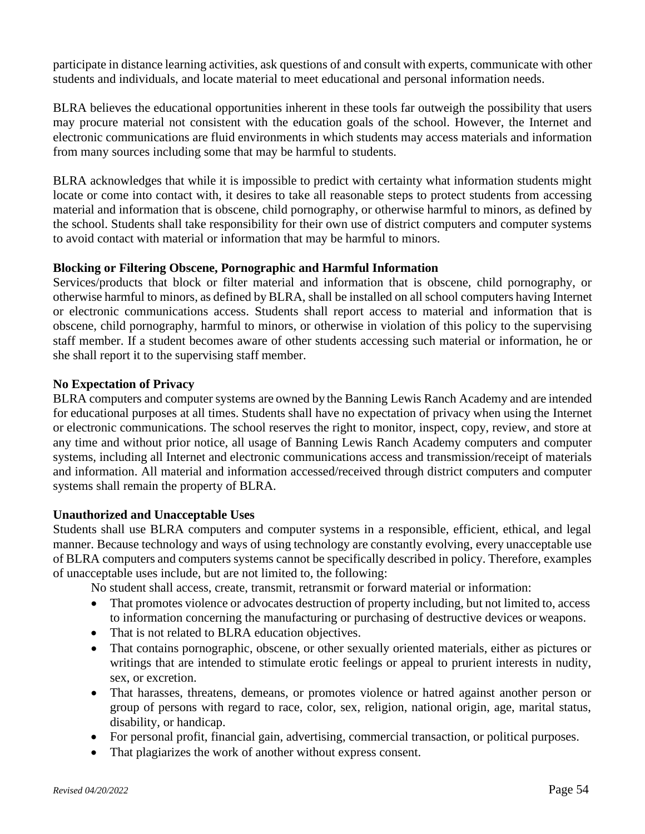participate in distance learning activities, ask questions of and consult with experts, communicate with other students and individuals, and locate material to meet educational and personal information needs.

BLRA believes the educational opportunities inherent in these tools far outweigh the possibility that users may procure material not consistent with the education goals of the school. However, the Internet and electronic communications are fluid environments in which students may access materials and information from many sources including some that may be harmful to students.

BLRA acknowledges that while it is impossible to predict with certainty what information students might locate or come into contact with, it desires to take all reasonable steps to protect students from accessing material and information that is obscene, child pornography, or otherwise harmful to minors, as defined by the school. Students shall take responsibility for their own use of district computers and computer systems to avoid contact with material or information that may be harmful to minors.

### **Blocking or Filtering Obscene, Pornographic and Harmful Information**

Services/products that block or filter material and information that is obscene, child pornography, or otherwise harmful to minors, as defined by BLRA, shall be installed on all school computers having Internet or electronic communications access. Students shall report access to material and information that is obscene, child pornography, harmful to minors, or otherwise in violation of this policy to the supervising staff member. If a student becomes aware of other students accessing such material or information, he or she shall report it to the supervising staff member.

### **No Expectation of Privacy**

BLRA computers and computer systems are owned by the Banning Lewis Ranch Academy and are intended for educational purposes at all times. Students shall have no expectation of privacy when using the Internet or electronic communications. The school reserves the right to monitor, inspect, copy, review, and store at any time and without prior notice, all usage of Banning Lewis Ranch Academy computers and computer systems, including all Internet and electronic communications access and transmission/receipt of materials and information. All material and information accessed/received through district computers and computer systems shall remain the property of BLRA.

### **Unauthorized and Unacceptable Uses**

Students shall use BLRA computers and computer systems in a responsible, efficient, ethical, and legal manner. Because technology and ways of using technology are constantly evolving, every unacceptable use of BLRA computers and computers systems cannot be specifically described in policy. Therefore, examples of unacceptable uses include, but are not limited to, the following:

No student shall access, create, transmit, retransmit or forward material or information:

- That promotes violence or advocates destruction of property including, but not limited to, access to information concerning the manufacturing or purchasing of destructive devices or weapons.
- That is not related to BLRA education objectives.
- That contains pornographic, obscene, or other sexually oriented materials, either as pictures or writings that are intended to stimulate erotic feelings or appeal to prurient interests in nudity, sex, or excretion.
- That harasses, threatens, demeans, or promotes violence or hatred against another person or group of persons with regard to race, color, sex, religion, national origin, age, marital status, disability, or handicap.
- For personal profit, financial gain, advertising, commercial transaction, or political purposes.
- That plagiarizes the work of another without express consent.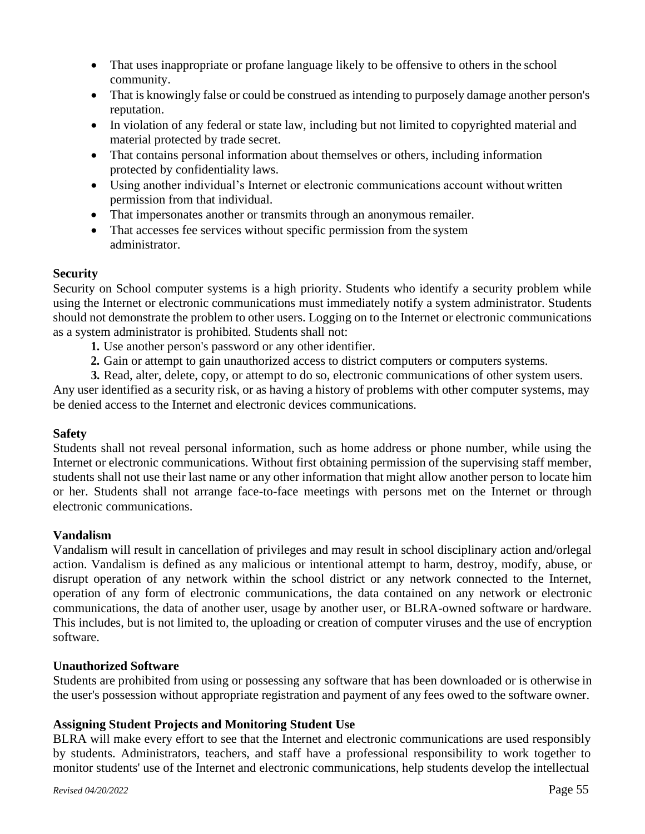- That uses inappropriate or profane language likely to be offensive to others in the school community.
- That is knowingly false or could be construed as intending to purposely damage another person's reputation.
- In violation of any federal or state law, including but not limited to copyrighted material and material protected by trade secret.
- That contains personal information about themselves or others, including information protected by confidentiality laws.
- Using another individual's Internet or electronic communications account without written permission from that individual.
- That impersonates another or transmits through an anonymous remailer.
- That accesses fee services without specific permission from the system administrator.

### **Security**

Security on School computer systems is a high priority. Students who identify a security problem while using the Internet or electronic communications must immediately notify a system administrator. Students should not demonstrate the problem to other users. Logging on to the Internet or electronic communications as a system administrator is prohibited. Students shall not:

- **1.** Use another person's password or any other identifier.
- **2.** Gain or attempt to gain unauthorized access to district computers or computers systems.
- **3.** Read, alter, delete, copy, or attempt to do so, electronic communications of other system users.

Any user identified as a security risk, or as having a history of problems with other computer systems, may be denied access to the Internet and electronic devices communications.

### **Safety**

Students shall not reveal personal information, such as home address or phone number, while using the Internet or electronic communications. Without first obtaining permission of the supervising staff member, students shall not use their last name or any other information that might allow another person to locate him or her. Students shall not arrange face-to-face meetings with persons met on the Internet or through electronic communications.

### **Vandalism**

Vandalism will result in cancellation of privileges and may result in school disciplinary action and/orlegal action. Vandalism is defined as any malicious or intentional attempt to harm, destroy, modify, abuse, or disrupt operation of any network within the school district or any network connected to the Internet, operation of any form of electronic communications, the data contained on any network or electronic communications, the data of another user, usage by another user, or BLRA-owned software or hardware. This includes, but is not limited to, the uploading or creation of computer viruses and the use of encryption software.

### **Unauthorized Software**

Students are prohibited from using or possessing any software that has been downloaded or is otherwise in the user's possession without appropriate registration and payment of any fees owed to the software owner.

### **Assigning Student Projects and Monitoring Student Use**

BLRA will make every effort to see that the Internet and electronic communications are used responsibly by students. Administrators, teachers, and staff have a professional responsibility to work together to monitor students' use of the Internet and electronic communications, help students develop the intellectual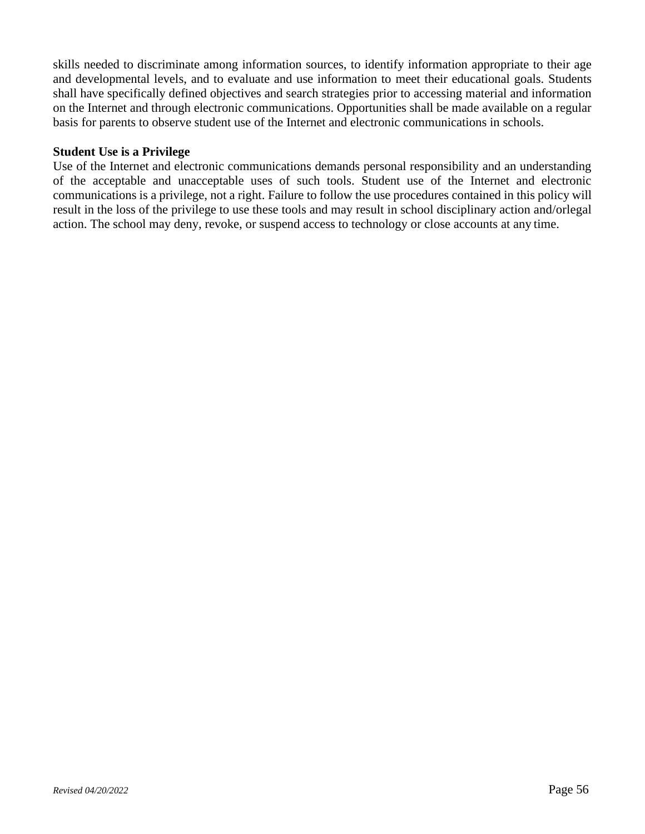skills needed to discriminate among information sources, to identify information appropriate to their age and developmental levels, and to evaluate and use information to meet their educational goals. Students shall have specifically defined objectives and search strategies prior to accessing material and information on the Internet and through electronic communications. Opportunities shall be made available on a regular basis for parents to observe student use of the Internet and electronic communications in schools.

### **Student Use is a Privilege**

Use of the Internet and electronic communications demands personal responsibility and an understanding of the acceptable and unacceptable uses of such tools. Student use of the Internet and electronic communications is a privilege, not a right. Failure to follow the use procedures contained in this policy will result in the loss of the privilege to use these tools and may result in school disciplinary action and/orlegal action. The school may deny, revoke, or suspend access to technology or close accounts at any time.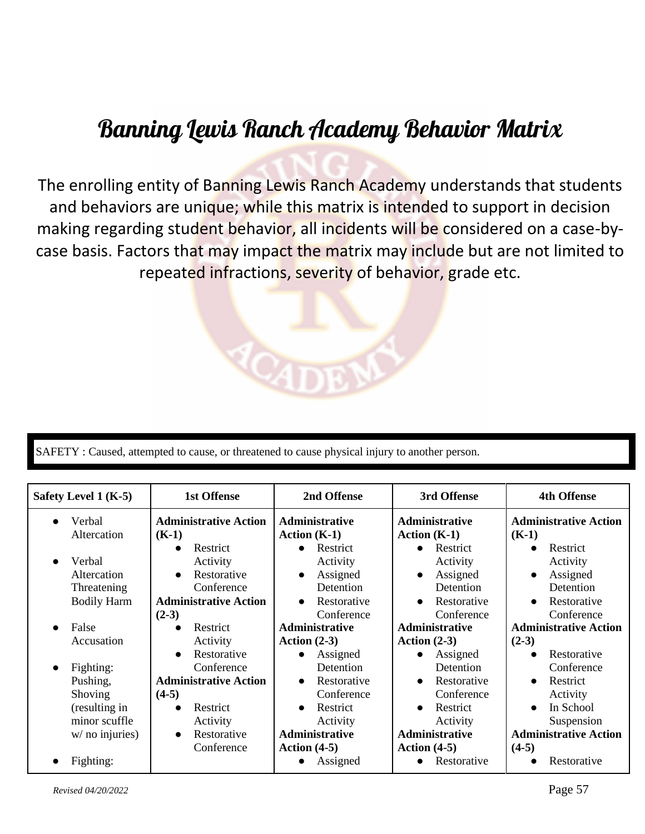## Banning Lewis Ranch Academy Behavior Matrix

The enrolling entity of Banning Lewis Ranch Academy understands that students and behaviors are unique; while this matrix is intended to support in decision making regarding student behavior, all incidents will be considered on a case-bycase basis. Factors that may impact the matrix may include but are not limited to repeated infractions, severity of behavior, grade etc.



| Safety Level 1 (K-5)   | <b>1st Offense</b>           | 2nd Offense              | 3rd Offense              | <b>4th Offense</b>           |
|------------------------|------------------------------|--------------------------|--------------------------|------------------------------|
| Verbal<br>$\bullet$    | <b>Administrative Action</b> | Administrative           | <b>Administrative</b>    | <b>Administrative Action</b> |
| Altercation            | $(K-1)$                      | Action $(K-1)$           | Action $(K-1)$           | $(K-1)$                      |
|                        | Restrict<br>$\bullet$        | Restrict<br>$\bullet$    | Restrict<br>$\bullet$    | Restrict<br>$\bullet$        |
| Verbal<br>$\bullet$    | Activity                     | Activity                 | Activity                 | Activity                     |
| Altercation            | Restorative<br>$\bullet$     | Assigned<br>$\bullet$    | Assigned<br>$\bullet$    | Assigned<br>$\bullet$        |
| Threatening            | Conference                   | Detention                | Detention                | Detention                    |
| <b>Bodily Harm</b>     | <b>Administrative Action</b> | Restorative<br>$\bullet$ | Restorative<br>$\bullet$ | Restorative<br>$\bullet$     |
|                        | $(2-3)$                      | Conference               | Conference               | Conference                   |
| False<br>$\bullet$     | Restrict<br>$\bullet$        | <b>Administrative</b>    | <b>Administrative</b>    | <b>Administrative Action</b> |
| Accusation             | Activity                     | Action $(2-3)$           | Action $(2-3)$           | $(2-3)$                      |
|                        | Restorative<br>$\bullet$     | Assigned                 | Assigned<br>$\bullet$    | Restorative<br>$\bullet$     |
| Fighting:<br>$\bullet$ | Conference                   | Detention                | Detention                | Conference                   |
| Pushing,               | <b>Administrative Action</b> | Restorative<br>$\bullet$ | Restorative<br>$\bullet$ | Restrict<br>$\bullet$        |
| Shoving                | $(4-5)$                      | Conference               | Conference               | Activity                     |
| (resulting in          | Restrict<br>$\bullet$        | Restrict                 | Restrict<br>$\bullet$    | In School<br>$\bullet$       |
| minor scuffle          | Activity                     | Activity                 | Activity                 | Suspension                   |
| $w/$ no injuries)      | Restorative<br>$\bullet$     | Administrative           | <b>Administrative</b>    | <b>Administrative Action</b> |
|                        | Conference                   | Action $(4-5)$           | Action $(4-5)$           | $(4-5)$                      |
| Fighting:<br>$\bullet$ |                              | Assigned                 | Restorative<br>$\bullet$ | Restorative                  |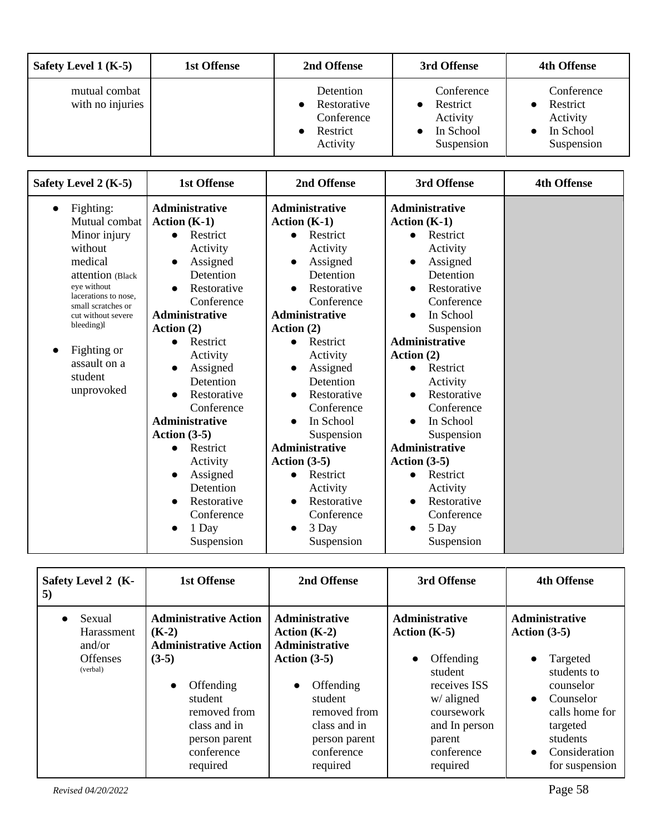| Safety Level $1(K-5)$             | 1st Offense | 2nd Offense                                                    | 3rd Offense                                                   | <b>4th Offense</b>                                            |
|-----------------------------------|-------------|----------------------------------------------------------------|---------------------------------------------------------------|---------------------------------------------------------------|
| mutual combat<br>with no injuries |             | Detention<br>Restorative<br>Conference<br>Restrict<br>Activity | Conference<br>Restrict<br>Activity<br>In School<br>Suspension | Conference<br>Restrict<br>Activity<br>In School<br>Suspension |

| Safety Level 2 (K-5)                                                                                                                      | <b>1st Offense</b>                                                                                                                                                      | 2nd Offense                                                                                                                                    | 3rd Offense                                                                                                                       | <b>4th Offense</b> |
|-------------------------------------------------------------------------------------------------------------------------------------------|-------------------------------------------------------------------------------------------------------------------------------------------------------------------------|------------------------------------------------------------------------------------------------------------------------------------------------|-----------------------------------------------------------------------------------------------------------------------------------|--------------------|
| Fighting:<br>$\bullet$<br>Mutual combat                                                                                                   | Administrative<br>Action $(K-1)$                                                                                                                                        | Administrative<br>Action $(K-1)$                                                                                                               | <b>Administrative</b><br>Action $(K-1)$                                                                                           |                    |
| Minor injury<br>without<br>medical<br>attention (Black<br>eye without<br>lacerations to nose,<br>small scratches or<br>cut without severe | Restrict<br>$\bullet$<br>Activity<br>Assigned<br>$\bullet$<br>Detention<br>Restorative<br>$\bullet$<br>Conference<br><b>Administrative</b>                              | Restrict<br>Activity<br>Assigned<br>Detention<br>Restorative<br>Conference<br><b>Administrative</b>                                            | Restrict<br>Activity<br>Assigned<br>Detention<br>Restorative<br>Conference<br>In School                                           |                    |
| bleeding)                                                                                                                                 | Action $(2)$                                                                                                                                                            | Action $(2)$                                                                                                                                   | Suspension                                                                                                                        |                    |
| Fighting or<br>$\bullet$<br>assault on a<br>student<br>unprovoked                                                                         | Restrict<br>$\bullet$<br>Activity<br>Assigned<br>$\bullet$<br>Detention<br>Restorative<br>$\bullet$<br>Conference<br>Administrative                                     | Restrict<br>$\bullet$<br>Activity<br>Assigned<br>Detention<br>Restorative<br>$\bullet$<br>Conference<br>In School<br>$\bullet$                 | Administrative<br>Action $(2)$<br>Restrict<br>Activity<br>Restorative<br>Conference<br>In School                                  |                    |
|                                                                                                                                           | Action $(3-5)$<br>Restrict<br>$\bullet$<br>Activity<br>Assigned<br>$\bullet$<br>Detention<br>Restorative<br>$\bullet$<br>Conference<br>1 Day<br>$\bullet$<br>Suspension | Suspension<br><b>Administrative</b><br>Action $(3-5)$<br>Restrict<br>Activity<br>Restorative<br>$\bullet$<br>Conference<br>3 Day<br>Suspension | Suspension<br><b>Administrative</b><br>Action $(3-5)$<br>Restrict<br>Activity<br>Restorative<br>Conference<br>5 Day<br>Suspension |                    |

| Safety Level 2 (K-<br>5)                                                   | 1st Offense                                                                                                                                                                                        | 2nd Offense                                                                                                                                                                                 | 3rd Offense                                                                                                                                                        | <b>4th Offense</b>                                                                                                                                                                                               |
|----------------------------------------------------------------------------|----------------------------------------------------------------------------------------------------------------------------------------------------------------------------------------------------|---------------------------------------------------------------------------------------------------------------------------------------------------------------------------------------------|--------------------------------------------------------------------------------------------------------------------------------------------------------------------|------------------------------------------------------------------------------------------------------------------------------------------------------------------------------------------------------------------|
| Sexual<br>$\bullet$<br>Harassment<br>and/or<br><b>Offenses</b><br>(verbal) | <b>Administrative Action</b><br>$(K-2)$<br><b>Administrative Action</b><br>$(3-5)$<br>Offending<br>$\bullet$<br>student<br>removed from<br>class and in<br>person parent<br>conference<br>required | Administrative<br>Action $(K-2)$<br><b>Administrative</b><br>Action $(3-5)$<br>Offending<br>$\bullet$<br>student<br>removed from<br>class and in<br>person parent<br>conference<br>required | <b>Administrative</b><br>Action $(K-5)$<br>Offending<br>student<br>receives ISS<br>$w/$ aligned<br>coursework<br>and In person<br>parent<br>conference<br>required | <b>Administrative</b><br>Action $(3-5)$<br>Targeted<br>$\bullet$<br>students to<br>counselor<br>Counselor<br>$\bullet$<br>calls home for<br>targeted<br>students<br>Consideration<br>$\bullet$<br>for suspension |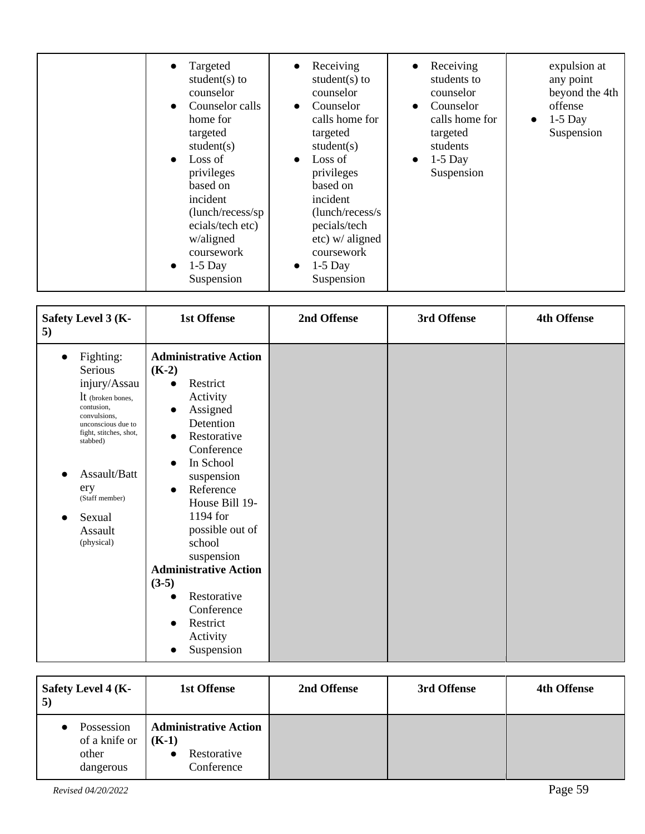| Targeted<br>$\bullet$<br>student $(s)$ to<br>counselor<br>Counselor calls<br>$\bullet$<br>home for<br>targeted<br>student(s)<br>Loss of<br>$\bullet$<br>privileges<br>based on<br>incident<br>(lunch/recess/sp)<br>ecials/tech etc)<br>w/aligned<br>coursework<br>$1-5$ Day<br>$\bullet$<br>Suspension | Receiving<br>$\bullet$<br>student $(s)$ to<br>counselor<br>Counselor<br>calls home for<br>targeted<br>student(s)<br>Loss of<br>$\bullet$<br>privileges<br>based on<br>incident<br>(lunch/recess/s)<br>pecials/tech<br>$etc)$ w/ aligned<br>coursework<br>$1-5$ Day<br>$\bullet$<br>Suspension | Receiving<br>$\bullet$<br>students to<br>counselor<br>Counselor<br>calls home for<br>targeted<br>students<br>$1-5$ Day<br>$\bullet$<br>Suspension | expulsion at<br>any point<br>beyond the 4th<br>offense<br>$1-5$ Day<br>Suspension |
|--------------------------------------------------------------------------------------------------------------------------------------------------------------------------------------------------------------------------------------------------------------------------------------------------------|-----------------------------------------------------------------------------------------------------------------------------------------------------------------------------------------------------------------------------------------------------------------------------------------------|---------------------------------------------------------------------------------------------------------------------------------------------------|-----------------------------------------------------------------------------------|
|--------------------------------------------------------------------------------------------------------------------------------------------------------------------------------------------------------------------------------------------------------------------------------------------------------|-----------------------------------------------------------------------------------------------------------------------------------------------------------------------------------------------------------------------------------------------------------------------------------------------|---------------------------------------------------------------------------------------------------------------------------------------------------|-----------------------------------------------------------------------------------|

| Safety Level 3 (K-<br>5)                                                                                                                                                                                                                                       | <b>1st Offense</b>                                                                                                                                                                                                                                                                                                                                                                                                                 | 2nd Offense | 3rd Offense | <b>4th Offense</b> |
|----------------------------------------------------------------------------------------------------------------------------------------------------------------------------------------------------------------------------------------------------------------|------------------------------------------------------------------------------------------------------------------------------------------------------------------------------------------------------------------------------------------------------------------------------------------------------------------------------------------------------------------------------------------------------------------------------------|-------------|-------------|--------------------|
| Fighting:<br>$\bullet$<br>Serious<br>injury/Assau<br>It (broken bones,<br>contusion,<br>convulsions,<br>unconscious due to<br>fight, stitches, shot,<br>stabbed)<br>Assault/Batt<br>●<br>ery<br>(Staff member)<br>Sexual<br>$\bullet$<br>Assault<br>(physical) | <b>Administrative Action</b><br>$(K-2)$<br>Restrict<br>$\bullet$<br>Activity<br>Assigned<br>$\bullet$<br>Detention<br>Restorative<br>$\bullet$<br>Conference<br>In School<br>suspension<br>Reference<br>$\bullet$<br>House Bill 19-<br>1194 for<br>possible out of<br>school<br>suspension<br><b>Administrative Action</b><br>$(3-5)$<br>Restorative<br>Conference<br>Restrict<br>$\bullet$<br>Activity<br>Suspension<br>$\bullet$ |             |             |                    |

| Safety Level 4 (K-<br>5)                                       | 1st Offense                                                                       | 2nd Offense | 3rd Offense | 4th Offense |
|----------------------------------------------------------------|-----------------------------------------------------------------------------------|-------------|-------------|-------------|
| Possession<br>$\bullet$<br>of a knife or<br>other<br>dangerous | <b>Administrative Action</b><br>$(K-1)$<br>Restorative<br>$\bullet$<br>Conference |             |             |             |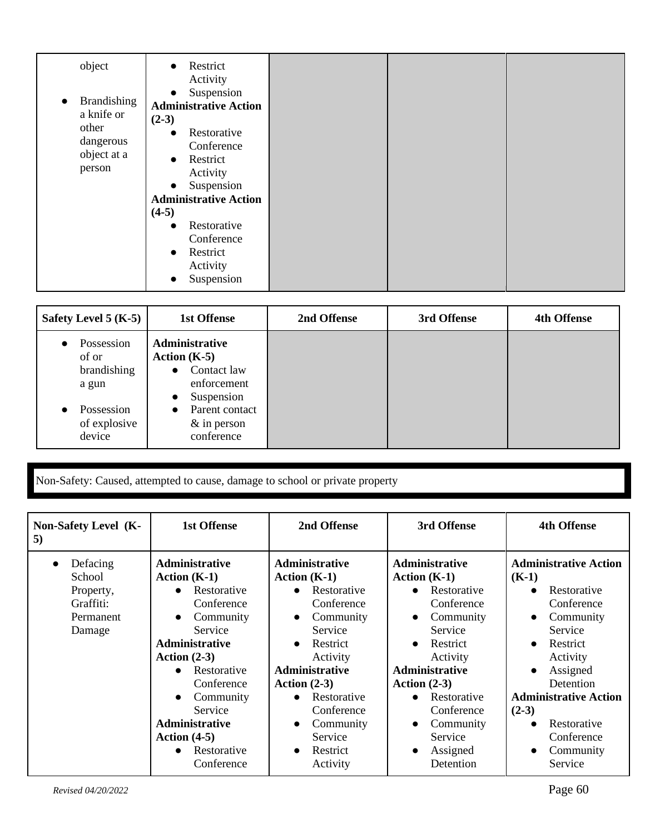| object                                                                                       | Restrict<br>$\bullet$<br>Activity<br>Suspension<br>$\bullet$                                                                                      |  |  |
|----------------------------------------------------------------------------------------------|---------------------------------------------------------------------------------------------------------------------------------------------------|--|--|
| <b>Brandishing</b><br>$\bullet$<br>a knife or<br>other<br>dangerous<br>object at a<br>person | <b>Administrative Action</b><br>$(2-3)$<br>Restorative<br>$\bullet$<br>Conference<br>Restrict<br>$\bullet$<br>Activity<br>Suspension<br>$\bullet$ |  |  |
|                                                                                              | <b>Administrative Action</b><br>$(4-5)$                                                                                                           |  |  |
|                                                                                              | Restorative<br>$\bullet$<br>Conference<br>Restrict<br>$\bullet$<br>Activity<br>Suspension                                                         |  |  |

| Safety Level 5 $(K-5)$                                                              | 1st Offense                                                                                                                                                    | 2nd Offense | 3rd Offense | <b>4th Offense</b> |
|-------------------------------------------------------------------------------------|----------------------------------------------------------------------------------------------------------------------------------------------------------------|-------------|-------------|--------------------|
| Possession<br>of or<br>brandishing<br>a gun<br>Possession<br>of explosive<br>device | Administrative<br>Action $(K-5)$<br>Contact law<br>$\bullet$<br>enforcement<br>Suspension<br>Parent contact<br>$\bullet$<br>$& \text{in person}$<br>conference |             |             |                    |

Non-Safety: Caused, attempted to cause, damage to school or private property

| Non-Safety Level (K-<br>5)                                                       | <b>1st Offense</b>                                                                                                                                                                                                                                                                                                                    | 2nd Offense                                                                                                                                                                                                                                                                                                   | 3rd Offense                                                                                                                                                                                                                                                                   | <b>4th Offense</b>                                                                                                                                                                                                                                                                                                          |
|----------------------------------------------------------------------------------|---------------------------------------------------------------------------------------------------------------------------------------------------------------------------------------------------------------------------------------------------------------------------------------------------------------------------------------|---------------------------------------------------------------------------------------------------------------------------------------------------------------------------------------------------------------------------------------------------------------------------------------------------------------|-------------------------------------------------------------------------------------------------------------------------------------------------------------------------------------------------------------------------------------------------------------------------------|-----------------------------------------------------------------------------------------------------------------------------------------------------------------------------------------------------------------------------------------------------------------------------------------------------------------------------|
| Defacing<br>$\bullet$<br>School<br>Property,<br>Graffiti:<br>Permanent<br>Damage | <b>Administrative</b><br>Action $(K-1)$<br>Restorative<br>$\bullet$<br>Conference<br>Community<br>$\bullet$<br>Service<br><b>Administrative</b><br>Action $(2-3)$<br>Restorative<br>$\bullet$<br>Conference<br>Community<br>$\bullet$<br>Service<br><b>Administrative</b><br>Action $(4-5)$<br>Restorative<br>$\bullet$<br>Conference | <b>Administrative</b><br>Action $(K-1)$<br>Restorative<br>$\bullet$<br>Conference<br>Community<br>$\bullet$<br>Service<br>Restrict<br>$\bullet$<br>Activity<br><b>Administrative</b><br>Action $(2-3)$<br>Restorative<br>Conference<br>Community<br>$\bullet$<br>Service<br>Restrict<br>$\bullet$<br>Activity | <b>Administrative</b><br>Action $(K-1)$<br>Restorative<br>Conference<br>Community<br>$\bullet$<br>Service<br>Restrict<br>$\bullet$<br>Activity<br>Administrative<br>Action $(2-3)$<br>Restorative<br>Conference<br>Community<br>Service<br>Assigned<br>$\bullet$<br>Detention | <b>Administrative Action</b><br>$(K-1)$<br>Restorative<br>$\bullet$<br>Conference<br>Community<br>$\bullet$<br>Service<br>Restrict<br>$\bullet$<br>Activity<br>Assigned<br>$\bullet$<br>Detention<br><b>Administrative Action</b><br>$(2-3)$<br>Restorative<br>$\bullet$<br>Conference<br>Community<br>$\bullet$<br>Service |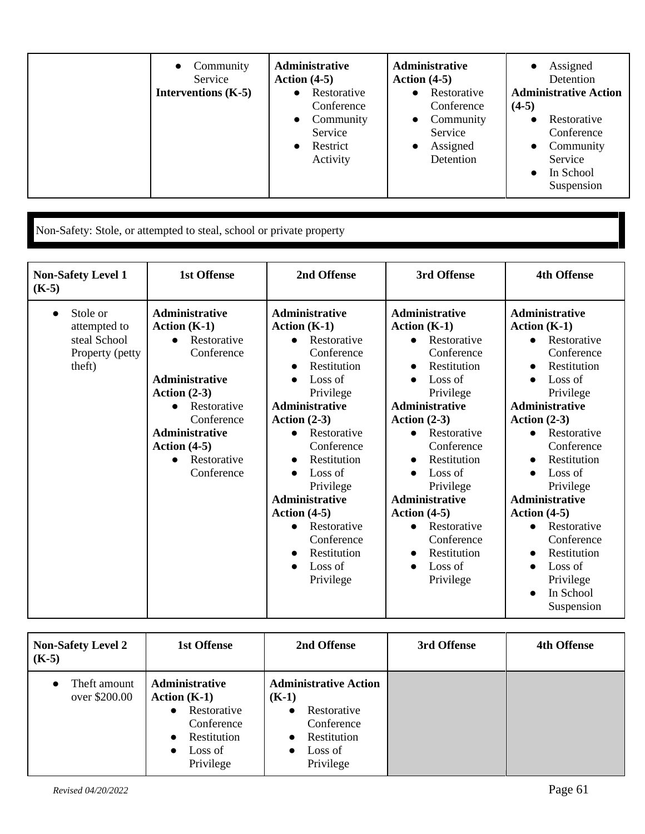| Community<br>$\bullet$<br>Service<br>Interventions $(K-5)$ | <b>Administrative</b><br>Action $(4-5)$<br>Restorative<br>$\bullet$<br>Conference<br>Community<br>$\bullet$<br>Service<br>Restrict<br>$\bullet$<br>Activity | Administrative<br>Action $(4-5)$<br>Restorative<br>$\bullet$<br>Conference<br>Community<br>$\bullet$<br>Service<br>Assigned<br>Detention | Assigned<br>$\bullet$<br>Detention<br><b>Administrative Action</b><br>$(4-5)$<br>Restorative<br>Conference<br>Community<br>$\bullet$<br>Service<br>In School<br>$\bullet$<br>Suspension |
|------------------------------------------------------------|-------------------------------------------------------------------------------------------------------------------------------------------------------------|------------------------------------------------------------------------------------------------------------------------------------------|-----------------------------------------------------------------------------------------------------------------------------------------------------------------------------------------|
|------------------------------------------------------------|-------------------------------------------------------------------------------------------------------------------------------------------------------------|------------------------------------------------------------------------------------------------------------------------------------------|-----------------------------------------------------------------------------------------------------------------------------------------------------------------------------------------|

Non-Safety: Stole, or attempted to steal, school or private property

| <b>Non-Safety Level 1</b><br>$(K-5)$                                               | <b>1st Offense</b>                                                                                                                                                                                                                                          | 2nd Offense                                                                                                                                                                                                                                                                                                                                                                                         | 3rd Offense                                                                                                                                                                                                                                                                                                                                                  | <b>4th Offense</b>                                                                                                                                                                                                                                                                                                                                                                                                                                                    |
|------------------------------------------------------------------------------------|-------------------------------------------------------------------------------------------------------------------------------------------------------------------------------------------------------------------------------------------------------------|-----------------------------------------------------------------------------------------------------------------------------------------------------------------------------------------------------------------------------------------------------------------------------------------------------------------------------------------------------------------------------------------------------|--------------------------------------------------------------------------------------------------------------------------------------------------------------------------------------------------------------------------------------------------------------------------------------------------------------------------------------------------------------|-----------------------------------------------------------------------------------------------------------------------------------------------------------------------------------------------------------------------------------------------------------------------------------------------------------------------------------------------------------------------------------------------------------------------------------------------------------------------|
| Stole or<br>$\bullet$<br>attempted to<br>steal School<br>Property (petty<br>theft) | <b>Administrative</b><br>Action $(K-1)$<br>Restorative<br>$\bullet$<br>Conference<br><b>Administrative</b><br>Action $(2-3)$<br>Restorative<br>$\bullet$<br>Conference<br><b>Administrative</b><br>Action $(4-5)$<br>Restorative<br>$\bullet$<br>Conference | Administrative<br>Action $(K-1)$<br>Restorative<br>$\bullet$<br>Conference<br>Restitution<br>$\bullet$<br>Loss of<br>Privilege<br><b>Administrative</b><br>Action $(2-3)$<br>Restorative<br>$\bullet$<br>Conference<br>Restitution<br>Loss of<br>$\bullet$<br>Privilege<br><b>Administrative</b><br>Action $(4-5)$<br>Restorative<br>$\bullet$<br>Conference<br>Restitution<br>Loss of<br>Privilege | Administrative<br>Action $(K-1)$<br>Restorative<br>$\bullet$<br>Conference<br>Restitution<br>Loss of<br>Privilege<br><b>Administrative</b><br>Action $(2-3)$<br>Restorative<br>Conference<br>Restitution<br>Loss of<br>Privilege<br><b>Administrative</b><br>Action $(4-5)$<br>Restorative<br>$\bullet$<br>Conference<br>Restitution<br>Loss of<br>Privilege | Administrative<br>Action $(K-1)$<br>Restorative<br>$\bullet$<br>Conference<br>Restitution<br>$\bullet$<br>Loss of<br>Privilege<br><b>Administrative</b><br>Action $(2-3)$<br>Restorative<br>Conference<br>Restitution<br>$\bullet$<br>Loss of<br>$\bullet$<br>Privilege<br><b>Administrative</b><br>Action $(4-5)$<br>Restorative<br>$\bullet$<br>Conference<br>Restitution<br>$\bullet$<br>Loss of<br>$\bullet$<br>Privilege<br>In School<br>$\bullet$<br>Suspension |

| <b>Non-Safety Level 2</b><br>$(K-5)$       | <b>1st Offense</b>                                                                                                             | 2nd Offense                                                                                                                                        | 3rd Offense | <b>4th Offense</b> |
|--------------------------------------------|--------------------------------------------------------------------------------------------------------------------------------|----------------------------------------------------------------------------------------------------------------------------------------------------|-------------|--------------------|
| Theft amount<br>$\bullet$<br>over \$200.00 | Administrative<br>Action $(K-1)$<br>Restorative<br>$\bullet$<br>Conference<br>Restitution<br>$\bullet$<br>Loss of<br>Privilege | <b>Administrative Action</b><br>$(K-1)$<br>Restorative<br>$\bullet$<br>Conference<br>Restitution<br>$\bullet$<br>Loss of<br>$\bullet$<br>Privilege |             |                    |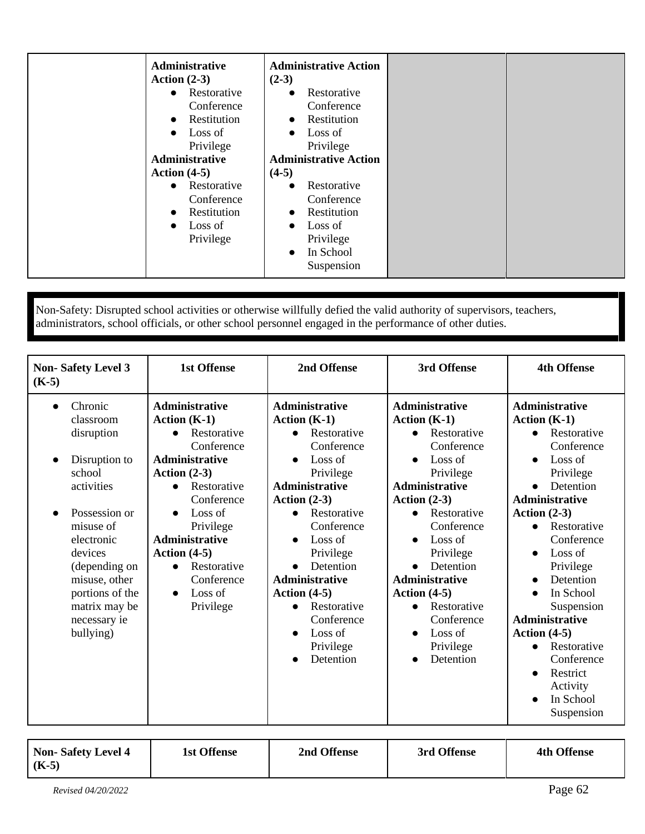| Administrative<br>Action $(2-3)$                                                                                                            | <b>Administrative Action</b><br>$(2-3)$                                                                                                            |
|---------------------------------------------------------------------------------------------------------------------------------------------|----------------------------------------------------------------------------------------------------------------------------------------------------|
| Restorative<br>$\bullet$<br>Conference<br>Restitution<br>$\bullet$<br>Loss of<br>$\bullet$<br>Privilege<br>Administrative<br>Action $(4-5)$ | Restorative<br>$\bullet$<br>Conference<br>Restitution<br>$\bullet$<br>Loss of<br>$\bullet$<br>Privilege<br><b>Administrative Action</b><br>$(4-5)$ |
| Restorative<br>$\bullet$<br>Conference<br>Restitution<br>$\bullet$<br>Loss of<br>$\bullet$<br>Privilege                                     | Restorative<br>$\bullet$<br>Conference<br>Restitution<br>$\bullet$<br>Loss of<br>$\bullet$<br>Privilege<br>In School<br>$\bullet$<br>Suspension    |

Non-Safety: Disrupted school activities or otherwise willfully defied the valid authority of supervisors, teachers, administrators, school officials, or other school personnel engaged in the performance of other duties.

| <b>Non-Safety Level 3</b><br>$(K-5)$                                                                                                                                                                                                               | <b>1st Offense</b>                                                                                                                                                                                                                                                                             | 2nd Offense                                                                                                                                                                                                                                                                                                                                                   | 3rd Offense                                                                                                                                                                                                                                                                                                                         | <b>4th Offense</b>                                                                                                                                                                                                                                                                                                                                                                                           |
|----------------------------------------------------------------------------------------------------------------------------------------------------------------------------------------------------------------------------------------------------|------------------------------------------------------------------------------------------------------------------------------------------------------------------------------------------------------------------------------------------------------------------------------------------------|---------------------------------------------------------------------------------------------------------------------------------------------------------------------------------------------------------------------------------------------------------------------------------------------------------------------------------------------------------------|-------------------------------------------------------------------------------------------------------------------------------------------------------------------------------------------------------------------------------------------------------------------------------------------------------------------------------------|--------------------------------------------------------------------------------------------------------------------------------------------------------------------------------------------------------------------------------------------------------------------------------------------------------------------------------------------------------------------------------------------------------------|
| Chronic<br>$\bullet$<br>classroom<br>disruption<br>Disruption to<br>school<br>activities<br>Possession or<br>misuse of<br>electronic<br>devices<br>(depending on<br>misuse, other<br>portions of the<br>matrix may be<br>necessary ie<br>bullying) | <b>Administrative</b><br>Action $(K-1)$<br>Restorative<br>Conference<br><b>Administrative</b><br>Action $(2-3)$<br>Restorative<br>$\bullet$<br>Conference<br>Loss of<br>Privilege<br><b>Administrative</b><br>Action $(4-5)$<br>Restorative<br>$\bullet$<br>Conference<br>Loss of<br>Privilege | <b>Administrative</b><br>Action $(K-1)$<br>Restorative<br>$\bullet$<br>Conference<br>Loss of<br>Privilege<br><b>Administrative</b><br>Action $(2-3)$<br>Restorative<br>$\bullet$<br>Conference<br>Loss of<br>Privilege<br>Detention<br><b>Administrative</b><br>Action $(4-5)$<br>Restorative<br>$\bullet$<br>Conference<br>Loss of<br>Privilege<br>Detention | <b>Administrative</b><br>Action $(K-1)$<br>Restorative<br>Conference<br>Loss of<br>Privilege<br><b>Administrative</b><br>Action $(2-3)$<br>Restorative<br>Conference<br>Loss of<br>Privilege<br>Detention<br>$\bullet$<br><b>Administrative</b><br>Action $(4-5)$<br>Restorative<br>Conference<br>Loss of<br>Privilege<br>Detention | <b>Administrative</b><br>Action $(K-1)$<br>Restorative<br>$\bullet$<br>Conference<br>Loss of<br>Privilege<br>Detention<br>Administrative<br>Action $(2-3)$<br>Restorative<br>$\bullet$<br>Conference<br>Loss of<br>Privilege<br>Detention<br>In School<br>Suspension<br><b>Administrative</b><br>Action $(4-5)$<br>Restorative<br>Conference<br>Restrict<br>Activity<br>In School<br>$\bullet$<br>Suspension |

| Non-Safety Level 4<br>$(K-5)$ | 1st Offense | 2nd Offense | 3rd Offense | <b>4th Offense</b> |
|-------------------------------|-------------|-------------|-------------|--------------------|
| Revised 04/20/2022            |             |             |             | Page 62            |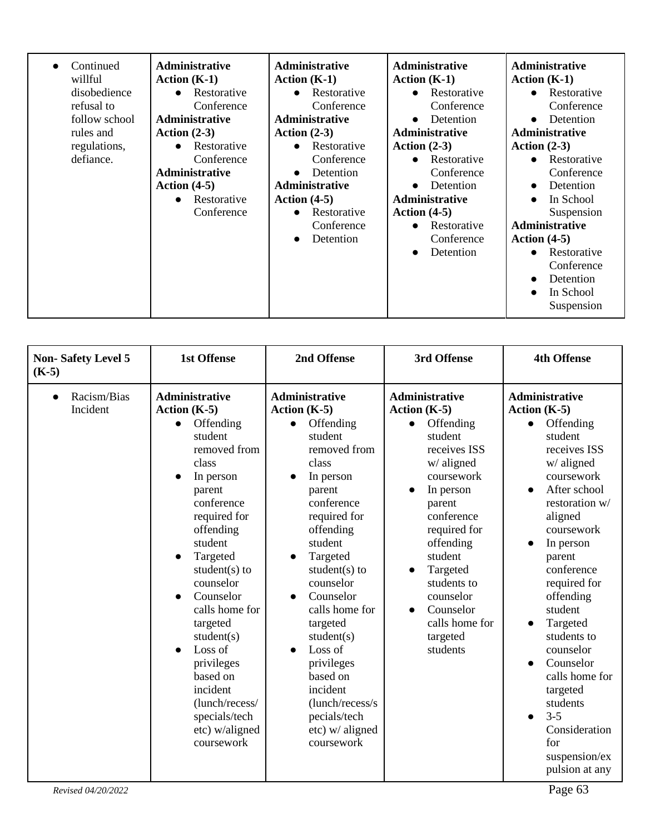| Continued<br>willful<br>disobedience<br>refusal to<br>follow school<br>rules and<br>regulations,<br>defiance. | <b>Administrative</b><br>Action $(K-1)$<br>Restorative<br>$\bullet$<br>Conference<br>Administrative<br>Action $(2-3)$<br>Restorative<br>Conference<br>Administrative<br>Action $(4-5)$<br>Restorative<br>$\bullet$<br>Conference | <b>Administrative</b><br>Action $(K-1)$<br>• Restorative<br>Conference<br><b>Administrative</b><br>Action $(2-3)$<br>Restorative<br>$\bullet$<br>Conference<br>Detention<br>$\bullet$<br><b>Administrative</b><br>Action $(4-5)$<br>Restorative<br>$\bullet$<br>Conference<br>Detention<br>$\bullet$ | <b>Administrative</b><br>Action $(K-1)$<br>• Restorative<br>Conference<br>Detention<br>$\bullet$<br><b>Administrative</b><br>Action $(2-3)$<br>Restorative<br>$\bullet$<br>Conference<br>Detention<br>$\bullet$<br><b>Administrative</b><br>Action $(4-5)$<br>Restorative<br>$\bullet$<br>Conference<br>Detention<br>$\bullet$ | <b>Administrative</b><br>Action $(K-1)$<br>• Restorative<br>Conference<br>Detention<br>$\bullet$<br><b>Administrative</b><br>Action $(2-3)$<br>• Restorative<br>Conference<br>Detention<br>$\bullet$<br>In School<br>$\bullet$<br>Suspension<br><b>Administrative</b><br>Action $(4-5)$<br>Restorative<br>$\bullet$<br>Conference<br>Detention<br>$\bullet$<br>In School<br>$\bullet$<br>Suspension |
|---------------------------------------------------------------------------------------------------------------|----------------------------------------------------------------------------------------------------------------------------------------------------------------------------------------------------------------------------------|------------------------------------------------------------------------------------------------------------------------------------------------------------------------------------------------------------------------------------------------------------------------------------------------------|--------------------------------------------------------------------------------------------------------------------------------------------------------------------------------------------------------------------------------------------------------------------------------------------------------------------------------|-----------------------------------------------------------------------------------------------------------------------------------------------------------------------------------------------------------------------------------------------------------------------------------------------------------------------------------------------------------------------------------------------------|
|---------------------------------------------------------------------------------------------------------------|----------------------------------------------------------------------------------------------------------------------------------------------------------------------------------------------------------------------------------|------------------------------------------------------------------------------------------------------------------------------------------------------------------------------------------------------------------------------------------------------------------------------------------------------|--------------------------------------------------------------------------------------------------------------------------------------------------------------------------------------------------------------------------------------------------------------------------------------------------------------------------------|-----------------------------------------------------------------------------------------------------------------------------------------------------------------------------------------------------------------------------------------------------------------------------------------------------------------------------------------------------------------------------------------------------|

| $(K-5)$                                                                                                                                                                                                                                                                                                                                                                                                                                                                                                                                                                                                                                                                                                                                                                                                                                                                                                                                                                                                                                                                                                                                                                                                                                                                                                                                                                                                                                                                                                                                  | <b>Non-Safety Level 5</b> | <b>1st Offense</b> | 2nd Offense | 3rd Offense | <b>4th Offense</b>                                                                                                                                               |
|------------------------------------------------------------------------------------------------------------------------------------------------------------------------------------------------------------------------------------------------------------------------------------------------------------------------------------------------------------------------------------------------------------------------------------------------------------------------------------------------------------------------------------------------------------------------------------------------------------------------------------------------------------------------------------------------------------------------------------------------------------------------------------------------------------------------------------------------------------------------------------------------------------------------------------------------------------------------------------------------------------------------------------------------------------------------------------------------------------------------------------------------------------------------------------------------------------------------------------------------------------------------------------------------------------------------------------------------------------------------------------------------------------------------------------------------------------------------------------------------------------------------------------------|---------------------------|--------------------|-------------|-------------|------------------------------------------------------------------------------------------------------------------------------------------------------------------|
| <b>Administrative</b><br><b>Administrative</b><br><b>Administrative</b><br><b>Administrative</b><br>Racism/Bias<br>$\bullet$<br>Incident<br>Action $(K-5)$<br>Action $(K-5)$<br>Action $(K-5)$<br>Action $(K-5)$<br>Offending<br>Offending<br>Offending<br>Offending<br>$\bullet$<br>$\bullet$<br>$\bullet$<br>student<br>student<br>student<br>student<br>removed from<br>removed from<br>receives ISS<br>w/ aligned<br>w/ aligned<br>class<br>class<br>coursework<br>In person<br>In person<br>In person<br>parent<br>parent<br>conference<br>conference<br>parent<br>required for<br>required for<br>conference<br>aligned<br>offending<br>offending<br>required for<br>student<br>student<br>offending<br>In person<br>$\bullet$<br>Targeted<br>student<br>Targeted<br>parent<br>$\bullet$<br>student $(s)$ to<br>student $(s)$ to<br>Targeted<br>conference<br>$\bullet$<br>counselor<br>counselor<br>students to<br>Counselor<br>Counselor<br>counselor<br>offending<br>calls home for<br>calls home for<br>Counselor<br>student<br>calls home for<br>Targeted<br>targeted<br>targeted<br>student(s)<br>students to<br>student(s)<br>targeted<br>Loss of<br>Loss of<br>students<br>counselor<br>$\bullet$<br>Counselor<br>privileges<br>privileges<br>based on<br>based on<br>incident<br>incident<br>targeted<br>(lunch/recess/<br>(lunch/recess/s)<br>students<br>$3 - 5$<br>specials/tech<br>pecials/tech<br>$\bullet$<br>etc) w/aligned<br>etc) w/ aligned<br>for<br>coursework<br>coursework<br>Page 63<br>Revised 04/20/2022 |                           |                    |             |             | receives ISS<br>coursework<br>After school<br>restoration w/<br>coursework<br>required for<br>calls home for<br>Consideration<br>suspension/ex<br>pulsion at any |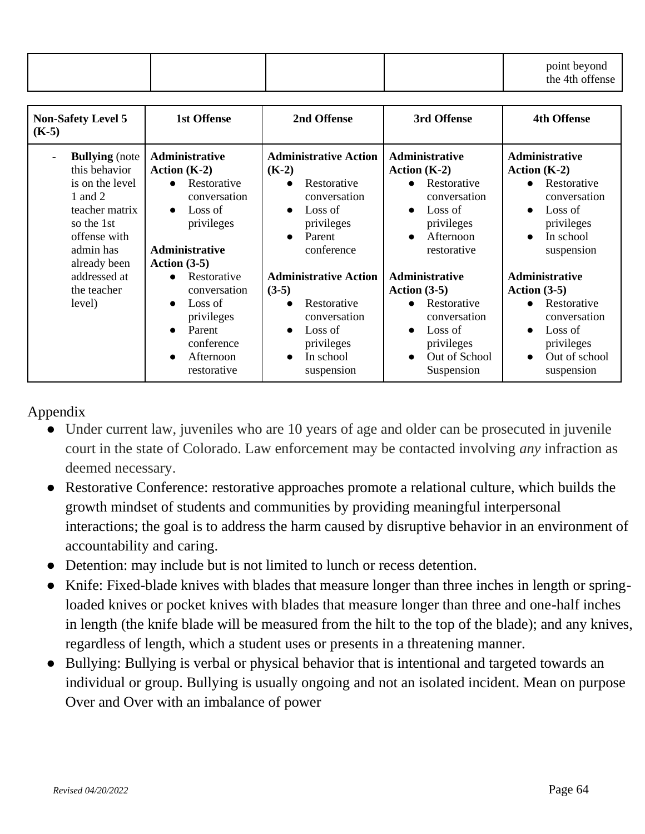|  |  | point beyond    |
|--|--|-----------------|
|  |  | the 4th offense |

| <b>Non-Safety Level 5</b><br>$(K-5)$                                                                                                                                          | <b>1st Offense</b>                                                                                                                          | 2nd Offense                                                                                                                                                    | 3rd Offense                                                                                                                                                 | <b>4th Offense</b>                                                                                                                                                |
|-------------------------------------------------------------------------------------------------------------------------------------------------------------------------------|---------------------------------------------------------------------------------------------------------------------------------------------|----------------------------------------------------------------------------------------------------------------------------------------------------------------|-------------------------------------------------------------------------------------------------------------------------------------------------------------|-------------------------------------------------------------------------------------------------------------------------------------------------------------------|
| <b>Bullying</b> (note<br>$\overline{\phantom{a}}$<br>this behavior<br>is on the level<br>1 and 2<br>teacher matrix<br>so the 1st<br>offense with<br>admin has<br>already been | Administrative<br>Action $(K-2)$<br>• Restorative<br>conversation<br>Loss of<br>$\bullet$<br>privileges<br>Administrative<br>Action $(3-5)$ | <b>Administrative Action</b><br>$(K-2)$<br>Restorative<br>$\bullet$<br>conversation<br>Loss of<br>$\bullet$<br>privileges<br>Parent<br>$\bullet$<br>conference | Administrative<br>Action $(K-2)$<br>Restorative<br>$\bullet$<br>conversation<br>Loss of<br>$\bullet$<br>privileges<br>Afternoon<br>$\bullet$<br>restorative | <b>Administrative</b><br>Action $(K-2)$<br>Restorative<br>$\bullet$<br>conversation<br>Loss of<br>$\bullet$<br>privileges<br>In school<br>$\bullet$<br>suspension |
| addressed at<br>the teacher<br>level)                                                                                                                                         | Restorative<br>conversation<br>Loss of<br>privileges<br>Parent<br>conference<br>Afternoon<br>$\bullet$<br>restorative                       | <b>Administrative Action</b><br>$(3-5)$<br>Restorative<br>conversation<br>Loss of<br>$\bullet$<br>privileges<br>In school<br>$\bullet$<br>suspension           | Administrative<br>Action $(3-5)$<br>Restorative<br>$\bullet$<br>conversation<br>Loss of<br>privileges<br>Out of School<br>$\bullet$<br>Suspension           | <b>Administrative</b><br>Action $(3-5)$<br>Restorative<br>$\bullet$<br>conversation<br>Loss of<br>$\bullet$<br>privileges<br>Out of school<br>suspension          |

### Appendix

- Under current law, juveniles who are 10 years of age and older can be prosecuted in juvenile court in the state of Colorado. Law enforcement may be contacted involving *any* infraction as deemed necessary.
- Restorative Conference: restorative approaches promote a relational culture, which builds the growth mindset of students and communities by providing meaningful interpersonal interactions; the goal is to address the harm caused by disruptive behavior in an environment of accountability and caring.
- Detention: may include but is not limited to lunch or recess detention.
- Knife: Fixed-blade knives with blades that measure longer than three inches in length or springloaded knives or pocket knives with blades that measure longer than three and one-half inches in length (the knife blade will be measured from the hilt to the top of the blade); and any knives, regardless of length, which a student uses or presents in a threatening manner.
- Bullying: Bullying is verbal or physical behavior that is intentional and targeted towards an individual or group. Bullying is usually ongoing and not an isolated incident. Mean on purpose Over and Over with an imbalance of power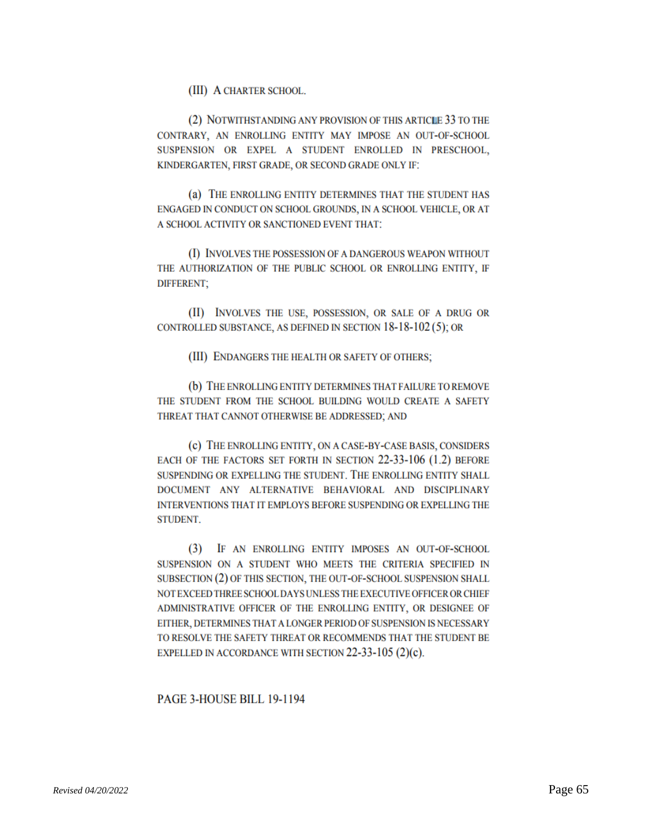(III) A CHARTER SCHOOL.

(2) NOTWITHSTANDING ANY PROVISION OF THIS ARTICLE 33 TO THE CONTRARY, AN ENROLLING ENTITY MAY IMPOSE AN OUT-OF-SCHOOL SUSPENSION OR EXPEL A STUDENT ENROLLED IN PRESCHOOL, KINDERGARTEN, FIRST GRADE, OR SECOND GRADE ONLY IF:

(a) THE ENROLLING ENTITY DETERMINES THAT THE STUDENT HAS ENGAGED IN CONDUCT ON SCHOOL GROUNDS, IN A SCHOOL VEHICLE, OR AT A SCHOOL ACTIVITY OR SANCTIONED EVENT THAT:

(I) INVOLVES THE POSSESSION OF A DANGEROUS WEAPON WITHOUT THE AUTHORIZATION OF THE PUBLIC SCHOOL OR ENROLLING ENTITY, IF **DIFFERENT;** 

(II) INVOLVES THE USE, POSSESSION, OR SALE OF A DRUG OR CONTROLLED SUBSTANCE, AS DEFINED IN SECTION 18-18-102(5); OR

(III) ENDANGERS THE HEALTH OR SAFETY OF OTHERS;

(b) THE ENROLLING ENTITY DETERMINES THAT FAILURE TO REMOVE THE STUDENT FROM THE SCHOOL BUILDING WOULD CREATE A SAFETY THREAT THAT CANNOT OTHERWISE BE ADDRESSED; AND

(c) THE ENROLLING ENTITY, ON A CASE-BY-CASE BASIS, CONSIDERS EACH OF THE FACTORS SET FORTH IN SECTION 22-33-106 (1.2) BEFORE SUSPENDING OR EXPELLING THE STUDENT. THE ENROLLING ENTITY SHALL DOCUMENT ANY ALTERNATIVE BEHAVIORAL AND DISCIPLINARY INTERVENTIONS THAT IT EMPLOYS BEFORE SUSPENDING OR EXPELLING THE **STUDENT.** 

(3) IF AN ENROLLING ENTITY IMPOSES AN OUT-OF-SCHOOL SUSPENSION ON A STUDENT WHO MEETS THE CRITERIA SPECIFIED IN SUBSECTION (2) OF THIS SECTION, THE OUT-OF-SCHOOL SUSPENSION SHALL NOT EXCEED THREE SCHOOL DAYS UNLESS THE EXECUTIVE OFFICER OR CHIEF ADMINISTRATIVE OFFICER OF THE ENROLLING ENTITY, OR DESIGNEE OF EITHER, DETERMINES THAT A LONGER PERIOD OF SUSPENSION IS NECESSARY TO RESOLVE THE SAFETY THREAT OR RECOMMENDS THAT THE STUDENT BE EXPELLED IN ACCORDANCE WITH SECTION  $22-33-105$  (2)(c).

#### PAGE 3-HOUSE BILL 19-1194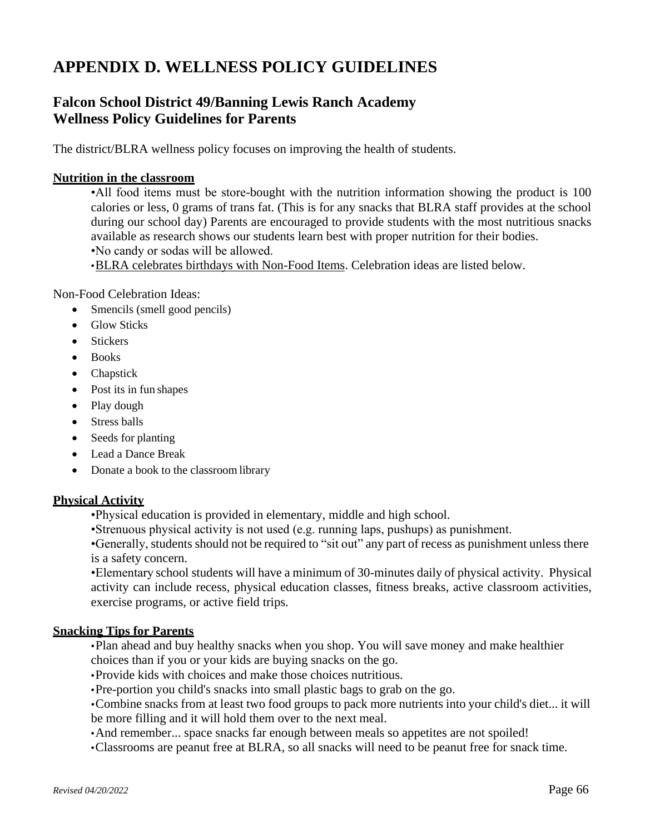### **APPENDIX D. WELLNESS POLICY GUIDELINES**

### **Falcon School District 49/Banning Lewis Ranch Academy Wellness Policy Guidelines for Parents**

The district/BLRA wellness policy focuses on improving the health of students.

### **Nutrition in the classroom**

•All food items must be store-bought with the nutrition information showing the product is 100 calories or less, 0 grams of trans fat. (This is for any snacks that BLRA staff provides at the school during our school day) Parents are encouraged to provide students with the most nutritious snacks available as research shows our students learn best with proper nutrition for their bodies. •No candy or sodas will be allowed.

•BLRA celebrates birthdays with Non-Food Items. Celebration ideas are listed below.

Non-Food Celebration Ideas:

- Smencils (smell good pencils)
- Glow Sticks
- Stickers
- Books
- Chapstick
- Post its in fun shapes
- Play dough
- Stress balls
- Seeds for planting
- Lead a Dance Break
- Donate a book to the classroom library

### **Physical Activity**

•Physical education is provided in elementary, middle and high school.

•Strenuous physical activity is not used (e.g. running laps, pushups) as punishment.

•Generally, students should not be required to "sit out" any part of recess as punishment unless there is a safety concern.

•Elementary school students will have a minimum of 30-minutes daily of physical activity. Physical activity can include recess, physical education classes, fitness breaks, active classroom activities, exercise programs, or active field trips.

### **Snacking Tips for Parents**

•Plan ahead and buy healthy snacks when you shop. You will save money and make healthier choices than if you or your kids are buying snacks on the go.

•Provide kids with choices and make those choices nutritious.

•Pre-portion you child's snacks into small plastic bags to grab on the go.

•Combine snacks from at least two food groups to pack more nutrients into your child's diet... it will be more filling and it will hold them over to the next meal.

•And remember... space snacks far enough between meals so appetites are not spoiled!

•Classrooms are peanut free at BLRA, so all snacks will need to be peanut free for snack time.